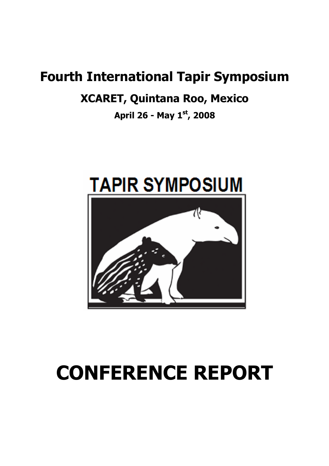## Fourth International Tapir Symposium

## XCARET, Quintana Roo, Mexico

April 26 - May  $1^{st}$ , 2008



# CONFERENCE REPORT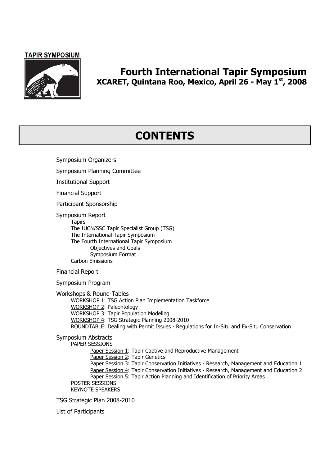

### Fourth International Tapir Symposium XCARET, Quintana Roo, Mexico, April 26 - May 1st, 2008

## **CONTENTS**

Symposium Organizers Symposium Planning Committee Institutional Support Financial Support Participant Sponsorship Symposium Report **Tapirs** The IUCN/SSC Tapir Specialist Group (TSG) The International Tapir Symposium The Fourth International Tapir Symposium Objectives and Goals Symposium Format Carbon Emissions

Financial Report

Symposium Program

Workshops & Round-Tables

WORKSHOP 1: TSG Action Plan Implementation Taskforce WORKSHOP 2: Paleontology WORKSHOP 3: Tapir Population Modeling WORKSHOP 4: TSG Strategic Planning 2008-2010 ROUNDTABLE: Dealing with Permit Issues - Regulations for In-Situ and Ex-Situ Conservation

Symposium Abstracts

PAPER SESSIONS

Paper Session 1: Tapir Captive and Reproductive Management

**Paper Session 2: Tapir Genetics** 

Paper Session 3: Tapir Conservation Initiatives - Research, Management and Education 1 Paper Session 4: Tapir Conservation Initiatives - Research, Management and Education 2

Paper Session 5: Tapir Action Planning and Identification of Priority Areas

POSTER SESSIONS

KEYNOTE SPEAKERS

TSG Strategic Plan 2008-2010

List of Participants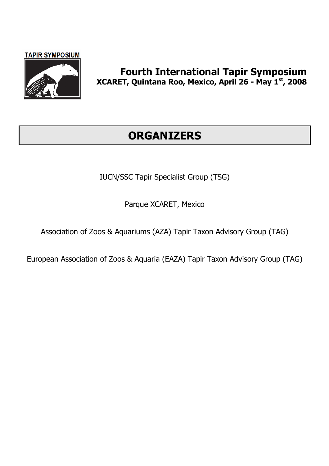

## Fourth International Tapir Symposium XCARET, Quintana Roo, Mexico, April 26 - May 1st, 2008

## **ORGANIZERS**

IUCN/SSC Tapir Specialist Group (TSG)

Parque XCARET, Mexico

Association of Zoos & Aquariums (AZA) Tapir Taxon Advisory Group (TAG)

European Association of Zoos & Aquaria (EAZA) Tapir Taxon Advisory Group (TAG)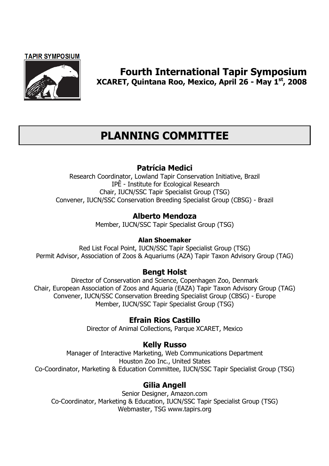

## Fourth International Tapir Symposium XCARET, Quintana Roo, Mexico, April 26 - May 1st, 2008

## PLANNING COMMITTEE

### Patrícia Medici

Research Coordinator, Lowland Tapir Conservation Initiative, Brazil IPÊ - Institute for Ecological Research Chair, IUCN/SSC Tapir Specialist Group (TSG) Convener, IUCN/SSC Conservation Breeding Specialist Group (CBSG) - Brazil

### Alberto Mendoza

Member, IUCN/SSC Tapir Specialist Group (TSG)

#### Alan Shoemaker

Red List Focal Point, IUCN/SSC Tapir Specialist Group (TSG) Permit Advisor, Association of Zoos & Aquariums (AZA) Tapir Taxon Advisory Group (TAG)

### Bengt Holst

Director of Conservation and Science, Copenhagen Zoo, Denmark Chair, European Association of Zoos and Aquaria (EAZA) Tapir Taxon Advisory Group (TAG) Convener, IUCN/SSC Conservation Breeding Specialist Group (CBSG) - Europe Member, IUCN/SSC Tapir Specialist Group (TSG)

### Efrain Rios Castillo

Director of Animal Collections, Parque XCARET, Mexico

### Kelly Russo

Manager of Interactive Marketing, Web Communications Department Houston Zoo Inc., United States Co-Coordinator, Marketing & Education Committee, IUCN/SSC Tapir Specialist Group (TSG)

### Gilia Angell

Senior Designer, Amazon.com Co-Coordinator, Marketing & Education, IUCN/SSC Tapir Specialist Group (TSG) Webmaster, TSG www.tapirs.org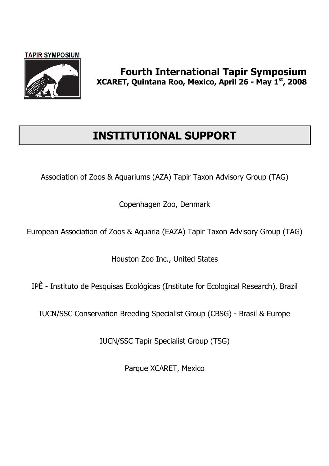

## INSTITUTIONAL SUPPORT

Association of Zoos & Aquariums (AZA) Tapir Taxon Advisory Group (TAG)

Copenhagen Zoo, Denmark

European Association of Zoos & Aquaria (EAZA) Tapir Taxon Advisory Group (TAG)

Houston Zoo Inc., United States

IPÊ - Instituto de Pesquisas Ecológicas (Institute for Ecological Research), Brazil

IUCN/SSC Conservation Breeding Specialist Group (CBSG) - Brasil & Europe

IUCN/SSC Tapir Specialist Group (TSG)

Parque XCARET, Mexico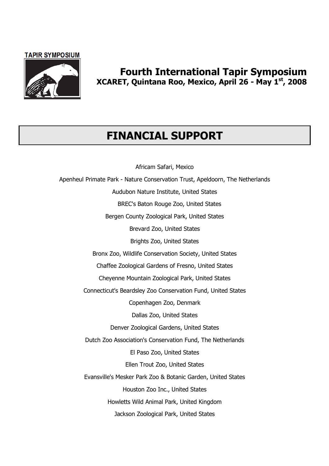

## Fourth International Tapir Symposium XCARET, Quintana Roo, Mexico, April 26 - May 1st, 2008

## FINANCIAL SUPPORT

Africam Safari, Mexico

Apenheul Primate Park - Nature Conservation Trust, Apeldoorn, The Netherlands Audubon Nature Institute, United States BREC's Baton Rouge Zoo, United States Bergen County Zoological Park, United States Brevard Zoo, United States Brights Zoo, United States Bronx Zoo, Wildlife Conservation Society, United States Chaffee Zoological Gardens of Fresno, United States Cheyenne Mountain Zoological Park, United States Connecticut's Beardsley Zoo Conservation Fund, United States Copenhagen Zoo, Denmark Dallas Zoo, United States Denver Zoological Gardens, United States Dutch Zoo Association's Conservation Fund, The Netherlands El Paso Zoo, United States Ellen Trout Zoo, United States Evansville's Mesker Park Zoo & Botanic Garden, United States Houston Zoo Inc., United States Howletts Wild Animal Park, United Kingdom Jackson Zoological Park, United States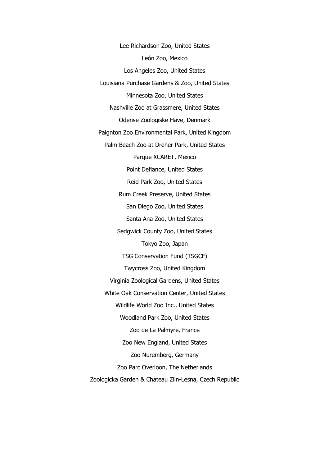Lee Richardson Zoo, United States León Zoo, Mexico Los Angeles Zoo, United States Louisiana Purchase Gardens & Zoo, United States Minnesota Zoo, United States Nashville Zoo at Grassmere, United States Odense Zoologiske Have, Denmark Paignton Zoo Environmental Park, United Kingdom Palm Beach Zoo at Dreher Park, United States Parque XCARET, Mexico Point Defiance, United States Reid Park Zoo, United States Rum Creek Preserve, United States San Diego Zoo, United States Santa Ana Zoo, United States Sedgwick County Zoo, United States Tokyo Zoo, Japan TSG Conservation Fund (TSGCF) Twycross Zoo, United Kingdom Virginia Zoological Gardens, United States White Oak Conservation Center, United States Wildlife World Zoo Inc., United States Woodland Park Zoo, United States Zoo de La Palmyre, France Zoo New England, United States Zoo Nuremberg, Germany Zoo Parc Overloon, The Netherlands Zoologicka Garden & Chateau Zlin-Lesna, Czech Republic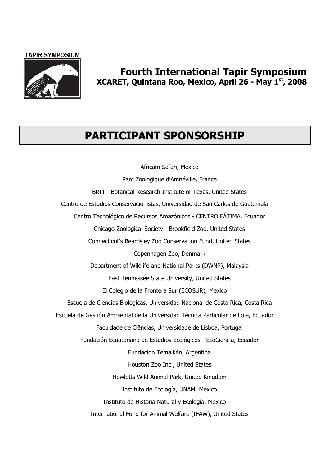

## Fourth International Tapir Symposium XCARET, Quintana Roo, Mexico, April 26 - May 1st, 2008

## PARTICIPANT SPONSORSHIP

Africam Safari, Mexico Parc Zoologique d'Amnéville, France BRIT - Botanical Research Institute or Texas, United States Centro de Estudios Conservacionistas, Universidad de San Carlos de Guatemala Centro Tecnológico de Recursos Amazónicos - CENTRO FÁTIMA, Ecuador Chicago Zoological Society - Brookfield Zoo, United States Connecticut's Beardsley Zoo Conservation Fund, United States Copenhagen Zoo, Denmark Department of Wildlife and National Parks (DWNP), Malaysia East Tennessee State University, United States El Colegio de la Frontera Sur (ECOSUR), Mexico Escuela de Ciencias Biologicas, Universidad Nacional de Costa Rica, Costa Rica Escuela de Gestión Ambiental de la Universidad Técnica Particular de Loja, Ecuador Faculdade de Ciências, Universidade de Lisboa, Portugal Fundación Ecuatoriana de Estudios Ecológicos - EcoCiencia, Ecuador Fundación Temaikén, Argentina Houston Zoo Inc., United States Howletts Wild Animal Park, United Kingdom Instituto de Ecología, UNAM, Mexico Instituto de Historia Natural y Ecología, Mexico International Fund for Animal Welfare (IFAW), United States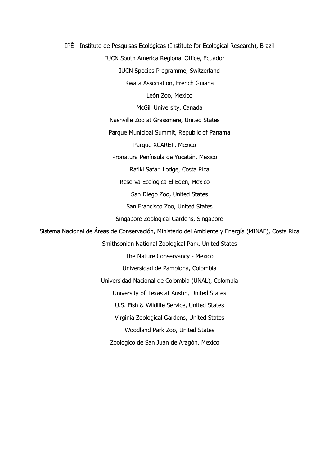IPÊ - Instituto de Pesquisas Ecológicas (Institute for Ecological Research), Brazil IUCN South America Regional Office, Ecuador IUCN Species Programme, Switzerland Kwata Association, French Guiana León Zoo, Mexico McGill University, Canada Nashville Zoo at Grassmere, United States Parque Municipal Summit, Republic of Panama Parque XCARET, Mexico Pronatura Península de Yucatán, Mexico Rafiki Safari Lodge, Costa Rica Reserva Ecologica El Eden, Mexico San Diego Zoo, United States San Francisco Zoo, United States Singapore Zoological Gardens, Singapore Sistema Nacional de Áreas de Conservación, Ministerio del Ambiente y Energía (MINAE), Costa Rica Smithsonian National Zoological Park, United States The Nature Conservancy - Mexico Universidad de Pamplona, Colombia Universidad Nacional de Colombia (UNAL), Colombia University of Texas at Austin, United States U.S. Fish & Wildlife Service, United States Virginia Zoological Gardens, United States Woodland Park Zoo, United States Zoologico de San Juan de Aragón, Mexico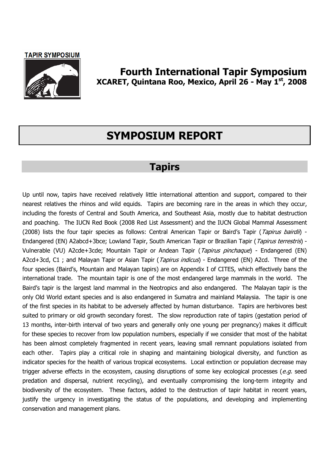

### Fourth International Tapir Symposium XCARET, Quintana Roo, Mexico, April 26 - May 1st, 2008

## SYMPOSIUM REPORT

## Tapirs

Up until now, tapirs have received relatively little international attention and support, compared to their nearest relatives the rhinos and wild equids. Tapirs are becoming rare in the areas in which they occur, including the forests of Central and South America, and Southeast Asia, mostly due to habitat destruction and poaching. The IUCN Red Book (2008 Red List Assessment) and the IUCN Global Mammal Assessment (2008) lists the four tapir species as follows: Central American Tapir or Baird's Tapir (Tapirus bairdii) -Endangered (EN) A2abcd+3bce; Lowland Tapir, South American Tapir or Brazilian Tapir (Tapirus terrestris) -Vulnerable (VU) A2cde+3cde; Mountain Tapir or Andean Tapir (Tapirus pinchaque) - Endangered (EN) A2cd+3cd, C1 ; and Malayan Tapir or Asian Tapir (Tapirus indicus) - Endangered (EN) A2cd. Three of the four species (Baird's, Mountain and Malayan tapirs) are on Appendix I of CITES, which effectively bans the international trade. The mountain tapir is one of the most endangered large mammals in the world. The Baird's tapir is the largest land mammal in the Neotropics and also endangered. The Malayan tapir is the only Old World extant species and is also endangered in Sumatra and mainland Malaysia. The tapir is one of the first species in its habitat to be adversely affected by human disturbance. Tapirs are herbivores best suited to primary or old growth secondary forest. The slow reproduction rate of tapirs (gestation period of 13 months, inter-birth interval of two years and generally only one young per pregnancy) makes it difficult for these species to recover from low population numbers, especially if we consider that most of the habitat has been almost completely fragmented in recent years, leaving small remnant populations isolated from each other. Tapirs play a critical role in shaping and maintaining biological diversity, and function as indicator species for the health of various tropical ecosystems. Local extinction or population decrease may trigger adverse effects in the ecosystem, causing disruptions of some key ecological processes (e.g. seed predation and dispersal, nutrient recycling), and eventually compromising the long-term integrity and biodiversity of the ecosystem. These factors, added to the destruction of tapir habitat in recent years, justify the urgency in investigating the status of the populations, and developing and implementing conservation and management plans.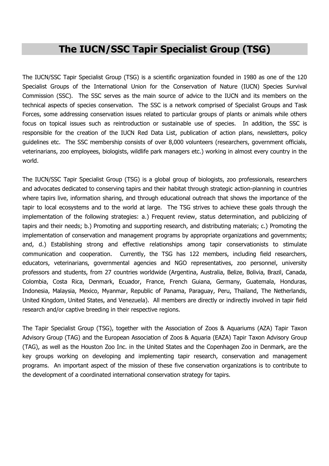## The IUCN/SSC Tapir Specialist Group (TSG)

The IUCN/SSC Tapir Specialist Group (TSG) is a scientific organization founded in 1980 as one of the 120 Specialist Groups of the International Union for the Conservation of Nature (IUCN) Species Survival Commission (SSC). The SSC serves as the main source of advice to the IUCN and its members on the technical aspects of species conservation. The SSC is a network comprised of Specialist Groups and Task Forces, some addressing conservation issues related to particular groups of plants or animals while others focus on topical issues such as reintroduction or sustainable use of species. In addition, the SSC is responsible for the creation of the IUCN Red Data List, publication of action plans, newsletters, policy guidelines etc. The SSC membership consists of over 8,000 volunteers (researchers, government officials, veterinarians, zoo employees, biologists, wildlife park managers etc.) working in almost every country in the world.

The IUCN/SSC Tapir Specialist Group (TSG) is a global group of biologists, zoo professionals, researchers and advocates dedicated to conserving tapirs and their habitat through strategic action-planning in countries where tapirs live, information sharing, and through educational outreach that shows the importance of the tapir to local ecosystems and to the world at large. The TSG strives to achieve these goals through the implementation of the following strategies: a.) Frequent review, status determination, and publicizing of tapirs and their needs; b.) Promoting and supporting research, and distributing materials; c.) Promoting the implementation of conservation and management programs by appropriate organizations and governments; and, d.) Establishing strong and effective relationships among tapir conservationists to stimulate communication and cooperation. Currently, the TSG has 122 members, including field researchers, educators, veterinarians, governmental agencies and NGO representatives, zoo personnel, university professors and students, from 27 countries worldwide (Argentina, Australia, Belize, Bolivia, Brazil, Canada, Colombia, Costa Rica, Denmark, Ecuador, France, French Guiana, Germany, Guatemala, Honduras, Indonesia, Malaysia, Mexico, Myanmar, Republic of Panama, Paraguay, Peru, Thailand, The Netherlands, United Kingdom, United States, and Venezuela). All members are directly or indirectly involved in tapir field research and/or captive breeding in their respective regions.

The Tapir Specialist Group (TSG), together with the Association of Zoos & Aquariums (AZA) Tapir Taxon Advisory Group (TAG) and the European Association of Zoos & Aquaria (EAZA) Tapir Taxon Advisory Group (TAG), as well as the Houston Zoo Inc. in the United States and the Copenhagen Zoo in Denmark, are the key groups working on developing and implementing tapir research, conservation and management programs. An important aspect of the mission of these five conservation organizations is to contribute to the development of a coordinated international conservation strategy for tapirs.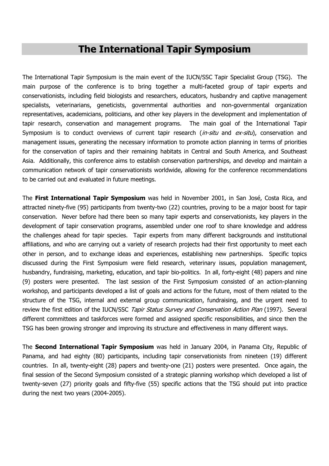## The International Tapir Symposium

The International Tapir Symposium is the main event of the IUCN/SSC Tapir Specialist Group (TSG). The main purpose of the conference is to bring together a multi-faceted group of tapir experts and conservationists, including field biologists and researchers, educators, husbandry and captive management specialists, veterinarians, geneticists, governmental authorities and non-governmental organization representatives, academicians, politicians, and other key players in the development and implementation of tapir research, conservation and management programs. The main goal of the International Tapir Symposium is to conduct overviews of current tapir research (in-situ and ex-situ), conservation and management issues, generating the necessary information to promote action planning in terms of priorities for the conservation of tapirs and their remaining habitats in Central and South America, and Southeast Asia. Additionally, this conference aims to establish conservation partnerships, and develop and maintain a communication network of tapir conservationists worldwide, allowing for the conference recommendations to be carried out and evaluated in future meetings.

The First International Tapir Symposium was held in November 2001, in San José, Costa Rica, and attracted ninety-five (95) participants from twenty-two (22) countries, proving to be a major boost for tapir conservation. Never before had there been so many tapir experts and conservationists, key players in the development of tapir conservation programs, assembled under one roof to share knowledge and address the challenges ahead for tapir species. Tapir experts from many different backgrounds and institutional affiliations, and who are carrying out a variety of research projects had their first opportunity to meet each other in person, and to exchange ideas and experiences, establishing new partnerships. Specific topics discussed during the First Symposium were field research, veterinary issues, population management, husbandry, fundraising, marketing, education, and tapir bio-politics. In all, forty-eight (48) papers and nine (9) posters were presented. The last session of the First Symposium consisted of an action-planning workshop, and participants developed a list of goals and actions for the future, most of them related to the structure of the TSG, internal and external group communication, fundraising, and the urgent need to review the first edition of the IUCN/SSC Tapir Status Survey and Conservation Action Plan (1997). Several different committees and taskforces were formed and assigned specific responsibilities, and since then the TSG has been growing stronger and improving its structure and effectiveness in many different ways.

The Second International Tapir Symposium was held in January 2004, in Panama City, Republic of Panama, and had eighty (80) participants, including tapir conservationists from nineteen (19) different countries. In all, twenty-eight (28) papers and twenty-one (21) posters were presented. Once again, the final session of the Second Symposium consisted of a strategic planning workshop which developed a list of twenty-seven (27) priority goals and fifty-five (55) specific actions that the TSG should put into practice during the next two years (2004-2005).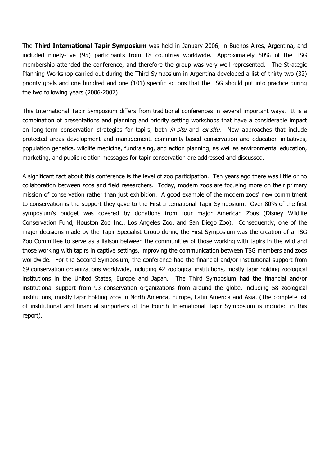The Third International Tapir Symposium was held in January 2006, in Buenos Aires, Argentina, and included ninety-five (95) participants from 18 countries worldwide. Approximately 50% of the TSG membership attended the conference, and therefore the group was very well represented. The Strategic Planning Workshop carried out during the Third Symposium in Argentina developed a list of thirty-two (32) priority goals and one hundred and one (101) specific actions that the TSG should put into practice during the two following years (2006-2007).

This International Tapir Symposium differs from traditional conferences in several important ways. It is a combination of presentations and planning and priority setting workshops that have a considerable impact on long-term conservation strategies for tapirs, both *in-situ* and ex-situ. New approaches that include protected areas development and management, community-based conservation and education initiatives, population genetics, wildlife medicine, fundraising, and action planning, as well as environmental education, marketing, and public relation messages for tapir conservation are addressed and discussed.

A significant fact about this conference is the level of zoo participation. Ten years ago there was little or no collaboration between zoos and field researchers. Today, modern zoos are focusing more on their primary mission of conservation rather than just exhibition. A good example of the modern zoos' new commitment to conservation is the support they gave to the First International Tapir Symposium. Over 80% of the first symposium's budget was covered by donations from four major American Zoos (Disney Wildlife Conservation Fund, Houston Zoo Inc., Los Angeles Zoo, and San Diego Zoo). Consequently, one of the major decisions made by the Tapir Specialist Group during the First Symposium was the creation of a TSG Zoo Committee to serve as a liaison between the communities of those working with tapirs in the wild and those working with tapirs in captive settings, improving the communication between TSG members and zoos worldwide. For the Second Symposium, the conference had the financial and/or institutional support from 69 conservation organizations worldwide, including 42 zoological institutions, mostly tapir holding zoological institutions in the United States, Europe and Japan. The Third Symposium had the financial and/or institutional support from 93 conservation organizations from around the globe, including 58 zoological institutions, mostly tapir holding zoos in North America, Europe, Latin America and Asia. (The complete list of institutional and financial supporters of the Fourth International Tapir Symposium is included in this report).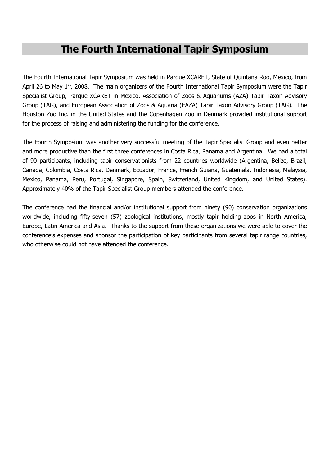## The Fourth International Tapir Symposium

The Fourth International Tapir Symposium was held in Parque XCARET, State of Quintana Roo, Mexico, from April 26 to May  $1<sup>st</sup>$ , 2008. The main organizers of the Fourth International Tapir Symposium were the Tapir Specialist Group, Parque XCARET in Mexico, Association of Zoos & Aquariums (AZA) Tapir Taxon Advisory Group (TAG), and European Association of Zoos & Aquaria (EAZA) Tapir Taxon Advisory Group (TAG). The Houston Zoo Inc. in the United States and the Copenhagen Zoo in Denmark provided institutional support for the process of raising and administering the funding for the conference.

The Fourth Symposium was another very successful meeting of the Tapir Specialist Group and even better and more productive than the first three conferences in Costa Rica, Panama and Argentina. We had a total of 90 participants, including tapir conservationists from 22 countries worldwide (Argentina, Belize, Brazil, Canada, Colombia, Costa Rica, Denmark, Ecuador, France, French Guiana, Guatemala, Indonesia, Malaysia, Mexico, Panama, Peru, Portugal, Singapore, Spain, Switzerland, United Kingdom, and United States). Approximately 40% of the Tapir Specialist Group members attended the conference.

The conference had the financial and/or institutional support from ninety (90) conservation organizations worldwide, including fifty-seven (57) zoological institutions, mostly tapir holding zoos in North America, Europe, Latin America and Asia. Thanks to the support from these organizations we were able to cover the conference's expenses and sponsor the participation of key participants from several tapir range countries, who otherwise could not have attended the conference.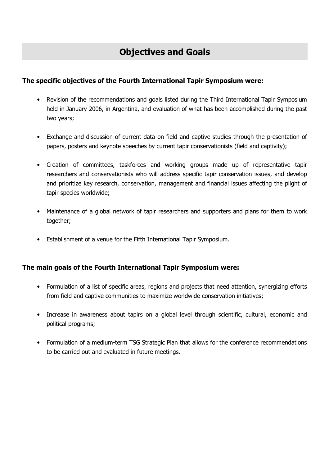#### The specific objectives of the Fourth International Tapir Symposium were:

- Revision of the recommendations and goals listed during the Third International Tapir Symposium held in January 2006, in Argentina, and evaluation of what has been accomplished during the past two years;
- Exchange and discussion of current data on field and captive studies through the presentation of papers, posters and keynote speeches by current tapir conservationists (field and captivity);
- Creation of committees, taskforces and working groups made up of representative tapir researchers and conservationists who will address specific tapir conservation issues, and develop and prioritize key research, conservation, management and financial issues affecting the plight of tapir species worldwide;
- Maintenance of a global network of tapir researchers and supporters and plans for them to work together;
- Establishment of a venue for the Fifth International Tapir Symposium.

#### The main goals of the Fourth International Tapir Symposium were:

- Formulation of a list of specific areas, regions and projects that need attention, synergizing efforts from field and captive communities to maximize worldwide conservation initiatives;
- Increase in awareness about tapirs on a global level through scientific, cultural, economic and political programs;
- Formulation of a medium-term TSG Strategic Plan that allows for the conference recommendations to be carried out and evaluated in future meetings.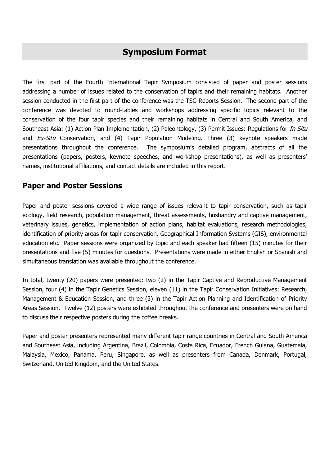## Symposium Format

The first part of the Fourth International Tapir Symposium consisted of paper and poster sessions addressing a number of issues related to the conservation of tapirs and their remaining habitats. Another session conducted in the first part of the conference was the TSG Reports Session. The second part of the conference was devoted to round-tables and workshops addressing specific topics relevant to the conservation of the four tapir species and their remaining habitats in Central and South America, and Southeast Asia: (1) Action Plan Implementation, (2) Paleontology, (3) Permit Issues: Regulations for *In-Situ* and  $Ex-Situ$  Conservation, and (4) Tapir Population Modeling. Three (3) keynote speakers made presentations throughout the conference. The symposium's detailed program, abstracts of all the presentations (papers, posters, keynote speeches, and workshop presentations), as well as presenters' names, institutional affiliations, and contact details are included in this report.

### Paper and Poster Sessions

Paper and poster sessions covered a wide range of issues relevant to tapir conservation, such as tapir ecology, field research, population management, threat assessments, husbandry and captive management, veterinary issues, genetics, implementation of action plans, habitat evaluations, research methodologies, identification of priority areas for tapir conservation, Geographical Information Systems (GIS), environmental education etc. Paper sessions were organized by topic and each speaker had fifteen (15) minutes for their presentations and five (5) minutes for questions. Presentations were made in either English or Spanish and simultaneous translation was available throughout the conference.

In total, twenty (20) papers were presented: two (2) in the Tapir Captive and Reproductive Management Session, four (4) in the Tapir Genetics Session, eleven (11) in the Tapir Conservation Initiatives: Research, Management & Education Session, and three (3) in the Tapir Action Planning and Identification of Priority Areas Session. Twelve (12) posters were exhibited throughout the conference and presenters were on hand to discuss their respective posters during the coffee breaks.

Paper and poster presenters represented many different tapir range countries in Central and South America and Southeast Asia, including Argentina, Brazil, Colombia, Costa Rica, Ecuador, French Guiana, Guatemala, Malaysia, Mexico, Panama, Peru, Singapore, as well as presenters from Canada, Denmark, Portugal, Switzerland, United Kingdom, and the United States.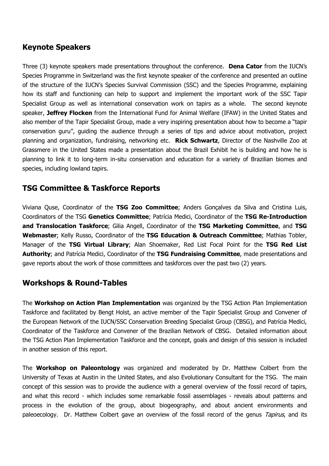### Keynote Speakers

Three (3) keynote speakers made presentations throughout the conference. **Dena Cator** from the IUCN's Species Programme in Switzerland was the first keynote speaker of the conference and presented an outline of the structure of the IUCN's Species Survival Commission (SSC) and the Species Programme, explaining how its staff and functioning can help to support and implement the important work of the SSC Tapir Specialist Group as well as international conservation work on tapirs as a whole. The second keynote speaker, Jeffrey Flocken from the International Fund for Animal Welfare (IFAW) in the United States and also member of the Tapir Specialist Group, made a very inspiring presentation about how to become a "tapir conservation guru", guiding the audience through a series of tips and advice about motivation, project planning and organization, fundraising, networking etc. Rick Schwartz, Director of the Nashville Zoo at Grassmere in the United States made a presentation about the Brazil Exhibit he is building and how he is planning to link it to long-term in-situ conservation and education for a variety of Brazilian biomes and species, including lowland tapirs.

### TSG Committee & Taskforce Reports

Viviana Quse, Coordinator of the TSG Zoo Committee; Anders Gonçalves da Silva and Cristina Luis, Coordinators of the TSG Genetics Committee; Patrícia Medici, Coordinator of the TSG Re-Introduction and Translocation Taskforce; Gilia Angell, Coordinator of the TSG Marketing Committee, and TSG Webmaster; Kelly Russo, Coordinator of the TSG Education & Outreach Committee; Mathias Tobler, Manager of the TSG Virtual Library; Alan Shoemaker, Red List Focal Point for the TSG Red List Authority; and Patrícia Medici, Coordinator of the TSG Fundraising Committee, made presentations and gave reports about the work of those committees and taskforces over the past two (2) years.

### Workshops & Round-Tables

The Workshop on Action Plan Implementation was organized by the TSG Action Plan Implementation Taskforce and facilitated by Bengt Holst, an active member of the Tapir Specialist Group and Convener of the European Network of the IUCN/SSC Conservation Breeding Specialist Group (CBSG), and Patrícia Medici, Coordinator of the Taskforce and Convener of the Brazilian Network of CBSG. Detailed information about the TSG Action Plan Implementation Taskforce and the concept, goals and design of this session is included in another session of this report.

The **Workshop on Paleontology** was organized and moderated by Dr. Matthew Colbert from the University of Texas at Austin in the United States, and also Evolutionary Consultant for the TSG. The main concept of this session was to provide the audience with a general overview of the fossil record of tapirs, and what this record - which includes some remarkable fossil assemblages - reveals about patterns and process in the evolution of the group, about biogeography, and about ancient environments and paleoecology. Dr. Matthew Colbert gave an overview of the fossil record of the genus Tapirus, and its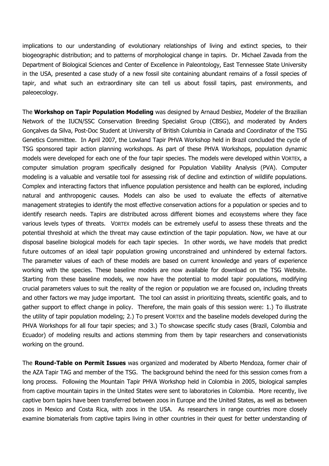implications to our understanding of evolutionary relationships of living and extinct species, to their biogeographic distribution; and to patterns of morphological change in tapirs. Dr. Michael Zavada from the Department of Biological Sciences and Center of Excellence in Paleontology, East Tennessee State University in the USA, presented a case study of a new fossil site containing abundant remains of a fossil species of tapir, and what such an extraordinary site can tell us about fossil tapirs, past environments, and paleoecology.

The Workshop on Tapir Population Modeling was designed by Arnaud Desbiez, Modeler of the Brazilian Network of the IUCN/SSC Conservation Breeding Specialist Group (CBSG), and moderated by Anders Gonçalves da Silva, Post-Doc Student at University of British Columbia in Canada and Coordinator of the TSG Genetics Committee. In April 2007, the Lowland Tapir PHVA Workshop held in Brazil concluded the cycle of TSG sponsored tapir action planning workshops. As part of these PHVA Workshops, population dynamic models were developed for each one of the four tapir species. The models were developed within VORTEX, a computer simulation program specifically designed for Population Viability Analysis (PVA). Computer modeling is a valuable and versatile tool for assessing risk of decline and extinction of wildlife populations. Complex and interacting factors that influence population persistence and health can be explored, including natural and anthropogenic causes. Models can also be used to evaluate the effects of alternative management strategies to identify the most effective conservation actions for a population or species and to identify research needs. Tapirs are distributed across different biomes and ecosystems where they face various levels types of threats. VORTEX models can be extremely useful to assess these threats and the potential threshold at which the threat may cause extinction of the tapir population. Now, we have at our disposal baseline biological models for each tapir species. In other words, we have models that predict future outcomes of an ideal tapir population growing unconstrained and unhindered by external factors. The parameter values of each of these models are based on current knowledge and years of experience working with the species. These baseline models are now available for download on the TSG Website. Starting from these baseline models, we now have the potential to model tapir populations, modifying crucial parameters values to suit the reality of the region or population we are focused on, including threats and other factors we may judge important. The tool can assist in prioritizing threats, scientific goals, and to gather support to effect change in policy. Therefore, the main goals of this session were: 1.) To illustrate the utility of tapir population modeling; 2.) To present VORTEX and the baseline models developed during the PHVA Workshops for all four tapir species; and 3.) To showcase specific study cases (Brazil, Colombia and Ecuador) of modeling results and actions stemming from them by tapir researchers and conservationists working on the ground.

The **Round-Table on Permit Issues** was organized and moderated by Alberto Mendoza, former chair of the AZA Tapir TAG and member of the TSG. The background behind the need for this session comes from a long process. Following the Mountain Tapir PHVA Workshop held in Colombia in 2005, biological samples from captive mountain tapirs in the United States were sent to laboratories in Colombia. More recently, live captive born tapirs have been transferred between zoos in Europe and the United States, as well as between zoos in Mexico and Costa Rica, with zoos in the USA. As researchers in range countries more closely examine biomaterials from captive tapirs living in other countries in their quest for better understanding of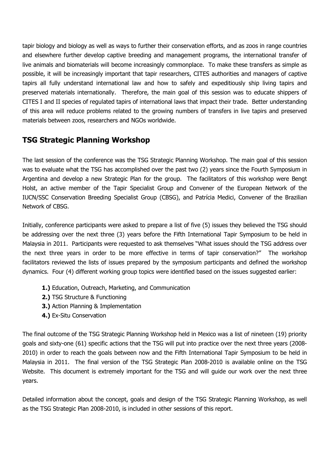tapir biology and biology as well as ways to further their conservation efforts, and as zoos in range countries and elsewhere further develop captive breeding and management programs, the international transfer of live animals and biomaterials will become increasingly commonplace. To make these transfers as simple as possible, it will be increasingly important that tapir researchers, CITES authorities and managers of captive tapirs all fully understand international law and how to safely and expeditiously ship living tapirs and preserved materials internationally. Therefore, the main goal of this session was to educate shippers of CITES I and II species of regulated tapirs of international laws that impact their trade. Better understanding of this area will reduce problems related to the growing numbers of transfers in live tapirs and preserved materials between zoos, researchers and NGOs worldwide.

### TSG Strategic Planning Workshop

The last session of the conference was the TSG Strategic Planning Workshop. The main goal of this session was to evaluate what the TSG has accomplished over the past two (2) years since the Fourth Symposium in Argentina and develop a new Strategic Plan for the group. The facilitators of this workshop were Bengt Holst, an active member of the Tapir Specialist Group and Convener of the European Network of the IUCN/SSC Conservation Breeding Specialist Group (CBSG), and Patrícia Medici, Convener of the Brazilian Network of CBSG.

Initially, conference participants were asked to prepare a list of five (5) issues they believed the TSG should be addressing over the next three (3) years before the Fifth International Tapir Symposium to be held in Malaysia in 2011. Participants were requested to ask themselves "What issues should the TSG address over the next three years in order to be more effective in terms of tapir conservation?" The workshop facilitators reviewed the lists of issues prepared by the symposium participants and defined the workshop dynamics. Four (4) different working group topics were identified based on the issues suggested earlier:

- 1.) Education, Outreach, Marketing, and Communication
- 2.) TSG Structure & Functioning
- 3.) Action Planning & Implementation
- 4.) Ex-Situ Conservation

The final outcome of the TSG Strategic Planning Workshop held in Mexico was a list of nineteen (19) priority goals and sixty-one (61) specific actions that the TSG will put into practice over the next three years (2008- 2010) in order to reach the goals between now and the Fifth International Tapir Symposium to be held in Malaysia in 2011. The final version of the TSG Strategic Plan 2008-2010 is available online on the TSG Website. This document is extremely important for the TSG and will guide our work over the next three years.

Detailed information about the concept, goals and design of the TSG Strategic Planning Workshop, as well as the TSG Strategic Plan 2008-2010, is included in other sessions of this report.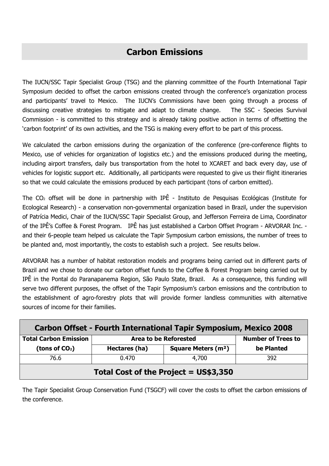## Carbon Emissions

The IUCN/SSC Tapir Specialist Group (TSG) and the planning committee of the Fourth International Tapir Symposium decided to offset the carbon emissions created through the conference's organization process and participants' travel to Mexico. The IUCN's Commissions have been going through a process of discussing creative strategies to mitigate and adapt to climate change. The SSC - Species Survival Commission - is committed to this strategy and is already taking positive action in terms of offsetting the 'carbon footprint' of its own activities, and the TSG is making every effort to be part of this process.

We calculated the carbon emissions during the organization of the conference (pre-conference flights to Mexico, use of vehicles for organization of logistics etc.) and the emissions produced during the meeting, including airport transfers, daily bus transportation from the hotel to XCARET and back every day, use of vehicles for logistic support etc. Additionally, all participants were requested to give us their flight itineraries so that we could calculate the emissions produced by each participant (tons of carbon emitted).

The  $CO<sub>2</sub>$  offset will be done in partnership with IPÊ - Instituto de Pesquisas Ecológicas (Institute for Ecological Research) - a conservation non-governmental organization based in Brazil, under the supervision of Patrícia Medici, Chair of the IUCN/SSC Tapir Specialist Group, and Jefferson Ferreira de Lima, Coordinator of the IPÊ's Coffee & Forest Program. IPÊ has just established a Carbon Offset Program - ARVORAR Inc. and their 6-people team helped us calculate the Tapir Symposium carbon emissions, the number of trees to be planted and, most importantly, the costs to establish such a project. See results below.

ARVORAR has a number of habitat restoration models and programs being carried out in different parts of Brazil and we chose to donate our carbon offset funds to the Coffee & Forest Program being carried out by IPÊ in the Pontal do Paranapanema Region, São Paulo State, Brazil. As a consequence, this funding will serve two different purposes, the offset of the Tapir Symposium's carbon emissions and the contribution to the establishment of agro-forestry plots that will provide former landless communities with alternative sources of income for their families.

| <b>Carbon Offset - Fourth International Tapir Symposium, Mexico 2008</b> |               |                                      |                           |
|--------------------------------------------------------------------------|---------------|--------------------------------------|---------------------------|
| <b>Total Carbon Emission</b>                                             |               | <b>Area to be Reforested</b>         | <b>Number of Trees to</b> |
| (tons of $CO2$ )                                                         | Hectares (ha) | <b>Square Meters (m<sup>2</sup>)</b> | be Planted                |
| 76.6                                                                     | 0.470         | 4,700                                | 392                       |
| Total Cost of the Project = US\$3,350                                    |               |                                      |                           |

The Tapir Specialist Group Conservation Fund (TSGCF) will cover the costs to offset the carbon emissions of the conference.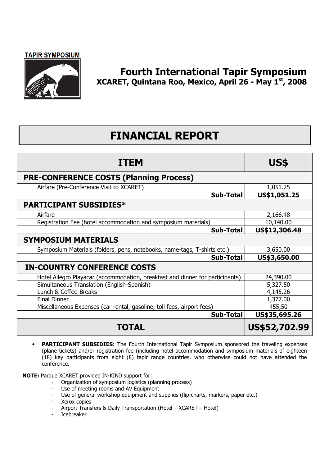

## Fourth International Tapir Symposium XCARET, Quintana Roo, Mexico, April 26 - May 1st, 2008

## FINANCIAL REPORT

| <b>ITEM</b>                                                                   | US\$          |
|-------------------------------------------------------------------------------|---------------|
| <b>PRE-CONFERENCE COSTS (Planning Process)</b>                                |               |
| Airfare (Pre-Conference Visit to XCARET)                                      | 1,051.25      |
| <b>Sub-Total</b>                                                              | US\$1,051.25  |
| <b>PARTICIPANT SUBSIDIES*</b>                                                 |               |
| Airfare                                                                       | 2,166.48      |
| Registration Fee (hotel accommodation and symposium materials)                | 10,140.00     |
| Sub-Total                                                                     | US\$12,306.48 |
| <b>SYMPOSIUM MATERIALS</b>                                                    |               |
| Symposium Materials (folders, pens, notebooks, name-tags, T-shirts etc.)      | 3,650.00      |
| Sub-Total                                                                     | US\$3,650.00  |
| <b>IN-COUNTRY CONFERENCE COSTS</b>                                            |               |
| Hotel Allegro Playacar (accommodation, breakfast and dinner for participants) | 24,390.00     |
| Simultaneous Translation (English-Spanish)                                    | 5,327.50      |
| Lunch & Coffee-Breaks                                                         | 4,145.26      |
| <b>Final Dinner</b>                                                           | 1,377.00      |
| Miscellaneous Expenses (car rental, gasoline, toll fees, airport fees)        | 455,50        |
| <b>Sub-Total</b>                                                              | US\$35,695.26 |
| TOTAL                                                                         | US\$52,702.99 |

• PARTICIPANT SUBSIDIES: The Fourth International Tapir Symposium sponsored the traveling expenses (plane tickets) and/or registration fee (including hotel accommodation and symposium materials of eighteen (18) key participants from eight (8) tapir range countries, who otherwise could not have attended the conference.

NOTE: Parque XCARET provided IN-KIND support for:

- Organization of symposium logistics (planning process)
- Use of meeting rooms and AV Equipment
- Use of general workshop equipment and supplies (flip-charts, markers, paper etc.)
- Xerox copies
- Airport Transfers & Daily Transportation (Hotel XCARET Hotel)
- Icebreaker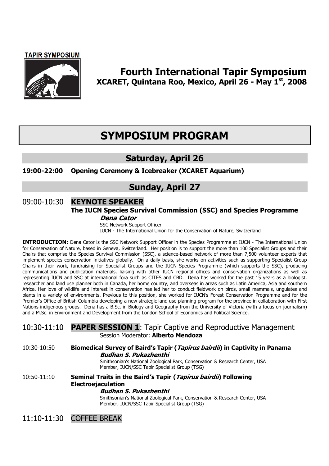

### Fourth International Tapir Symposium XCARET, Quintana Roo, Mexico, April 26 - May 1st, 2008

## SYMPOSIUM PROGRAM

## Saturday, April 26

#### 19:00-22:00 Opening Ceremony & Icebreaker (XCARET Aquarium)

## Sunday, April 27

## 09:00-10:30 **KEYNOTE SPEAKER**

#### The IUCN Species Survival Commission (SSC) and Species Programme

#### Dena Cator

 SSC Network Support Officer IUCN - The International Union for the Conservation of Nature, Switzerland

INTRODUCTION: Dena Cator is the SSC Network Support Officer in the Species Programme at IUCN - The International Union for Conservation of Nature, based in Geneva, Switzerland. Her position is to support the more than 100 Specialist Groups and their Chairs that comprise the Species Survival Commission (SSC), a science-based network of more than 7,500 volunteer experts that implement species conservation initiatives globally. On a daily basis, she works on activities such as supporting Specialist Group Chairs in their work, fundraising for Specialist Groups and the IUCN Species Programme (which supports the SSC), producing communications and publication materials, liaising with other IUCN regional offices and conservation organizations as well as representing IUCN and SSC at international fora such as CITES and CBD. Dena has worked for the past 15 years as a biologist, researcher and land use planner both in Canada, her home country, and overseas in areas such as Latin America, Asia and southern Africa. Her love of wildlife and interest in conservation has led her to conduct fieldwork on birds, small mammals, ungulates and plants in a variety of environments. Previous to this position, she worked for IUCN's Forest Conservation Programme and for the Premier's Office of British Columbia developing a new strategic land use planning program for the province in collaboration with First Nations indigenous groups. Dena has a B.Sc. in Biology and Geography from the University of Victoria (with a focus on journalism) and a M.Sc. in Environment and Development from the London School of Economics and Political Science.

#### 10:30-11:10 PAPER SESSION 1: Tapir Captive and Reproductive Management Session Moderator: Alberto Mendoza

10:30-10:50 Biomedical Survey of Baird's Tapir (*Tapirus bairdii*) in Captivity in Panama Budhan S. Pukazhenthi

> Smithsonian's National Zoological Park, Conservation & Research Center, USA Member, IUCN/SSC Tapir Specialist Group (TSG)

10:50-11:10 Seminal Traits in the Baird's Tapir (*Tapirus bairdii*) Following Electroejaculation Budhan S. Pukazhenthi

 Smithsonian's National Zoological Park, Conservation & Research Center, USA Member, IUCN/SSC Tapir Specialist Group (TSG)

11:10-11:30 COFFEE BREAK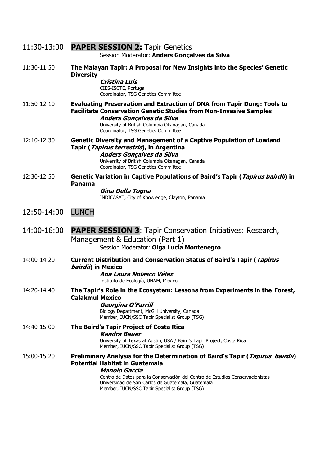|             | 11:30-13:00 PAPER SESSION 2: Tapir Genetics<br>Session Moderator: Anders Gonçalves da Silva                                                                                                                                                                                                                                    |
|-------------|--------------------------------------------------------------------------------------------------------------------------------------------------------------------------------------------------------------------------------------------------------------------------------------------------------------------------------|
| 11:30-11:50 | The Malayan Tapir: A Proposal for New Insights into the Species' Genetic<br><b>Diversity</b><br>Cristina Luís<br>CIES-ISCTE, Portugal<br>Coordinator, TSG Genetics Committee                                                                                                                                                   |
| 11:50-12:10 | <b>Evaluating Preservation and Extraction of DNA from Tapir Dung: Tools to</b><br><b>Facilitate Conservation Genetic Studies from Non-Invasive Samples</b><br>Anders Gonçalves da Silva<br>University of British Columbia Okanagan, Canada<br>Coordinator, TSG Genetics Committee                                              |
| 12:10-12:30 | <b>Genetic Diversity and Management of a Captive Population of Lowland</b><br>Tapir ( <i>Tapirus terrestris</i> ), in Argentina<br>Anders Gonçalves da Silva<br>University of British Columbia Okanagan, Canada<br>Coordinator, TSG Genetics Committee                                                                         |
| 12:30-12:50 | Genetic Variation in Captive Populations of Baird's Tapir (Tapirus bairdii) in<br><b>Panama</b><br>Gina Della Togna<br>INDICASAT, City of Knowledge, Clayton, Panama                                                                                                                                                           |
| 12:50-14:00 | <b>LUNCH</b>                                                                                                                                                                                                                                                                                                                   |
| 14:00-16:00 | <b>PAPER SESSION 3:</b> Tapir Conservation Initiatives: Research,<br>Management & Education (Part 1)<br>Session Moderator: Olga Lucía Montenegro                                                                                                                                                                               |
| 14:00-14:20 | <b>Current Distribution and Conservation Status of Baird's Tapir (Tapirus</b><br><i>bairdii</i> ) in Mexico<br>Ana Laura Nolasco Vélez<br>Instituto de Ecología, UNAM, Mexico                                                                                                                                                  |
| 14:20-14:40 | The Tapir's Role in the Ecosystem: Lessons from Experiments in the Forest,<br><b>Calakmul Mexico</b><br>Georgina O'Farrill<br>Biology Department, McGill University, Canada<br>Member, IUCN/SSC Tapir Specialist Group (TSG)                                                                                                   |
| 14:40-15:00 | The Baird's Tapir Project of Costa Rica<br><b>Kendra Bauer</b><br>University of Texas at Austin, USA / Baird's Tapir Project, Costa Rica<br>Member, IUCN/SSC Tapir Specialist Group (TSG)                                                                                                                                      |
| 15:00-15:20 | Preliminary Analysis for the Determination of Baird's Tapir (Tapirus bairdii)<br><b>Potential Habitat in Guatemala</b><br>Manolo García<br>Centro de Datos para la Conservación del Centro de Estudios Conservacionistas<br>Universidad de San Carlos de Guatemala, Guatemala<br>Member, IUCN/SSC Tapir Specialist Group (TSG) |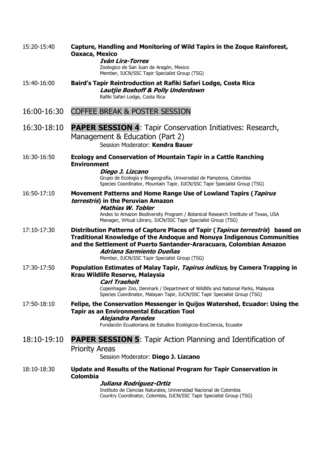| 15:20-15:40 | Capture, Handling and Monitoring of Wild Tapirs in the Zoque Rainforest,<br>Oaxaca, Mexico<br><b>Iván Lira-Torres</b><br>Zoologico de San Juan de Aragón, Mexico<br>Member, IUCN/SSC Tapir Specialist Group (TSG)                                                                                                   |
|-------------|---------------------------------------------------------------------------------------------------------------------------------------------------------------------------------------------------------------------------------------------------------------------------------------------------------------------|
| 15:40-16:00 | Baird's Tapir Reintroduction at Rafiki Safari Lodge, Costa Rica<br>Lautjie Boshoff & Polly Underdown<br>Rafiki Safari Lodge, Costa Rica                                                                                                                                                                             |
| 16:00-16:30 | <b>COFFEE BREAK &amp; POSTER SESSION</b>                                                                                                                                                                                                                                                                            |
| 16:30-18:10 | <b>PAPER SESSION 4:</b> Tapir Conservation Initiatives: Research,<br>Management & Education (Part 2)<br>Session Moderator: Kendra Bauer                                                                                                                                                                             |
| 16:30-16:50 | <b>Ecology and Conservation of Mountain Tapir in a Cattle Ranching</b><br><b>Environment</b><br>Diego J. Lizcano<br>Grupo de Ecología y Biogeografía, Universidad de Pamplona, Colombia<br>Species Coordinator, Mountain Tapir, IUCN/SSC Tapir Specialist Group (TSG)                                               |
| 16:50-17:10 | Movement Patterns and Home Range Use of Lowland Tapirs (Tapirus<br>terrestris) in the Peruvian Amazon<br><b>Mathias W. Tobler</b><br>Andes to Amazon Biodiversity Program / Botanical Research Institute of Texas, USA<br>Manager, Virtual Library, IUCN/SSC Tapir Specialist Group (TSG)                           |
| 17:10-17:30 | Distribution Patterns of Capture Places of Tapir (Tapirus terrestris) based on<br><b>Traditional Knowledge of the Andoque and Nonuya Indigenous Communities</b><br>and the Settlement of Puerto Santander-Araracuara, Colombian Amazon<br>Adriana Sarmiento Dueñas<br>Member, IUCN/SSC Tapir Specialist Group (TSG) |
| 17:30-17:50 | Population Estimates of Malay Tapir, Tapirus indicus, by Camera Trapping in<br>Krau Wildlife Reserve, Malaysia<br><b>Carl Traeholt</b><br>Copenhagen Zoo, Denmark / Department of Wildlife and National Parks, Malaysia<br>Species Coordinator, Malayan Tapir, IUCN/SSC Tapir Specialist Group (TSG)                |
| 17:50-18:10 | Felipe, the Conservation Messenger in Quijos Watershed, Ecuador: Using the<br><b>Tapir as an Environmental Education Tool</b><br><b>Alejandra Paredes</b><br>Fundación Ecuatoriana de Estudios Ecológicos-EcoCiencia, Ecuador                                                                                       |
| 18:10-19:10 | <b>PAPER SESSION 5:</b> Tapir Action Planning and Identification of<br><b>Priority Areas</b><br>Session Moderator: Diego J. Lizcano                                                                                                                                                                                 |
| 18:10-18:30 | Update and Results of the National Program for Tapir Conservation in<br><b>Colombia</b><br>Juliana Rodríguez-Ortiz<br>Instituto de Ciencias Naturales, Universidad Nacional de Colombia<br>Country Coordinator, Colombia, IUCN/SSC Tapir Specialist Group (TSG)                                                     |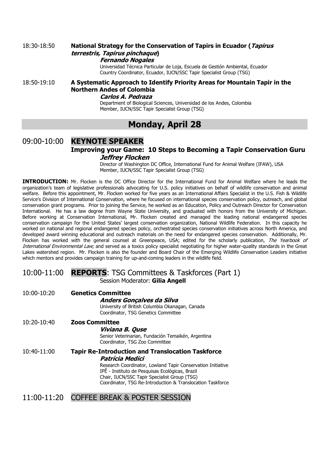#### 18:30-18:50 National Strategy for the Conservation of Tapirs in Ecuador (Tapirus terrestris, Tapirus pinchaque) Fernando Nogales

 Universidad Técnica Particular de Loja, Escuela de Gestión Ambiental, Ecuador Country Coordinator, Ecuador, IUCN/SSC Tapir Specialist Group (TSG)

#### 18:50-19:10 A Systematic Approach to Identify Priority Areas for Mountain Tapir in the Northern Andes of Colombia

#### Carlos A. Pedraza

 Department of Biological Sciences, Universidad de los Andes, Colombia Member, IUCN/SSC Tapir Specialist Group (TSG)

## Monday, April 28

#### 09:00-10:00 **KEYNOTE SPEAKER** Improving your Game: 10 Steps to Becoming a Tapir Conservation Guru Jeffrey Flocken

Director of Washington DC Office, International Fund for Animal Welfare (IFAW), USA Member, IUCN/SSC Tapir Specialist Group (TSG)

INTRODUCTION: Mr. Flocken is the DC Office Director for the International Fund for Animal Welfare where he leads the organization's team of legislative professionals advocating for U.S. policy initiatives on behalf of wildlife conservation and animal welfare. Before this appointment, Mr. Flocken worked for five years as an International Affairs Specialist in the U.S. Fish & Wildlife Service's Division of International Conservation, where he focused on international species conservation policy, outreach, and global conservation grant programs. Prior to joining the Service, he worked as an Education, Policy and Outreach Director for Conservation International. He has a law degree from Wayne State University, and graduated with honors from the University of Michigan. Before working at Conservation International, Mr. Flocken created and managed the leading national endangered species conservation campaign for the United States' largest conservation organization, National Wildlife Federation. In this capacity he worked on national and regional endangered species policy, orchestrated species conservation initiatives across North America, and developed award winning educational and outreach materials on the need for endangered species conservation. Additionally, Mr. Flocken has worked with the general counsel at Greenpeace, USA; edited for the scholarly publication, The Yearbook of International Environmental Law; and served as a toxics policy specialist negotiating for higher water-quality standards in the Great Lakes watershed region. Mr. Flocken is also the founder and Board Chair of the Emerging Wildlife Conservation Leaders initiative which mentors and provides campaign training for up-and-coming leaders in the wildlife field.

### 10:00-11:00 REPORTS: TSG Committees & Taskforces (Part 1)

Session Moderator: Gilia Angell

| 10:00-10:20 | <b>Genetics Committee</b><br>Anders Gonçalves da Silva<br>University of British Columbia Okanagan, Canada<br>Coordinator, TSG Genetics Committee                                                                                                                                                            |
|-------------|-------------------------------------------------------------------------------------------------------------------------------------------------------------------------------------------------------------------------------------------------------------------------------------------------------------|
| 10:20-10:40 | <b>Zoos Committee</b><br>Viviana B. Quse<br>Senior Veterinarian, Fundación Temaikén, Argentina<br>Coordinator, TSG Zoo Committee                                                                                                                                                                            |
| 10:40-11:00 | <b>Tapir Re-Introduction and Translocation Taskforce</b><br>Patrícia Medici<br>Research Coordinator, Lowland Tapir Conservation Initiative<br>IPÊ - Instituto de Pesquisas Ecológicas, Brazil<br>Chair, IUCN/SSC Tapir Specialist Group (TSG)<br>Coordinator, TSG Re-Introduction & Translocation Taskforce |

#### 11:00-11:20 COFFEE BREAK & POSTER SESSION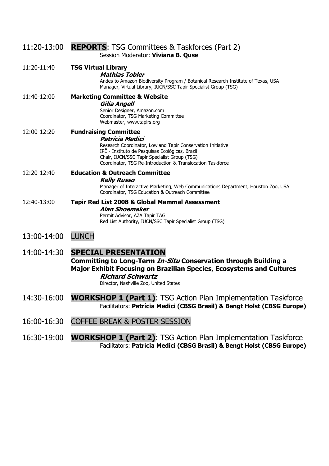| 11:20-13:00 | <b>REPORTS:</b> TSG Committees & Taskforces (Part 2)<br>Session Moderator: Viviana B. Quse                                                                                                                                                                                      |
|-------------|---------------------------------------------------------------------------------------------------------------------------------------------------------------------------------------------------------------------------------------------------------------------------------|
| 11:20-11:40 | <b>TSG Virtual Library</b><br><b>Mathias Tobler</b><br>Andes to Amazon Biodiversity Program / Botanical Research Institute of Texas, USA<br>Manager, Virtual Library, IUCN/SSC Tapir Specialist Group (TSG)                                                                     |
| 11:40-12:00 | <b>Marketing Committee &amp; Website</b><br>Gilia Angell<br>Senior Designer, Amazon.com<br>Coordinator, TSG Marketing Committee<br>Webmaster, www.tapirs.org                                                                                                                    |
| 12:00-12:20 | <b>Fundraising Committee</b><br>Patrícia Medici<br>Research Coordinator, Lowland Tapir Conservation Initiative<br>IPÊ - Instituto de Pesquisas Ecológicas, Brazil<br>Chair, IUCN/SSC Tapir Specialist Group (TSG)<br>Coordinator, TSG Re-Introduction & Translocation Taskforce |
| 12:20-12:40 | <b>Education &amp; Outreach Committee</b><br><b>Kelly Russo</b><br>Manager of Interactive Marketing, Web Communications Department, Houston Zoo, USA<br>Coordinator, TSG Education & Outreach Committee                                                                         |
| 12:40-13:00 | <b>Tapir Red List 2008 &amp; Global Mammal Assessment</b><br><b>Alan Shoemaker</b><br>Permit Advisor, AZA Tapir TAG<br>Red List Authority, IUCN/SSC Tapir Specialist Group (TSG)                                                                                                |
| 13:00-14:00 | <b>LUNCH</b>                                                                                                                                                                                                                                                                    |
| 14:00-14:30 | <b>SPECIAL PRESENTATION</b><br>Committing to Long-Term In-Situ Conservation through Building a<br>Major Exhibit Focusing on Brazilian Species, Ecosystems and Cultures<br><b>Richard Schwartz</b><br>Director, Nashville Zoo, United States                                     |
| 14:30-16:00 | <b>WORKSHOP 1 (Part 1): TSG Action Plan Implementation Taskforce</b><br>Facilitators: Patrícia Medici (CBSG Brasil) & Bengt Holst (CBSG Europe)                                                                                                                                 |
| 16:00-16:30 | <b>COFFEE BREAK &amp; POSTER SESSION</b>                                                                                                                                                                                                                                        |
|             |                                                                                                                                                                                                                                                                                 |

16:30-19:00 **WORKSHOP 1 (Part 2)**: TSG Action Plan Implementation Taskforce Facilitators: Patrícia Medici (CBSG Brasil) & Bengt Holst (CBSG Europe)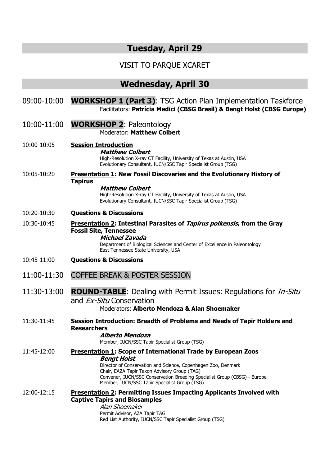## Tuesday, April 29

## VISIT TO PARQUE XCARET

## Wednesday, April 30

| 09:00-10:00 | <b>WORKSHOP 1 (Part 3): TSG Action Plan Implementation Taskforce</b><br>Facilitators: Patrícia Medici (CBSG Brasil) & Bengt Holst (CBSG Europe)                                                                                                                                                                                           |
|-------------|-------------------------------------------------------------------------------------------------------------------------------------------------------------------------------------------------------------------------------------------------------------------------------------------------------------------------------------------|
| 10:00-11:00 | <b>WORKSHOP 2: Paleontology</b><br>Moderator: Matthew Colbert                                                                                                                                                                                                                                                                             |
| 10:00-10:05 | <b>Session Introduction</b><br><b>Matthew Colbert</b><br>High-Resolution X-ray CT Facility, University of Texas at Austin, USA<br>Evolutionary Consultant, IUCN/SSC Tapir Specialist Group (TSG)                                                                                                                                          |
| 10:05-10:20 | <b>Presentation 1: New Fossil Discoveries and the Evolutionary History of</b><br><b>Tapirus</b><br><b>Matthew Colbert</b><br>High-Resolution X-ray CT Facility, University of Texas at Austin, USA<br>Evolutionary Consultant, IUCN/SSC Tapir Specialist Group (TSG)                                                                      |
| 10:20-10:30 | <b>Questions &amp; Discussions</b>                                                                                                                                                                                                                                                                                                        |
| 10:30-10:45 | Presentation 2: Intestinal Parasites of Tapirus polkensis, from the Gray<br><b>Fossil Site, Tennessee</b><br><b>Michael Zavada</b><br>Department of Biological Sciences and Center of Excellence in Paleontology<br>East Tennessee State University, USA                                                                                  |
| 10:45-11:00 | <b>Questions &amp; Discussions</b>                                                                                                                                                                                                                                                                                                        |
| 11:00-11:30 | <b>COFFEE BREAK &amp; POSTER SESSION</b>                                                                                                                                                                                                                                                                                                  |
| 11:30-13:00 | <b>ROUND-TABLE:</b> Dealing with Permit Issues: Regulations for <i>In-Situ</i><br>and Ex-Situ Conservation<br>Moderators: Alberto Mendoza & Alan Shoemaker                                                                                                                                                                                |
| 11:30-11:45 | <b>Session Introduction: Breadth of Problems and Needs of Tapir Holders and</b><br><b>Researchers</b><br>Alberto Mendoza<br>Member, IUCN/SSC Tapir Specialist Group (TSG)                                                                                                                                                                 |
| 11:45-12:00 | <b>Presentation 1: Scope of International Trade by European Zoos</b><br><b>Bengt Holst</b><br>Director of Conservation and Science, Copenhagen Zoo, Denmark<br>Chair, EAZA Tapir Taxon Advisory Group (TAG)<br>Convener, IUCN/SSC Conservation Breeding Specialist Group (CBSG) - Europe<br>Member, IUCN/SSC Tapir Specialist Group (TSG) |
| 12:00-12:15 | <b>Presentation 2: Permitting Issues Impacting Applicants Involved with</b><br><b>Captive Tapirs and Biosamples</b><br>Alan Shoemaker<br>Permit Advisor, AZA Tapir TAG                                                                                                                                                                    |

Red List Authority, IUCN/SSC Tapir Specialist Group (TSG)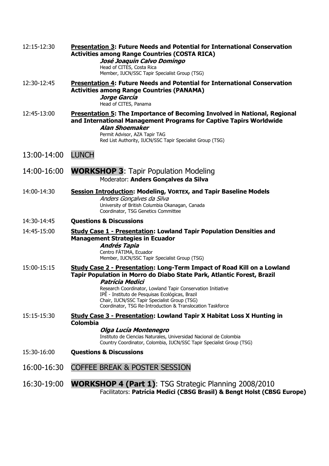| 12:15-12:30 | <b>Presentation 3: Future Needs and Potential for International Conservation</b><br><b>Activities among Range Countries (COSTA RICA)</b><br>José Joaquin Calvo Domingo<br>Head of CITES, Costa Rica<br>Member, IUCN/SSC Tapir Specialist Group (TSG)                                                                                                                                                        |
|-------------|-------------------------------------------------------------------------------------------------------------------------------------------------------------------------------------------------------------------------------------------------------------------------------------------------------------------------------------------------------------------------------------------------------------|
| 12:30-12:45 | Presentation 4: Future Needs and Potential for International Conservation<br><b>Activities among Range Countries (PANAMA)</b><br>Jorge García<br>Head of CITES, Panama                                                                                                                                                                                                                                      |
| 12:45-13:00 | <b>Presentation 5: The Importance of Becoming Involved in National, Regional</b><br>and International Management Programs for Captive Tapirs Worldwide<br>Alan Shoemaker<br>Permit Advisor, AZA Tapir TAG<br>Red List Authority, IUCN/SSC Tapir Specialist Group (TSG)                                                                                                                                      |
| 13:00-14:00 | <b>LUNCH</b>                                                                                                                                                                                                                                                                                                                                                                                                |
| 14:00-16:00 | <b>WORKSHOP 3: Tapir Population Modeling</b><br>Moderator: Anders Gonçalves da Silva                                                                                                                                                                                                                                                                                                                        |
| 14:00-14:30 | <b>Session Introduction: Modeling, VORTEX, and Tapir Baseline Models</b><br>Anders Gonçalves da Silva<br>University of British Columbia Okanagan, Canada<br>Coordinator, TSG Genetics Committee                                                                                                                                                                                                             |
| 14:30-14:45 | <b>Questions &amp; Discussions</b>                                                                                                                                                                                                                                                                                                                                                                          |
| 14:45-15:00 | <b>Study Case 1 - Presentation: Lowland Tapir Population Densities and</b><br><b>Management Strategies in Ecuador</b><br><b>Andrés Tapia</b><br>Centro FÁTIMA, Ecuador<br>Member, IUCN/SSC Tapir Specialist Group (TSG)                                                                                                                                                                                     |
| 15:00-15:15 | Study Case 2 - Presentation: Long-Term Impact of Road Kill on a Lowland<br>Tapir Population in Morro do Diabo State Park, Atlantic Forest, Brazil<br><b>Patrícia Medici</b><br>Research Coordinator, Lowland Tapir Conservation Initiative<br>IPÊ - Instituto de Pesquisas Ecológicas, Brazil<br>Chair, IUCN/SSC Tapir Specialist Group (TSG)<br>Coordinator, TSG Re-Introduction & Translocation Taskforce |
| 15:15-15:30 | <b>Study Case 3 - Presentation: Lowland Tapir X Habitat Loss X Hunting in</b><br><b>Colombia</b><br>Olga Lucía Montenegro<br>Instituto de Ciencias Naturales, Universidad Nacional de Colombia<br>Country Coordinator, Colombia, IUCN/SSC Tapir Specialist Group (TSG)                                                                                                                                      |
| 15:30-16:00 | <b>Questions &amp; Discussions</b>                                                                                                                                                                                                                                                                                                                                                                          |
| 16:00-16:30 | <b>COFFEE BREAK &amp; POSTER SESSION</b>                                                                                                                                                                                                                                                                                                                                                                    |
| 16:30-19:00 | <b>WORKSHOP 4 (Part 1): TSG Strategic Planning 2008/2010</b><br>Facilitators: Patrícia Medici (CBSG Brasil) & Bengt Holst (CBSG Europe)                                                                                                                                                                                                                                                                     |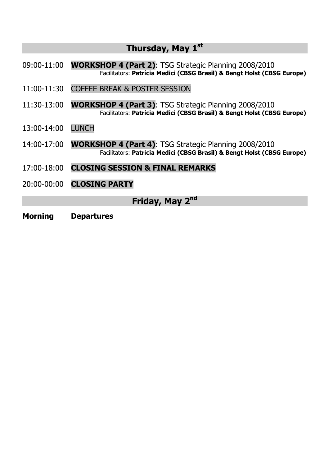## Thursday, May 1<sup>st</sup>

- 09:00-11:00 WORKSHOP 4 (Part 2): TSG Strategic Planning 2008/2010 Facilitators: Patrícia Medici (CBSG Brasil) & Bengt Holst (CBSG Europe)
- 11:00-11:30 COFFEE BREAK & POSTER SESSION
- 11:30-13:00 WORKSHOP 4 (Part 3): TSG Strategic Planning 2008/2010 Facilitators: Patrícia Medici (CBSG Brasil) & Bengt Holst (CBSG Europe)
- 13:00-14:00 LUNCH
- 14:00-17:00 WORKSHOP 4 (Part 4): TSG Strategic Planning 2008/2010 Facilitators: Patrícia Medici (CBSG Brasil) & Bengt Holst (CBSG Europe)
- 17:00-18:00 CLOSING SESSION & FINAL REMARKS
- 20:00-00:00 CLOSING PARTY

Friday, May 2<sup>nd</sup>

Morning Departures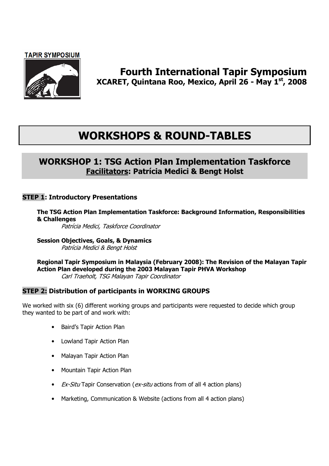

### Fourth International Tapir Symposium XCARET, Quintana Roo, Mexico, April 26 - May 1st, 2008

## WORKSHOPS & ROUND-TABLES

### WORKSHOP 1: TSG Action Plan Implementation Taskforce Facilitators: Patrícia Medici & Bengt Holst

#### STEP 1: Introductory Presentations

The TSG Action Plan Implementation Taskforce: Background Information, Responsibilities & Challenges

Patrícia Medici, Taskforce Coordinator

Session Objectives, Goals, & Dynamics Patrícia Medici & Bengt Holst

Regional Tapir Symposium in Malaysia (February 2008): The Revision of the Malayan Tapir Action Plan developed during the 2003 Malayan Tapir PHVA Workshop Carl Traeholt, TSG Malayan Tapir Coordinator

#### STEP 2: Distribution of participants in WORKING GROUPS

We worked with six (6) different working groups and participants were requested to decide which group they wanted to be part of and work with:

- Baird's Tapir Action Plan
- Lowland Tapir Action Plan
- Malayan Tapir Action Plan
- Mountain Tapir Action Plan
- *Ex-Situ* Tapir Conservation ( $ex$ -situ actions from of all 4 action plans)
- Marketing, Communication & Website (actions from all 4 action plans)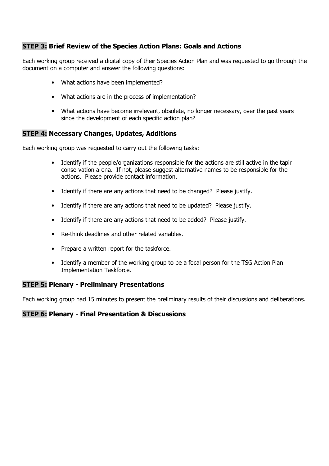#### STEP 3: Brief Review of the Species Action Plans: Goals and Actions

Each working group received a digital copy of their Species Action Plan and was requested to go through the document on a computer and answer the following questions:

- What actions have been implemented?
- What actions are in the process of implementation?
- What actions have become irrelevant, obsolete, no longer necessary, over the past years since the development of each specific action plan?

#### STEP 4: Necessary Changes, Updates, Additions

Each working group was requested to carry out the following tasks:

- Identify if the people/organizations responsible for the actions are still active in the tapir conservation arena. If not, please suggest alternative names to be responsible for the actions. Please provide contact information.
- Identify if there are any actions that need to be changed? Please justify.
- Identify if there are any actions that need to be updated? Please justify.
- Identify if there are any actions that need to be added? Please justify.
- Re-think deadlines and other related variables.
- Prepare a written report for the taskforce.
- Identify a member of the working group to be a focal person for the TSG Action Plan Implementation Taskforce.

#### STEP 5: Plenary - Preliminary Presentations

Each working group had 15 minutes to present the preliminary results of their discussions and deliberations.

#### STEP 6: Plenary - Final Presentation & Discussions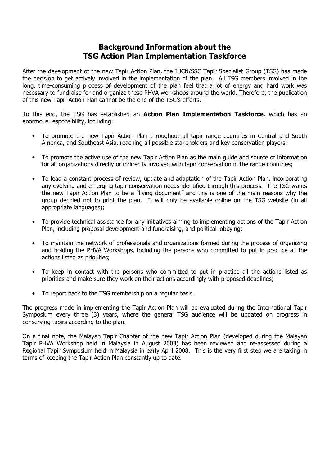### Background Information about the TSG Action Plan Implementation Taskforce

After the development of the new Tapir Action Plan, the IUCN/SSC Tapir Specialist Group (TSG) has made the decision to get actively involved in the implementation of the plan. All TSG members involved in the long, time-consuming process of development of the plan feel that a lot of energy and hard work was necessary to fundraise for and organize these PHVA workshops around the world. Therefore, the publication of this new Tapir Action Plan cannot be the end of the TSG's efforts.

To this end, the TSG has established an **Action Plan Implementation Taskforce**, which has an enormous responsibility, including:

- To promote the new Tapir Action Plan throughout all tapir range countries in Central and South America, and Southeast Asia, reaching all possible stakeholders and key conservation players;
- To promote the active use of the new Tapir Action Plan as the main guide and source of information for all organizations directly or indirectly involved with tapir conservation in the range countries;
- To lead a constant process of review, update and adaptation of the Tapir Action Plan, incorporating any evolving and emerging tapir conservation needs identified through this process. The TSG wants the new Tapir Action Plan to be a "living document" and this is one of the main reasons why the group decided not to print the plan. It will only be available online on the TSG website (in all appropriate languages);
- To provide technical assistance for any initiatives aiming to implementing actions of the Tapir Action Plan, including proposal development and fundraising, and political lobbying;
- To maintain the network of professionals and organizations formed during the process of organizing and holding the PHVA Workshops, including the persons who committed to put in practice all the actions listed as priorities;
- To keep in contact with the persons who committed to put in practice all the actions listed as priorities and make sure they work on their actions accordingly with proposed deadlines;
- To report back to the TSG membership on a regular basis.

The progress made in implementing the Tapir Action Plan will be evaluated during the International Tapir Symposium every three (3) years, where the general TSG audience will be updated on progress in conserving tapirs according to the plan.

On a final note, the Malayan Tapir Chapter of the new Tapir Action Plan (developed during the Malayan Tapir PHVA Workshop held in Malaysia in August 2003) has been reviewed and re-assessed during a Regional Tapir Symposium held in Malaysia in early April 2008. This is the very first step we are taking in terms of keeping the Tapir Action Plan constantly up to date.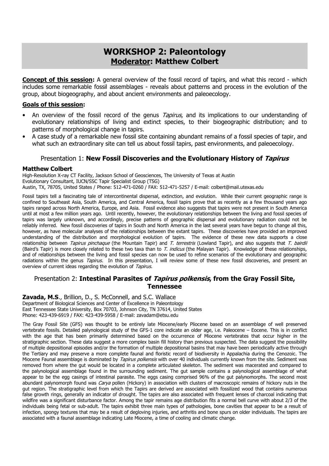### WORKSHOP 2: Paleontology Moderator: Matthew Colbert

**Concept of this session:** A general overview of the fossil record of tapirs, and what this record - which includes some remarkable fossil assemblages - reveals about patterns and process in the evolution of the group, about biogeography, and about ancient environments and paleoecology.

#### Goals of this session:

- An overview of the fossil record of the genus *Tapirus*, and its implications to our understanding of evolutionary relationships of living and extinct species, to their biogeographic distribution; and to patterns of morphological change in tapirs.
- A case study of a remarkable new fossil site containing abundant remains of a fossil species of tapir, and what such an extraordinary site can tell us about fossil tapirs, past environments, and paleoecology.

#### Presentation 1: New Fossil Discoveries and the Evolutionary History of Tapirus

#### Matthew Colbert

High-Resolution X-ray CT Facility, Jackson School of Geosciences, The University of Texas at Austin Evolutionary Consultant, IUCN/SSC Tapir Specialist Group (TSG) Austin, TX, 78705, United States / Phone: 512-471-0260 / FAX: 512-471-5257 / E-mail: colbert@mail.utexas.edu

Fossil tapirs tell a fascinating tale of intercontinental dispersal, extinction, and evolution. While their current geographic range is confined to Southeast Asia, South America, and Central America, fossil tapirs prove that as recently as a few thousand years ago tapirs ranged across North America, Europe, and Asia. Fossil evidence also suggests that tapirs were not present in South America until at most a few million years ago. Until recently, however, the evolutionary relationships between the living and fossil species of tapirs was largely unknown, and accordingly, precise patterns of geographic dispersal and evolutionary radiation could not be reliably inferred. New fossil discoveries of tapirs in South and North America in the last several years have begun to change all this, however, as have molecular analyses of the relationships between the extant tapirs. These discoveries have provided an improved understanding of the distribution and morphological evolution of tapirs. The evidence of these new data supports a close relationship between Tapirus pinchaque (the Mountain Tapir) and T. terrestris (Lowland Tapir), and also suggests that T. bairdii (Baird's Tapir) is more closely related to these two taxa than to T. indicus (the Malayan Tapir). Knowledge of these relationships, and of relationships between the living and fossil species can now be used to refine scenarios of the evolutionary and geographic radiations within the genus Tapirus. In this presentation, I will review some of these new fossil discoveries, and present an overview of current ideas regarding the evolution of Tapirus.

#### Presentation 2: Intestinal Parasites of Tapirus polkensis, from the Gray Fossil Site, Tennessee

Zavada, M.S., Brillion, D., S. McConnell, and S.C. Wallace

Department of Biological Sciences and Center of Excellence in Paleontology East Tennessee State University, Box 70703, Johnson City, TN 37614, United States Phone: 423-439-6919 / FAX: 423-439-5958 / E-mail: zavadam@etsu.edu

The Gray Fossil Site (GFS) was thought to be entirely late Miocene/early Pliocene based on an assemblage of well preserved vertebrate fossils. Detailed palynological study of the GFS-1 core indicate an older age, i.e. Paleocene – Eocene. This is in conflict with the age that has been primarily determined based on the occurrence of Miocene vertebrates that occur higher in the stratigraphic section. These data suggest a more complex basin fill history than previous suspected. The data suggest the possibility of multiple depositional episodes and/or the formation of multiple depositional basins that may have been periodically active through the Tertiary and may preserve a more complete faunal and floristic record of biodiversity in Appalachia during the Cenozoic. The Miocene Faunal assemblage is dominated by Tapirus polkensis with over 40 individuals currently known from the site. Sediment was removed from where the gut would be located in a complete articulated skeleton. The sediment was macerated and compared to the palynological assemblage found in the surrounding sediment. The gut sample contains a palynological assemblage of what appear to be the egg casings of intestinal parasite. The eggs casing comprised 96% of the gut palynomorphs. The second most abundant palynomorph found was Carya pollen (Hickory) in association with clusters of macroscopic remains of hickory nuts in the gut region. The stratigraphic level from which the Tapirs are derived are associated with fossilized wood that contains numerous false growth rings, generally an indicator of drought. The tapirs are also associated with frequent lenses of charcoal indicating that wildfire was a significant disturbance factor. Among the tapir remains age distribution fits a normal bell curve with about 2/3 of the individuals being fetal or sub-adult. The tapirs exhibit three main types of pathologies, bone cavities that appear to be a result of infection, spongy textures that may be a result of degloving injuries, and arthritis and bone spurs on older individuals. The tapirs are associated with a faunal assemblage indicating Late Miocene, a time of cooling and climatic change.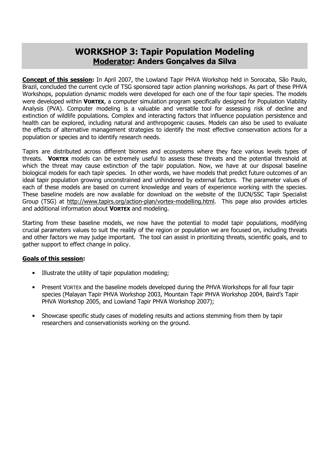## WORKSHOP 3: Tapir Population Modeling Moderator: Anders Gonçalves da Silva

Concept of this session: In April 2007, the Lowland Tapir PHVA Workshop held in Sorocaba, São Paulo, Brazil, concluded the current cycle of TSG sponsored tapir action planning workshops. As part of these PHVA Workshops, population dynamic models were developed for each one of the four tapir species. The models were developed within VORTEX, a computer simulation program specifically designed for Population Viability Analysis (PVA). Computer modeling is a valuable and versatile tool for assessing risk of decline and extinction of wildlife populations. Complex and interacting factors that influence population persistence and health can be explored, including natural and anthropogenic causes. Models can also be used to evaluate the effects of alternative management strategies to identify the most effective conservation actions for a population or species and to identify research needs.

Tapirs are distributed across different biomes and ecosystems where they face various levels types of threats. VORTEX models can be extremely useful to assess these threats and the potential threshold at which the threat may cause extinction of the tapir population. Now, we have at our disposal baseline biological models for each tapir species. In other words, we have models that predict future outcomes of an ideal tapir population growing unconstrained and unhindered by external factors. The parameter values of each of these models are based on current knowledge and years of experience working with the species. These baseline models are now available for download on the website of the IUCN/SSC Tapir Specialist Group (TSG) at http://www.tapirs.org/action-plan/vortex-modelling.html. This page also provides articles and additional information about VORTEX and modeling.

Starting from these baseline models, we now have the potential to model tapir populations, modifying crucial parameters values to suit the reality of the region or population we are focused on, including threats and other factors we may judge important. The tool can assist in prioritizing threats, scientific goals, and to gather support to effect change in policy.

#### Goals of this session:

- Illustrate the utility of tapir population modeling;
- Present VORTEX and the baseline models developed during the PHVA Workshops for all four tapir species (Malayan Tapir PHVA Workshop 2003, Mountain Tapir PHVA Workshop 2004, Baird's Tapir PHVA Workshop 2005, and Lowland Tapir PHVA Workshop 2007);
- Showcase specific study cases of modeling results and actions stemming from them by tapir researchers and conservationists working on the ground.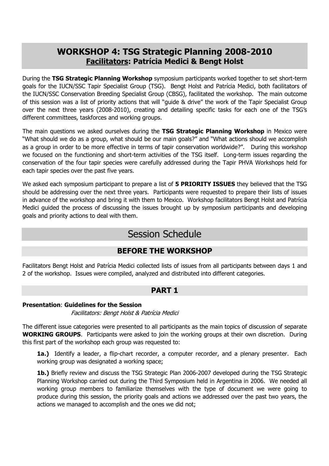## WORKSHOP 4: TSG Strategic Planning 2008-2010 Facilitators: Patrícia Medici & Bengt Holst

During the TSG Strategic Planning Workshop symposium participants worked together to set short-term goals for the IUCN/SSC Tapir Specialist Group (TSG). Bengt Holst and Patrícia Medici, both facilitators of the IUCN/SSC Conservation Breeding Specialist Group (CBSG), facilitated the workshop. The main outcome of this session was a list of priority actions that will "guide & drive" the work of the Tapir Specialist Group over the next three years (2008-2010), creating and detailing specific tasks for each one of the TSG's different committees, taskforces and working groups.

The main questions we asked ourselves during the TSG Strategic Planning Workshop in Mexico were "What should we do as a group, what should be our main goals?" and "What actions should we accomplish as a group in order to be more effective in terms of tapir conservation worldwide?". During this workshop we focused on the functioning and short-term activities of the TSG itself. Long-term issues regarding the conservation of the four tapir species were carefully addressed during the Tapir PHVA Workshops held for each tapir species over the past five years.

We asked each symposium participant to prepare a list of 5 PRIORITY ISSUES they believed that the TSG should be addressing over the next three years. Participants were requested to prepare their lists of issues in advance of the workshop and bring it with them to Mexico. Workshop facilitators Bengt Holst and Patrícia Medici guided the process of discussing the issues brought up by symposium participants and developing goals and priority actions to deal with them.

## Session Schedule

### BEFORE THE WORKSHOP

Facilitators Bengt Holst and Patrícia Medici collected lists of issues from all participants between days 1 and 2 of the workshop. Issues were compiled, analyzed and distributed into different categories.

### PART 1

#### Presentation: Guidelines for the Session

Facilitators: Bengt Holst & Patrícia Medici

The different issue categories were presented to all participants as the main topics of discussion of separate WORKING GROUPS. Participants were asked to join the working groups at their own discretion. During this first part of the workshop each group was requested to:

1a.) Identify a leader, a flip-chart recorder, a computer recorder, and a plenary presenter. Each working group was designated a working space;

1b.) Briefly review and discuss the TSG Strategic Plan 2006-2007 developed during the TSG Strategic Planning Workshop carried out during the Third Symposium held in Argentina in 2006. We needed all working group members to familiarize themselves with the type of document we were going to produce during this session, the priority goals and actions we addressed over the past two years, the actions we managed to accomplish and the ones we did not;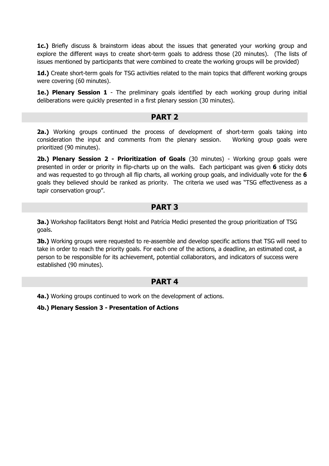**1c.)** Briefly discuss & brainstorm ideas about the issues that generated your working group and explore the different ways to create short-term goals to address those (20 minutes). (The lists of issues mentioned by participants that were combined to create the working groups will be provided)

1d.) Create short-term goals for TSG activities related to the main topics that different working groups were covering (60 minutes).

1e.) Plenary Session 1 - The preliminary goals identified by each working group during initial deliberations were quickly presented in a first plenary session (30 minutes).

#### PART 2

**2a.)** Working groups continued the process of development of short-term goals taking into consideration the input and comments from the plenary session. Working group goals were prioritized (90 minutes).

2b.) Plenary Session 2 - Prioritization of Goals (30 minutes) - Working group goals were presented in order or priority in flip-charts up on the walls. Each participant was given 6 sticky dots and was requested to go through all flip charts, all working group goals, and individually vote for the 6 goals they believed should be ranked as priority. The criteria we used was "TSG effectiveness as a tapir conservation group".

#### PART 3

3a.) Workshop facilitators Bengt Holst and Patrícia Medici presented the group prioritization of TSG goals.

**3b.)** Working groups were requested to re-assemble and develop specific actions that TSG will need to take in order to reach the priority goals. For each one of the actions, a deadline, an estimated cost, a person to be responsible for its achievement, potential collaborators, and indicators of success were established (90 minutes).

### PART 4

4a.) Working groups continued to work on the development of actions.

4b.) Plenary Session 3 - Presentation of Actions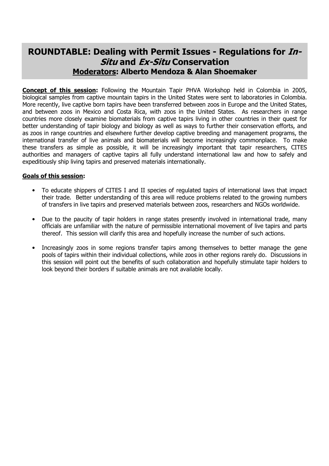## ROUNDTABLE: Dealing with Permit Issues - Regulations for In-Situ and Ex-Situ Conservation Moderators: Alberto Mendoza & Alan Shoemaker

**Concept of this session:** Following the Mountain Tapir PHVA Workshop held in Colombia in 2005, biological samples from captive mountain tapirs in the United States were sent to laboratories in Colombia. More recently, live captive born tapirs have been transferred between zoos in Europe and the United States, and between zoos in Mexico and Costa Rica, with zoos in the United States. As researchers in range countries more closely examine biomaterials from captive tapirs living in other countries in their quest for better understanding of tapir biology and biology as well as ways to further their conservation efforts, and as zoos in range countries and elsewhere further develop captive breeding and management programs, the international transfer of live animals and biomaterials will become increasingly commonplace. To make these transfers as simple as possible, it will be increasingly important that tapir researchers, CITES authorities and managers of captive tapirs all fully understand international law and how to safely and expeditiously ship living tapirs and preserved materials internationally.

#### Goals of this session:

- To educate shippers of CITES I and II species of regulated tapirs of international laws that impact their trade. Better understanding of this area will reduce problems related to the growing numbers of transfers in live tapirs and preserved materials between zoos, researchers and NGOs worldwide.
- Due to the paucity of tapir holders in range states presently involved in international trade, many officials are unfamiliar with the nature of permissible international movement of live tapirs and parts thereof. This session will clarify this area and hopefully increase the number of such actions.
- Increasingly zoos in some regions transfer tapirs among themselves to better manage the gene pools of tapirs within their individual collections, while zoos in other regions rarely do. Discussions in this session will point out the benefits of such collaboration and hopefully stimulate tapir holders to look beyond their borders if suitable animals are not available locally.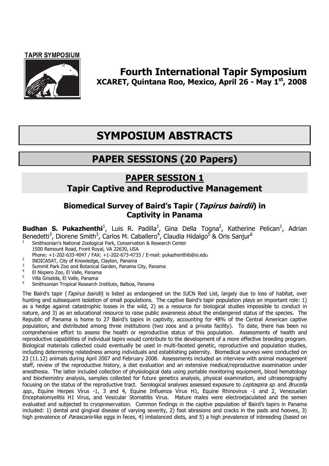#### **TAPIR SYMPOSIUM**



## Fourth International Tapir Symposium XCARET, Quintana Roo, Mexico, April 26 - May 1st, 2008

# SYMPOSIUM ABSTRACTS

# PAPER SESSIONS (20 Papers)

## PAPER SESSION 1 Tapir Captive and Reproductive Management

### Biomedical Survey of Baird's Tapir (Tapirus bairdii) in Captivity in Panama

**Budhan S. Pukazhenthi**<sup>1</sup>, Luis R. Padilla<sup>1</sup>, Gina Della Togna<sup>2</sup>, Katherine Pelican<sup>1</sup>, Adrian Benedetti<sup>3</sup>, Diorene Smith<sup>3</sup>, Carlos M. Caballero<sup>4</sup>, Claudia Hidalgo<sup>5</sup> & Oris Sanjur<sup>6</sup>

- <sup>1</sup> Smithsonian's National Zoological Park, Conservation & Research Center 1500 Remount Road, Front Royal, VA 22630, USA
- Phone: +1-202-633-4047 / FAX: +1-202-673-4733 / E-mail: pukazhenthib@si.edu
- <sup>2</sup> INDICASAT, City of Knowledge, Clayton, Panama
- <sup>3</sup> Summit Park Zoo and Botanical Garden, Panama City, Panama
- <sup>4</sup> El Nispero Zoo, El Valle, Panama
- <sup>5</sup>Villa Griselda, El Valle, Panama
- <sup>6</sup>Smithsonian Tropical Research Institute, Balboa, Panama

The Baird's tapir (Tapirus bairdii) is listed as endangered on the IUCN Red List, largely due to loss of habitat, over hunting and subsequent isolation of small populations. The captive Baird's tapir population plays an important role: 1) as a hedge against catastrophic losses in the wild, 2) as a resource for biological studies impossible to conduct in nature, and 3) as an educational resource to raise public awareness about the endangered status of the species. The Republic of Panama is home to 27 Baird's tapirs in captivity, accounting for 48% of the Central American captive population, and distributed among three institutions (two zoos and a private facility). To date, there has been no comprehensive effort to assess the health or reproductive status of this population. Assessments of health and reproductive capabilities of individual tapirs would contribute to the development of a more effective breeding program. Biological materials collected could eventually be used in multi-faceted genetic, reproductive and population studies, including determining relatedness among individuals and establishing paternity. Biomedical surveys were conducted on 23 (11.12) animals during April 2007 and February 2008. Assessments included an interview with animal management staff, review of the reproductive history, a diet evaluation and an extensive medical/reproductive examination under anesthesia. The latter included collection of physiological data using portable monitoring equipment, blood hematology and biochemistry analysis, samples collected for future genetics analysis, physical examination, and ultrasonography focusing on the status of the reproductive tract. Serological analyses assessed exposure to Leptospira sp. and Brucella spp., Equine Herpes Virus -1, 3 and 4, Equine Influenza Virus H1, Equine Rhinovirus -1 and 2, Venezuelan Encephalomyelitis H1 Virus, and Vesicular Stomatitis Virus. Mature males were electroejaculated and the semen evaluated and subjected to cryopreservation. Common findings in the captive population of Baird's tapirs in Panama included: 1) dental and gingival disease of varying severity, 2) foot abrasions and cracks in the pads and hooves, 3) high prevalence of *Parascaris*-like eggs in feces, 4) imbalanced diets, and 5) a high prevalence of inbreeding (based on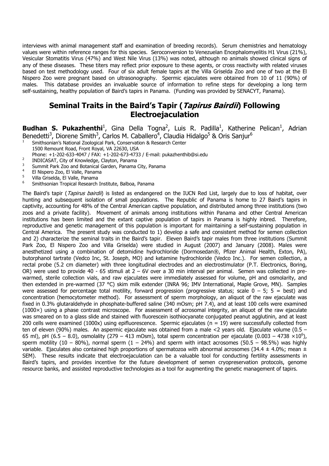interviews with animal management staff and examination of breeding records). Serum chemistries and hematology values were within reference ranges for this species. Seroconversion to Venezuelan Encephalomyelitis H1 Virus (21%), Vesicular Stomatitis Virus (47%) and West Nile Virus (13%) was noted, although no animals showed clinical signs of any of these diseases. These titers may reflect prior exposure to these agents, or cross reactivity with related viruses based on test methodology used. Four of six adult female tapirs at the Villa Griselda Zoo and one of two at the El Nispero Zoo were pregnant based on ultrasonography. Spermic ejaculates were obtained from 10 of 11 (90%) of males. This database provides an invaluable source of information to refine steps for developing a long term self-sustaining, healthy population of Baird's tapirs in Panama. (Funding was provided by SENACYT, Panama).

### Seminal Traits in the Baird's Tapir (*Tapirus Bairdii*) Following Electroejaculation

#### Budhan S. Pukazhenthi<sup>1</sup>, Gina Della Togna<sup>2</sup>, Luis R. Padilla<sup>1</sup>, Katherine Pelican<sup>1</sup>, Adrian Benedetti<sup>3</sup>, Diorene Smith<sup>3</sup>, Carlos M. Caballero<sup>4</sup>, Claudia Hidalgo<sup>5</sup> & Oris Sanjur<sup>6</sup>

- <sup>1</sup>Smithsonian's National Zoological Park, Conservation & Research Center
- 1500 Remount Road, Front Royal, VA 22630, USA
- Phone: +1-202-633-4047 / FAX: +1-202-673-4733 / E-mail: pukazhenthib@si.edu
- <sup>2</sup> INDICASAT, City of Knowledge, Clayton, Panama<br><sup>3</sup> Summit Park 700 and Pateniaal Carden, Panama
- <sup>3</sup> Summit Park Zoo and Botanical Garden, Panama City, Panama
- <sup>4</sup> El Nispero Zoo, El Valle, Panama
- $5$  Villa Griselda, El Valle, Panama
- <sup>6</sup>Smithsonian Tropical Research Institute, Balboa, Panama

The Baird's tapir (Tapirus bairdii) is listed as endangered on the IUCN Red List, largely due to loss of habitat, over hunting and subsequent isolation of small populations. The Republic of Panama is home to 27 Baird's tapirs in captivity, accounting for 48% of the Central American captive population, and distributed among three institutions (two zoos and a private facility). Movement of animals among institutions within Panama and other Central American institutions has been limited and the extant captive population of tapirs in Panama is highly inbred. Therefore, reproductive and genetic management of this population is important for maintaining a self-sustaining population in Central America. The present study was conducted to 1) develop a safe and consistent method for semen collection and 2) characterize the seminal traits in the Baird's tapir. Eleven Baird's tapir males from three institutions (Summit Park Zoo, El Nispero Zoo and Villa Griselda) were studied in August (2007) and January (2008). Males were anesthetized using a combination of detomidine hydrochloride (Dormosedan®, Pfizer Animal Health, Exton, PA), butorphanol tartrate (Vedco Inc, St. Joseph, MO) and ketamine hydrochloride (Vedco Inc.). For semen collection, a rectal probe (5.2 cm diameter) with three longitudinal electrodes and an electrostimulator (P.T. Electronics, Boring, OR) were used to provide 40 - 65 stimuli at 2 – 6V over a 30 min interval per animal. Semen was collected in prewarmed, sterile collection vials, and raw ejaculates were immediately assessed for volume, pH and osmolarity, and then extended in pre-warmed (37 °C) skim milk extender (INRA 96; IMV International, Maple Grove, MN). Samples were assessed for percentage total motility, forward progression (progressive status; scale  $0 - 5$ ;  $5 =$  best) and concentration (hemocytometer method). For assessment of sperm morphology, an aliquot of the raw ejaculate was fixed in 0.3% glutaraldehyde in phosphate-buffered saline (340 mOsm; pH 7.4), and at least 100 cells were examined (1000×) using a phase contrast microscope. For assessment of acrosomal integrity, an aliquot of the raw ejaculate was smeared on to a glass slide and stained with fluorescein isothiocyanate conjugated peanut agglutinin, and at least 200 cells were examined (1000x) using epifluorescence. Spermic ejaculates ( $n = 19$ ) were successfully collected from ten of eleven (90%) males. An aspermic ejaculate was obtained from a male <2 years old. Ejaculate volume (0.5 – 65 ml), pH (6.5 – 8.0), osmolality (279 – 413 mOsm), total sperm concentration per ejaculate (0.003 – 4738  $\times10^6$ ), sperm motility (10 – 80%), normal sperm (1 – 24%) and sperm with intact acrosomes (50.5 – 98.5%) was highly variable. Ejaculates also contained high proportions of spermatozoa with abnormal acrosomes (34.4  $\pm$  4.0%; mean  $\pm$ SEM). These results indicate that electroejaculation can be a valuable tool for conducting fertility assessments in Baird's tapirs, and provides incentive for the future development of semen cryopreservation protocols, genome resource banks, and assisted reproductive technologies as a tool for augmenting the genetic management of tapirs.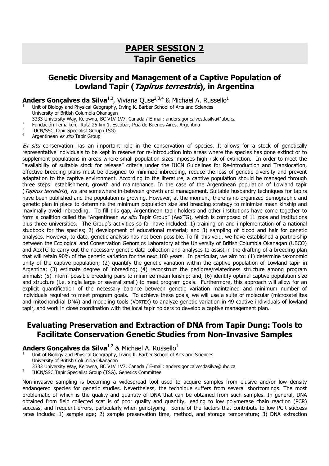## PAPER SESSION 2 Tapir Genetics

## Genetic Diversity and Management of a Captive Population of Lowland Tapir (*Tapirus terrestris*), in Argentina

**Anders Gonçalves da Silva<sup>1,3</sup>, Viviana Quse<sup>2,3,4</sup> & Michael A. Russello<sup>1</sup><br><sup>1</sup> Unit of Biology and Physical Geography, Irving K. Barber School of Arts and Sciences** 

University of British Columbia Okanagan

- 3333 University Way, Kelowna, BC V1V 1V7, Canada / E-mail: anders.goncalvesdasilva@ubc.ca
- 2 Fundación Temaikén, Ruta 25 km 1, Escobar, Pcia de Buenos Aires, Argentina
- 3 IUCN/SSC Tapir Specialist Group (TSG)
- 4 Argentinean ex situ Tapir Group

Ex situ conservation has an important role in the conservation of species. It allows for a stock of genetically representative individuals to be kept in reserve for re-introduction into areas where the species has gone extinct or to supplement populations in areas where small population sizes imposes high risk of extinction. In order to meet the "availability of suitable stock for release" criteria under the IUCN Guidelines for Re-introduction and Translocation, effective breeding plans must be designed to minimize inbreeding, reduce the loss of genetic diversity and prevent adaptation to the captive environment. According to the literature, a captive population should be managed through three steps: establishment, growth and maintenance. In the case of the Argentinean population of Lowland tapir (Tapirus terrestris), we are somewhere in-between growth and management. Suitable husbandry techniques for tapirs have been published and the population is growing. However, at the moment, there is no organized demographic and genetic plan in place to determine the minimum population size and breeding strategy to minimize mean kinship and maximally avoid inbreeding. To fill this gap, Argentinean tapir holders and other institutions have come together to form a coalition called the "Argentinean ex situ Tapir Group" (AexTG), which is composed of 11 zoos and institutions plus three universities. The Group's activities so far have included: 1) training on and implementation of a national studbook for the species; 2) development of educational material; and 3) sampling of blood and hair for genetic analyses. However, to date, genetic analysis has not been possible. To fill this void, we have established a partnership between the Ecological and Conservation Genomics Laboratory at the University of British Columbia Okanagan (UBCO) and AexTG to carry out the necessary genetic data collection and analyses to assist in the drafting of a breeding plan that will retain 90% of the genetic variation for the next 100 years. In particular, we aim to: (1) determine taxonomic unity of the captive population; (2) quantify the genetic variation within the captive population of Lowland tapir in Argentina; (3) estimate degree of inbreeding; (4) reconstruct the pedigree/relatedness structure among program animals; (5) inform possible breeding pairs to minimize mean kinship; and, (6) identify optimal captive population size and structure (i.e. single large or several small) to meet program goals. Furthermore, this approach will allow for an explicit quantification of the necessary balance between genetic variation maintained and minimum number of individuals required to meet program goals. To achieve these goals, we will use a suite of molecular (microsatellites and mitochondrial DNA) and modeling tools (VORTEX) to analyze genetic variation in 49 captive individuals of lowland tapir, and work in close coordination with the local tapir holders to develop a captive management plan.

### Evaluating Preservation and Extraction of DNA from Tapir Dung: Tools to Facilitate Conservation Genetic Studies from Non-Invasive Samples

#### Anders Gonçalves da Silva $^{1,2}$  & Michael A. Russello<sup>1</sup>

Unit of Biology and Physical Geography, Irving K. Barber School of Arts and Sciences

University of British Columbia Okanagan

1

3333 University Way, Kelowna, BC V1V 1V7, Canada / E-mail: anders.goncalvesdasilva@ubc.ca

2 IUCN/SSC Tapir Specialist Group (TSG), Genetics Committee

Non-invasive sampling is becoming a widespread tool used to acquire samples from elusive and/or low density endangered species for genetic studies. Nevertheless, the technique suffers from several shortcomings. The most problematic of which is the quality and quantity of DNA that can be obtained from such samples. In general, DNA obtained from field collected scat is of poor quality and quantity, leading to low polymerase chain reaction (PCR) success, and frequent errors, particularly when genotyping. Some of the factors that contribute to low PCR success rates include: 1) sample age; 2) sample preservation time, method, and storage temperature; 3) DNA extraction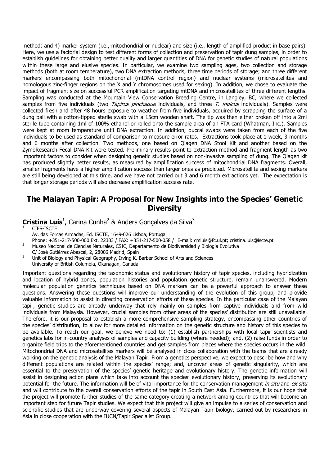method; and 4) marker system (i.e., mitochondrial or nuclear) and size (i.e., length of amplified product in base pairs). Here, we use a factorial design to test different forms of collection and preservation of tapir dung samples, in order to establish guidelines for obtaining better quality and larger quantities of DNA for genetic studies of natural populations within these large and elusive species. In particular, we examine two sampling ages, two collection and storage methods (both at room temperature), two DNA extraction methods, three time periods of storage; and three different markers encompassing both mitochondrial (mtDNA control region) and nuclear systems (microsatellites and homologous zinc-finger regions on the X and Y chromosomes used for sexing). In addition, we chose to evaluate the impact of fragment size on successful PCR amplification targeting mtDNA and microsatellites of three different lengths. Sampling was conducted at the Mountain View Conservation Breeding Centre, in Langley, BC, where we collected samples from five individuals (two Tapirus pinchaque individuals, and three T. indicus individuals). Samples were collected fresh and after 48 hours exposure to weather from five individuals, acquired by scrapping the surface of a dung ball with a cotton-tipped sterile swab with a 15cm wooden shaft. The tip was then either broken off into a 2ml sterile tube containing 1ml of 100% ethanol or rolled onto the sample area of an FTA card (Whatman, Inc.). Samples were kept at room temperature until DNA extraction. In addition, buccal swabs were taken from each of the five individuals to be used as standard of comparison to measure error rates. Extractions took place at 1 week, 3 months and 6 months after collection. Two methods, one based on Qiagen DNA Stool Kit and another based on the ZymoResearch Fecal DNA Kit were tested. Preliminary results point to extraction method and fragment length as two important factors to consider when designing genetic studies based on non-invasive sampling of dung. The Qiagen kit has produced slightly better results, as measured by amplification success of mitochondrial DNA fragments. Overall, smaller fragments have a higher amplification success than larger ones as predicted. Microsatellite and sexing markers are still being developed at this time, and we have not carried out 3 and 6 month extractions yet. The expectation is that longer storage periods will also decrease amplification success rate.

#### The Malayan Tapir: A Proposal for New Insights into the Species' Genetic **Diversity**

Cristina Luís<sup>1</sup>, Carina Cunha<sup>2</sup> & Anders Gonçalves da Silva<sup>3</sup>

CIES-ISCTE

Av. das Forças Armadas, Ed. ISCTE, 1649-026 Lisboa, Portugal

Phone: +351-217-500-000 Ext. 22303 / FAX: +351-217-500-058 / E-mail: cmluis@fc.ul.pt; cristina.luis@iscte.pt

- <sup>2</sup>Museo Nacional de Ciencias Naturales, CSIC, Departamento de Biodiversidad y Biología Evolutiva
- C/ José Gutiérrez Abascal, 2, 28006 Madrid, Spain
- Unit of Biology and Physical Geography, Irving K. Barber School of Arts and Sciences University of British Columbia, Okanagan, Canada

Important questions regarding the taxonomic status and evolutionary history of tapir species, including hybridization and location of hybrid zones, population histories and population genetic structure, remain unanswered. Modern molecular population genetics techniques based on DNA markers can be a powerful approach to answer these questions. Answering these questions will improve our understanding of the evolution of this group, and provide valuable information to assist in directing conservation efforts of these species. In the particular case of the Malayan tapir, genetic studies are already underway that rely mainly on samples from captive individuals and from wild individuals from Malaysia. However, crucial samples from other areas of the species' distribution are still unavailable. Therefore, it is our proposal to establish a more comprehensive sampling strategy, encompassing other countries of the species' distribution, to allow for more detailed information on the genetic structure and history of this species to be available. To reach our goal, we believe we need to: (1) establish partnerships with local tapir scientists and genetics labs for in-country analyses of samples and capacity building (where needed); and, (2) raise funds in order to organize field trips to the aforementioned countries and get samples from places where the species occurs in the wild. Mitochondrial DNA and microsatellites markers will be analysed in close collaboration with the teams that are already working on the genetic analysis of the Malayan Tapir. From a genetics perspective, we expect to describe how and why different populations are related within the species' range; and, uncover areas of genetic singularity, which are essential to the preservation of the species' genetic heritage and evolutionary history. The genetic information will assist in designing action plans which take into account the species' evolutionary history, preserving its evolutionary potential for the future. The information will be of vital importance for the conservation management in situ and ex situ and will contribute to the overall conservation efforts of the tapir in South East Asia. Furthermore, it is our hope that the project will promote further studies of the same category creating a network among countries that will become an important step for future Tapir studies. We expect that this project will give an impulse to a series of conservation and scientific studies that are underway covering several aspects of Malayan Tapir biology, carried out by researchers in Asia in close cooperation with the IUCN/Tapir Specialist Group.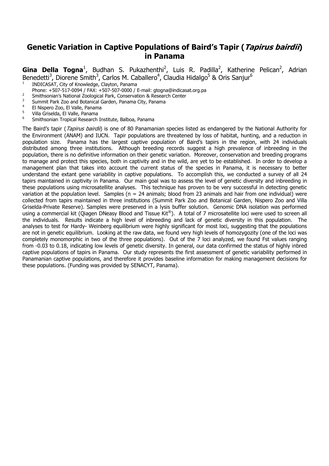### Genetic Variation in Captive Populations of Baird's Tapir (Tapirus bairdii) in Panama

Gina Della Togna<sup>1</sup>, Budhan S. Pukazhenthi<sup>2</sup>, Luis R. Padilla<sup>2</sup>, Katherine Pelican<sup>2</sup>, Adrian Benedetti<sup>3</sup>, Diorene Smith<sup>3</sup>, Carlos M. Caballero<sup>4</sup>, Claudia Hidalgo<sup>5</sup> & Oris Sanjur<sup>6</sup>

- <sup>1</sup>INDICASAT, City of Knowledge, Clayton, Panama
- Phone: +507-517-0094 / FAX: +507-507-0000 / E-mail: gtogna@indicasat.org.pa
- 2 <sup>2</sup> Smithsonian's National Zoological Park, Conservation & Research Center
- <sup>3</sup> Summit Park Zoo and Botanical Garden, Panama City, Panama
- <sup>4</sup> El Nispero Zoo, El Valle, Panama
- <sup>5</sup> Villa Griselda, El Valle, Panama
- <sup>6</sup>Smithsonian Tropical Research Institute, Balboa, Panama

The Baird's tapir (*Tapirus bairdii*) is one of 80 Panamanian species listed as endangered by the National Authority for the Environment (ANAM) and IUCN. Tapir populations are threatened by loss of habitat, hunting, and a reduction in population size. Panama has the largest captive population of Baird's tapirs in the region, with 24 individuals distributed among three institutions. Although breeding records suggest a high prevalence of inbreeding in the population, there is no definitive information on their genetic variation. Moreover, conservation and breeding programs to manage and protect this species, both in captivity and in the wild, are yet to be established. In order to develop a management plan that takes into account the current status of the species in Panama, it is necessary to better understand the extant gene variability in captive populations. To accomplish this, we conducted a survey of all 24 tapirs maintained in captivity in Panama. Our main goal was to assess the level of genetic diversity and inbreeding in these populations using microsatellite analyses. This technique has proven to be very successful in detecting genetic variation at the population level. Samples ( $n = 24$  animals; blood from 23 animals and hair from one individual) were collected from tapirs maintained in three institutions (Summit Park Zoo and Botanical Garden, Nispero Zoo and Villa Griselda-Private Reserve). Samples were preserved in a lysis buffer solution. Genomic DNA isolation was performed using a commercial kit (Qiagen DNeasy Blood and Tissue Kit®). A total of 7 microsatellite loci were used to screen all the individuals. Results indicate a high level of inbreeding and lack of genetic diversity in this population. The analyses to test for Hardy- Weinberg equilibrium were highly significant for most loci, suggesting that the populations are not in genetic equilibrium. Looking at the raw data, we found very high levels of homozygozity (one of the loci was completely monomorphic in two of the three populations). Out of the 7 loci analyzed, we found Fst values ranging from -0.03 to 0.18, indicating low levels of genetic diversity. In general, our data confirmed the status of highly inbred captive populations of tapirs in Panama. Our study represents the first assessment of genetic variability performed in Panamanian captive populations, and therefore it provides baseline information for making management decisions for these populations. (Funding was provided by SENACYT, Panama).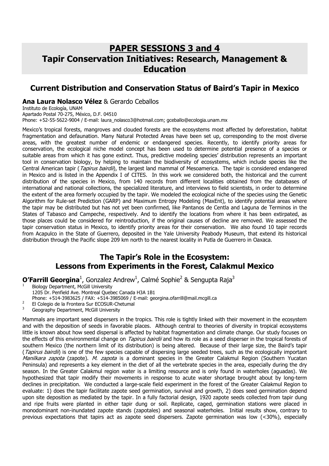## PAPER SESSIONS 3 and 4 Tapir Conservation Initiatives: Research, Management & Education

### Current Distribution and Conservation Status of Baird's Tapir in Mexico

#### Ana Laura Nolasco Vélez & Gerardo Ceballos

Instituto de Ecología, UNAM Apartado Postal 70-275, México, D.F. 04510 Phone: +52-55-5622-9004 / E-mail: laura\_nolasco3@hotmail.com; gceballo@ecologia.unam.mx

Mexico's tropical forests, mangroves and clouded forests are the ecosystems most affected by deforestation, habitat fragmentation and defaunation. Many Natural Protected Areas have been set up, corresponding to the most diverse areas, with the greatest number of endemic or endangered species. Recently, to identify priority areas for conservation, the ecological niche model concept has been used to determine potential presence of a species or suitable areas from which it has gone extinct. Thus, predictive modeling species' distribution represents an important tool in conservation biology, by helping to maintain the biodiversity of ecosystems, which include species like the Central American tapir (Tapirus bairdii), the largest land mammal of Mesoamerica. The tapir is considered endangered in Mexico and is listed in the Appendix I of CITES. In this work we considered both, the historical and the current distribution of the species in Mexico, from 140 records from different localities obtained from the databases of international and national collections, the specialized literature, and interviews to field scientists, in order to determine the extent of the area formerly occupied by the tapir. We modeled the ecological niche of the species using the Genetic Algorithm for Rule-set Prediction (GARP) and Maximum Entropy Modeling (MaxEnt), to identify potential areas where the tapir may be distributed but has not yet been confirmed, like Pantanos de Centla and Laguna de Terminos in the States of Tabasco and Campeche, respectively. And to identify the locations from where it has been extirpated, as those places could be considered for reintroduction, if the original causes of decline are removed. We assessed the tapir conservation status in Mexico, to identify priority areas for their conservation. We also found 10 tapir records from Acapulco in the State of Guerrero, deposited in the Yale University Peabody Museum, that extend its historical distribution through the Pacific slope 209 km north to the nearest locality in Putla de Guerrero in Oaxaca.

#### The Tapir's Role in the Ecosystem: Lessons from Experiments in the Forest, Calakmul Mexico

**O'Farrill Georgina**<sup>1</sup>, Gonzalez Andrew<sup>1</sup>, Calmé Sophie<sup>2</sup> & Sengupta Raja<sup>3</sup>

<sup>1</sup>Biology Department, McGill University

1205 Dr. Penfield Ave. Montreal Quebec Canada H3A 1B1

- Phone: +514-3983625 / FAX: +514-3985069 / E-mail: georgina.ofarrill@mail.mcgill.ca
- <sup>2</sup> El Colegio de la Frontera Sur ECOSUR-Chetumal
- <sup>3</sup>Geography Department, McGill University

Mammals are important seed dispersers in the tropics. This role is tightly linked with their movement in the ecosystem and with the deposition of seeds in favorable places. Although central to theories of diversity in tropical ecosystems little is known about how seed dispersal is affected by habitat fragmentation and climate change. Our study focuses on the effects of this environmental change on *Tapirus bairdii* and how its role as a seed disperser in the tropical forests of southern Mexico (the northern limit of its distribution) is being altered. Because of their large size, the Baird's tapir (Tapirus bairdii) is one of the few species capable of dispersing large seeded trees, such as the ecologically important Manilkara zapota (zapote). M. zapota is a dominant species in the Greater Calakmul Region (Southern Yucatan Peninsula) and represents a key element in the diet of all the vertebrate species in the area, especially during the dry season. In the Greater Calakmul region water is a limiting resource and is only found in waterholes (aguadas). We hypothesized that tapir modify their movements in response to acute water shortage brought about by long-term declines in precipitation. We conducted a large-scale field experiment in the forest of the Greater Calakmul Region to evaluate: 1) does the tapir facilitate zapote seed germination, survival and growth, 2) does seed germination depend upon site deposition as mediated by the tapir. In a fully factorial design, 1920 zapote seeds collected from tapir dung and ripe fruits were planted in either tapir dung or soil. Replicate, caged, germination stations were placed in monodominant non-inundated zapote stands (zapotales) and seasonal waterholes. Initial results show, contrary to previous expectations that tapirs act as zapote seed dispersers. Zapote germination was low (<30%), especially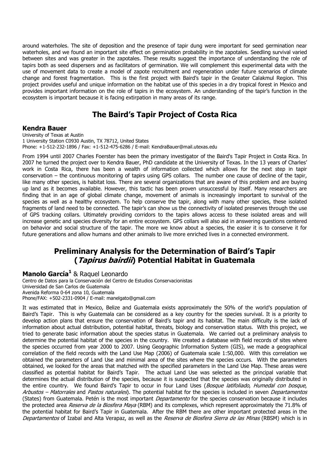around waterholes. The site of deposition and the presence of tapir dung were important for seed germination near waterholes, and we found an important site effect on germination probability in the zapotales. Seedling survival varied between sites and was greater in the zapotales. These results suggest the importance of understanding the role of tapirs both as seed dispersers and as facilitators of germination. We will complement this experimental data with the use of movement data to create a model of zapote recruitment and regeneration under future scenarios of climate change and forest fragmentation. This is the first project with Baird's tapir in the Greater Calakmul Region. This project provides useful and unique information on the habitat use of this species in a dry tropical forest in Mexico and provides important information on the role of tapirs in the ecosystem. An understanding of the tapir's function in the ecosystem is important because it is facing extirpation in many areas of its range.

## The Baird's Tapir Project of Costa Rica

#### Kendra Bauer

University of Texas at Austin 1 University Station C0930 Austin, TX 78712, United States Phone: +1-512-232-1896 / Fax: +1-512-475-6286 / E-mail: KendraBauer@mail.utexas.edu

From 1994 until 2007 Charles Foerster has been the primary investigator of the Baird's Tapir Project in Costa Rica. In 2007 he turned the project over to Kendra Bauer, PhD candidate at the University of Texas. In the 13 years of Charles' work in Costa Rica, there has been a wealth of information collected which allows for the next step in tapir conservation – the continuous monitoring of tapirs using GPS collars. The number one cause of decline of the tapir, like many other species, is habitat loss. There are several organizations that are aware of this problem and are buying up land as it becomes available. However, this tactic has been proven unsuccessful by itself. Many researchers are finding that in an age of global climate change, movement of animals is increasingly important to survival of the species as well as a healthy ecosystem. To help conserve the tapir, along with many other species, these isolated fragments of land need to be connected. The tapir's can show us the connectivity of isolated preserves through the use of GPS tracking collars. Ultimately providing corridors to the tapirs allows access to these isolated areas and will increase genetic and species diversity for an entire ecosystem. GPS collars will also aid in answering questions centered on behavior and social structure of the tapir. The more we know about a species, the easier it is to conserve it for future generations and allow humans and other animals to live more enriched lives in a connected environment.

## Preliminary Analysis for the Determination of Baird's Tapir (*Tapirus bairdii*) Potential Habitat in Guatemala

#### Manolo García<sup>1</sup> & Raquel Leonardo

Centro de Datos para la Conservación del Centro de Estudios Conservacionistas Universidad de San Carlos de Guatemala Avenida Reforma 0-64 zona 10, Guatemala Phone/FAX: +502-2331-0904 / E-mail: manelgato@gmail.com

It was estimated that in Mexico, Belize and Guatemala exists approximately the 50% of the world's population of Baird's Tapir. This is why Guatemala can be considered as a key country for the species survival. It is a priority to develop action plans that ensure the conservation of Baird's tapir and its habitat. The main difficulty is the lack of information about actual distribution, potential habitat, threats, biology and conservation status. With this project, we tried to generate basic information about the species status in Guatemala. We carried out a preliminary analysis to determine the potential habitat of the species in the country. We created a database with field records of sites where the species occurred from year 2000 to 2007. Using Geographic Information System (GIS), we made a geographical correlation of the field records with the Land Use Map (2006) of Guatemala scale 1:50,000. With this correlation we obtained the parameters of Land Use and minimal area of the sites where the species occurs. With the parameters obtained, we looked for the areas that matched with the specified parameters in the Land Use Map. These areas were classified as potential habitat for Baird's Tapir. The actual Land Use was selected as the principal variable that determines the actual distribution of the species, because it is suspected that the species was originally distributed in the entire country. We found Baird's Tapir to occur in four Land Uses (Bosque latifoliado, Humedal con bosque, Arbustos – Matorrales and Pastos naturales). The potential habitat for the species is included in seven Departamentos (States) from Guatemala. Petén is the most important *Departamento* for the species conservation because it includes the protected area Reserva de la Biosfera Maya (RBM) and its complexes, which represent approximately the 71.8% of the potential habitat for Baird's Tapir in Guatemala. After the RBM there are other important protected areas in the Departamentos of Izabal and Alta Verapaz, as well as the Reserva de Biosfera Sierra de las Minas (RBSM) which is in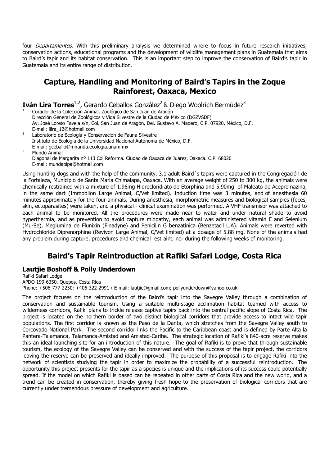four *Departamentos*. With this preliminary analysis we determined where to focus in future research initiatives, conservation actions, educational programs and the development of wildlife management plans in Guatemala that aims to Baird's tapir and its habitat conservation. This is an important step to improve the conservation of Baird's tapir in Guatemala and its entire range of distribution.

### Capture, Handling and Monitoring of Baird's Tapirs in the Zoque Rainforest, Oaxaca, Mexico

**Iván Lira Torres**<sup>1,2</sup>, Gerardo Ceballos González<sup>2</sup> & Diego Woolrich Bermúdez<sup>3</sup>

<sup>1</sup>Curador de la Colección Animal, Zoológico de San Juan de Aragón Dirección General de Zoológicos y Vida Silvestre de la Ciudad de México (DGZVSDF) Av. José Loreto Favela s/n, Col. San Juan de Aragón, Del. Gustavo A. Madero, C.P. 07920, México, D.F. E-mail: ilira\_12@hotmail.com

<sup>2</sup>Laboratorio de Ecología y Conservación de Fauna Silvestre Instituto de Ecología de la Universidad Nacional Autónoma de México, D.F. E-mail: gceballo@miranda.ecologia.unam.mx <sup>3</sup> Mundo Animal

Diagonal de Margarita nº 113 Col Reforma. Ciudad de Oaxaca de Juárez, Oaxaca. C.P. 68020 E-mail: mundapipa@hotmail.com

Using hunting dogs and with the help of the community, 3.1 adult Baird´s tapirs were captured in the Congregación de la Fortaleza, Municipio de Santa María Chimalapa, Oaxaca. With an average weight of 250 to 300 kg, the animals were chemically restrained with a mixture of 1.96mg Hidrocloridrato de Etorphina and 5.90mg of Maleato de Acepromazina, in the same dart (Immobilon Large Animal, C/Vet limited). Induction time was 3 minutes, and of anesthesia 60 minutes approximately for the four animals. During anesthesia, morphometric measures and biological samples (feces, skin, ectoparasites) were taken, and a physical - clinical examination was performed. A VHF transmisor was attached to each animal to be monitored. All the procedures were made near to water and under natural shade to avoid hyperthermia, and as prevention to avoid capture miopathy, each animal was administered vitamin E and Selenium (Mu-Se), Meglumina de Flunixin (Finadyne) and Penicilin G benzatínica (Benzetacil L.A). Animals were reverted with Hydrochloride Diprenorphine (Revivon Large Animal, C/Vet limited) at a dosage of 5.88 mg. None of the animals had any problem during capture, procedures and chemical restraint, nor during the following weeks of monitoring.

## Baird's Tapir Reintroduction at Rafiki Safari Lodge, Costa Rica

#### Lautjie Boshoff & Polly Underdown

Rafiki Safari Lodge APDO 199-6350, Quepos, Costa Rica Phone: +506-777-2250; +406-322-2991 / E-mail: lautjie@gmail.com; pollyunderdown@yahoo.co.uk

The project focuses on the reintroduction of the Baird's tapir into the Savegre Valley through a combination of conservation and sustainable tourism. Using a suitable multi-stage acclimation habitat teamed with access to wilderness corridors, Rafiki plans to trickle release captive tapirs back into the central pacific slope of Costa Rica. The project is located on the northern border of two distinct biological corridors that provide access to intact wild tapir populations. The first corridor is known as the Paso de la Danta, which stretches from the Savegre Valley south to Corcovado National Park. The second corridor links the Pacific to the Caribbean coast and is defined by Parte Alta la Pantera-Talamanca, Talamanca-Amistad and Amistad-Caribe. The strategic location of Rafiki's 840-acre reserve makes this an ideal launching site for an introduction of this nature. The goal of Rafiki is to prove that through sustainable tourism, the ecology of the Savegre Valley can be conserved and with the success of the tapir project, the corridors leaving the reserve can be preserved and ideally improved. The purpose of this proposal is to engage Rafiki into the network of scientists studying the tapir in order to maximize the probability of a successful reintroduction. The opportunity this project presents for the tapir as a species is unique and the implications of its success could potentially spread. If the model on which Rafiki is based can be repeated in other parts of Costa Rica and the new world, and a trend can be created in conservation, thereby giving fresh hope to the preservation of biological corridors that are currently under tremendous pressure of development and agriculture.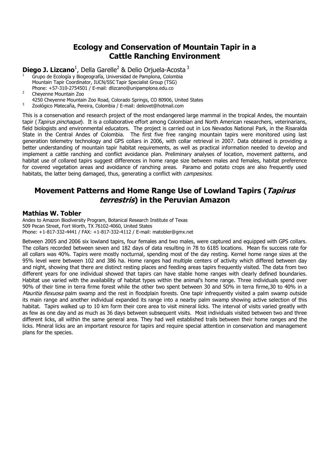## Ecology and Conservation of Mountain Tapir in a Cattle Ranching Environment

**Diego J. Lizcano**<sup>1</sup>, Della Garelle<sup>2</sup> & Delio Orjuela-Acosta<sup>3</sup>

- 1 Grupo de Ecología y Biogeografía, Universidad de Pamplona, Colombia Mountain Tapir Coordinator, IUCN/SSC Tapir Specialist Group (TSG) Phone: +57-310-2754501 / E-mail: dlizcano@unipamplona.edu.co
- $\overline{2}$ Cheyenne Mountain Zoo
- 4250 Cheyenne Mountain Zoo Road, Colorado Springs, CO 80906, United States
- 3 Zoológico Matecaña, Pereira, Colombia / E-mail: deliovet@hotmail.com

This is a conservation and research project of the most endangered large mammal in the tropical Andes, the mountain tapir (Tapirus pinchaque). It is a collaborative effort among Colombian and North American researchers, veterinarians, field biologists and environmental educators. The project is carried out in Los Nevados National Park, in the Risaralda State in the Central Andes of Colombia. The first five free ranging mountain tapirs were monitored using last generation telemetry technology and GPS collars in 2006, with collar retrieval in 2007. Data obtained is providing a better understanding of mountain tapir habitat requirements, as well as practical information needed to develop and implement a cattle ranching and conflict avoidance plan. Preliminary analyses of location, movement patterns, and habitat use of collared tapirs suggest differences in home range size between males and females, habitat preference for covered vegetation areas and avoidance of ranching areas. Paramo and potato crops are also frequently used habitats, the latter being damaged, thus, generating a conflict with *campesinos*.

### Movement Patterns and Home Range Use of Lowland Tapirs (Tapirus terrestris) in the Peruvian Amazon

#### Mathias W. Tobler

Andes to Amazon Biodiversity Program, Botanical Research Institute of Texas 509 Pecan Street, Fort Worth, TX 76102-4060, United States Phone: +1-817-332-4441 / FAX: +1-817-332-4112 / E-mail: matobler@gmx.net

Between 2005 and 2006 six lowland tapirs, four females and two males, were captured and equipped with GPS collars. The collars recorded between seven and 182 days of data resulting in 78 to 6185 locations. Mean fix success rate for all collars was 40%. Tapirs were mostly nocturnal, spending most of the day resting. Kernel home range sizes at the 95% level were between 102 and 386 ha. Home ranges had multiple centers of activity which differed between day and night, showing that there are distinct resting places and feeding areas tapirs frequently visited. The data from two different years for one individual showed that tapirs can have stable home ranges with clearly defined boundaries. Habitat use varied with the availability of habitat types within the animal's home range. Three individuals spend over 90% of their time in terra firme forest while the other two spent between 30 and 50% in terra firme,30 to 40% in a Mauritia flexuosa palm swamp and the rest in floodplain forests. One tapir infrequently visited a palm swamp outside its main range and another individual expanded its range into a nearby palm swamp showing active selection of this habitat. Tapirs walked up to 10 km form their core area to visit mineral licks. The interval of visits varied greatly with as few as one day and as much as 36 days between subsequent visits. Most individuals visited between two and three different licks, all within the same general area. They had well established trails between their home ranges and the licks. Mineral licks are an important resource for tapirs and require special attention in conservation and management plans for the species.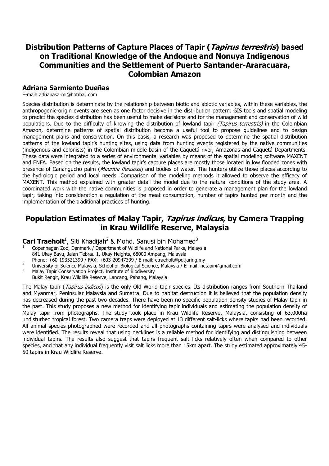## Distribution Patterns of Capture Places of Tapir (Tapirus terrestris) based on Traditional Knowledge of the Andoque and Nonuya Indigenous Communities and the Settlement of Puerto Santander-Araracuara, Colombian Amazon

#### Adriana Sarmiento Dueñas

E-mail: adrianasarmi@hotmail.com

Species distribution is determinate by the relationship between biotic and abiotic variables, within these variables, the anthropogenic-origin events are seen as one factor decisive in the distribution pattern. GIS tools and spatial modeling to predict the species distribution has been useful to make decisions and for the management and conservation of wild populations. Due to the difficulty of knowing the distribution of lowland tapir (Tapirus terrestris) in the Colombian Amazon, determine patterns of spatial distribution become a useful tool to propose guidelines and to design management plans and conservation. On this basis, a research was proposed to determine the spatial distribution patterns of the lowland tapir's hunting sites, using data from hunting events registered by the native communities (indigenous and colonists) in the Colombian middle basin of the Caquetá river, Amazonas and Caquetá Departments. These data were integrated to a series of environmental variables by means of the spatial modeling software MAXENT and ENFA. Based on the results, the lowland tapir's capture places are mostly those located in low flooded zones with presence of Canangucho palm (Mauritia flexuosa) and bodies of water. The hunters utilize those places according to the hydrologic period and local needs. Comparison of the modeling methods it allowed to observe the efficacy of MAXENT. This method explained with greater detail the model due to the natural conditions of the study area. A coordinated work with the native communities is proposed in order to generate a management plan for the lowland tapir, taking into consideration a regulation of the meat consumption, number of tapirs hunted per month and the implementation of the traditional practices of hunting.

#### Population Estimates of Malay Tapir, Tapirus indicus, by Camera Trapping in Krau Wildlife Reserve, Malaysia

Carl Traeholt<sup>1</sup>, Siti Khadijah<sup>2</sup> & Mohd. Sanusi bin Mohamed<sup>3</sup>

- <sup>1</sup>Copenhagen Zoo, Denmark / Department of Wildlife and National Parks, Malaysia 841 Ukay Bayu, Jalan Tebrau 1, Ukay Heights, 68000 Ampang, Malaysia Phone: +60-193521399 / FAX: +603-20947399 / E-mail: ctraeholt@pd.jaring.my
- 2 University of Science Malaysia, School of Biological Science, Malaysia / E-mail: nctapir@gmail.com
- 3 Malay Tapir Conservation Project, Institute of Biodiversity Bukit Rengit, Krau Wildlife Reserve, Lancang, Pahang, Malaysia

The Malay tapir (Tapirus indicus) is the only Old World tapir species. Its distribution ranges from Southern Thailand and Myanmar, Peninsular Malaysia and Sumatra. Due to habitat destruction it is believed that the population density has decreased during the past two decades. There have been no specific population density studies of Malay tapir in the past. This study proposes a new method for identifying tapir individuals and estimating the population density of Malay tapir from photographs. The study took place in Krau Wildlife Reserve, Malaysia, consisting of 63.000ha undisturbed tropical forest. Two camera traps were deployed at 13 different salt-licks where tapirs had been recorded. All animal species photographed were recorded and all photographs containing tapirs were analysed and individuals were identified. The results reveal that using necklines is a reliable method for identifying and distinguishing between individual tapirs. The results also suggest that tapirs frequent salt licks relatively often when compared to other species, and that any individual frequently visit salt licks more than 15km apart. The study estimated approximately 45- 50 tapirs in Krau Wildlife Reserve.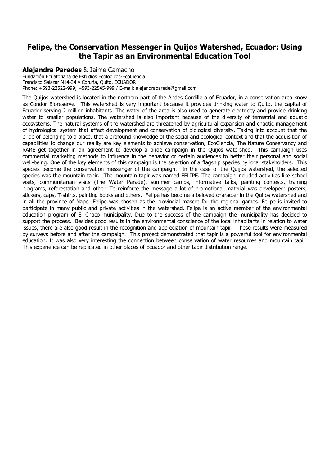## Felipe, the Conservation Messenger in Quijos Watershed, Ecuador: Using the Tapir as an Environmental Education Tool

#### Alejandra Paredes & Jaime Camacho

Fundación Ecuatoriana de Estudios Ecológicos-EcoCiencia Francisco Salazar N14-34 y Coruña, Quito, ECUADOR Phone: +593-22522-999; +593-22545-999 / E-mail: alejandraparede@gmail.com

The Quijos watershed is located in the northern part of the Andes Cordillera of Ecuador, in a conservation area know as Condor Bioreserve. This watershed is very important because it provides drinking water to Quito, the capital of Ecuador serving 2 million inhabitants. The water of the area is also used to generate electricity and provide drinking water to smaller populations. The watershed is also important because of the diversity of terrestrial and aquatic ecosystems. The natural systems of the watershed are threatened by agricultural expansion and chaotic management of hydrological system that affect development and conservation of biological diversity. Taking into account that the pride of belonging to a place, that a profound knowledge of the social and ecological context and that the acquisition of capabilities to change our reality are key elements to achieve conservation, EcoCiencia, The Nature Conservancy and RARE get together in an agreement to develop a pride campaign in the Quijos watershed. This campaign uses commercial marketing methods to influence in the behavior or certain audiences to better their personal and social well-being. One of the key elements of this campaign is the selection of a flagship species by local stakeholders. This species become the conservation messenger of the campaign. In the case of the Quijos watershed, the selected species was the mountain tapir. The mountain tapir was named FELIPE. The campaign included activities like school visits, communitarian visits (The Water Parade), summer camps, informative talks, painting contests, training programs, reforestation and other. To reinforce the message a lot of promotional material was developed: posters, stickers, caps, T-shirts, painting books and others. Felipe has become a beloved character in the Quijos watershed and in all the province of Napo. Felipe was chosen as the provincial mascot for the regional games. Felipe is invited to participate in many public and private activities in the watershed. Felipe is an active member of the environmental education program of El Chaco municipality. Due to the success of the campaign the municipality has decided to support the process. Besides good results in the environmental conscience of the local inhabitants in relation to water issues, there are also good result in the recognition and appreciation of mountain tapir. These results were measured by surveys before and after the campaign. This project demonstrated that tapir is a powerful tool for environmental education. It was also very interesting the connection between conservation of water resources and mountain tapir. This experience can be replicated in other places of Ecuador and other tapir distribution range.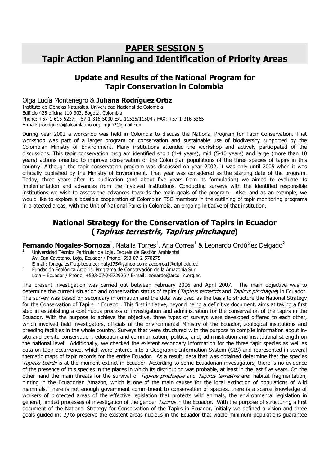## PAPER SESSION 5 Tapir Action Planning and Identification of Priority Areas

## Update and Results of the National Program for Tapir Conservation in Colombia

#### Olga Lucía Montenegro & Juliana Rodríguez Ortiz

Instituto de Ciencias Naturales, Universidad Nacional de Colombia Edificio 425 oficina 110-303, Bogotá, Colombia Phone: +57-1-615-5237; +57-1-316-5000 Ext. 11525/11504 / FAX: +57-1-316-5365 E-mail: jrodriguezo@alcomlatino.org; mjuli2@gmail.com

During year 2002 a workshop was held in Colombia to discuss the National Program for Tapir Conservation. That workshop was part of a larger program on conservation and sustainable use of biodiversity supported by the Colombian Ministry of Environment. Many institutions attended the workshop and actively participated of the discussions. This tapir conservation program identified short (1-4 years), mid (5-10 years) and large (more than 10 years) actions oriented to improve conservation of the Colombian populations of the three species of tapirs in this country. Although the tapir conservation program was discussed on year 2002, it was only until 2005 when it was officially published by the Ministry of Environment. That year was considered as the starting date of the program. Today, three years after its publication (and about five years from its formulation) we aimed to evaluate its implementation and advances from the involved institutions. Conducting surveys with the identified responsible institutions we wish to assess the advances towards the main goals of the program. Also, and as an example, we would like to explore a possible cooperation of Colombian TSG members in the outlining of tapir monitoring programs in protected areas, with the Unit of National Parks in Colombia, an ongoing initiative of that institution.

## National Strategy for the Conservation of Tapirs in Ecuador (Tapirus terrestris, Tapirus pinchaque)

#### Fernando Nogales-Sornoza<sup>1</sup>, Natalia Torres<sup>1</sup>, Ana Correa<sup>1</sup> & Leonardo Ordóñez Delgado<sup>2</sup>

- 1 Universidad Técnica Particular de Loja, Escuela de Gestión Ambiental Av. San Cayetano, Loja, Ecuador / Phone: 593-07-2-570275
- E-mail: fbnogales@utpl.edu.ec; naty175@yahoo.com; accorrea1@utpl.edu.ec <sup>2</sup>Fundación Ecológica Arcoiris. Programa de Conservación de la Amazonia Sur
- Loja Ecuador / Phone: +593-07-2-572926 / E-mail: leonardo@arcoiris.org.ec

The present investigation was carried out between February 2006 and April 2007. The main objective was to determine the current situation and conservation status of tapirs (Tapirus terrestris and Tapirus pinchaque) in Ecuador. The survey was based on secondary information and the data was used as the basis to structure the National Strategy for the Conservation of Tapirs in Ecuador. This first initiative, beyond being a definitive document, aims at taking a first step in establishing a continuous process of investigation and administration for the conservation of the tapirs in the Ecuador. With the purpose to achieve the objective, three types of surveys were developed differed to each other, which involved field investigators, officials of the Environmental Ministry of the Ecuador, zoological institutions and breeding facilities in the whole country. Surveys that were structured with the purpose to compile information about insitu and ex-situ conservation, education and communication, politics; and, administration and institutional strength on the national level. Additionally, we checked the existent secondary information for the three tapir species as well as data on tapir occurrence, which were entered into a Geographic Information System (GIS) and represented in several thematic maps of tapir records for the entire Ecuador. As a result, data that was obtained determine that the species Tapirus bairdii is at the moment extinct in Ecuador. According to some Ecuadorian investigators, there is no evidence of the presence of this species in the places in which its distribution was probable, at least in the last five years. On the other hand the main threats for the survival of Tapirus pinchaque and Tapirus terrestris are: habitat fragmentation, hinting in the Ecuadorian Amazon, which is one of the main causes for the local extinction of populations of wild mammals. There is not enough government commitment to conservation of species, there is a scarce knowledge of workers of protected areas of the effective legislation that protects wild animals, the environmental legislation in general, limited processes of investigation of the gender *Tapirus* in the Ecuador. With the purpose of structuring a first document of the National Strategy for Conservation of the Tapirs in Ecuador, initially we defined a vision and three goals guided in: 1) to preserve the existent areas nucleus in the Ecuador that viable minimum populations guarantee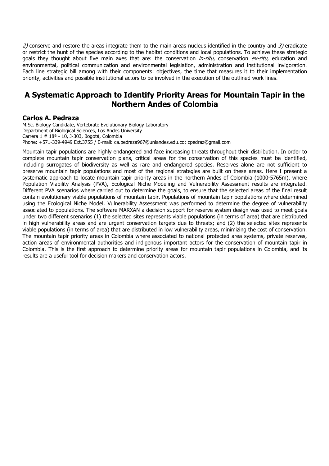2) conserve and restore the areas integrate them to the main areas nucleus identified in the country and  $3$ ) eradicate or restrict the hunt of the species according to the habitat conditions and local populations. To achieve these strategic goals they thought about five main axes that are: the conservation *in-situ*, conservation ex-situ, education and environmental, political communication and environmental legislation, administration and institutional invigoration. Each line strategic bill among with their components: objectives, the time that measures it to their implementation priority, activities and possible institutional actors to be involved in the execution of the outlined work lines.

#### A Systematic Approach to Identify Priority Areas for Mountain Tapir in the Northern Andes of Colombia

#### Carlos A. Pedraza

M.Sc. Biology Candidate, Vertebrate Evolutionary Biology Laboratory Department of Biological Sciences, Los Andes University Carrera 1 # 18ª - 10, J-303, Bogotá, Colombia Phone: +571-339-4949 Ext.3755 / E-mail: ca.pedraza967@uniandes.edu.co; cpedraz@gmail.com

Mountain tapir populations are highly endangered and face increasing threats throughout their distribution. In order to complete mountain tapir conservation plans, critical areas for the conservation of this species must be identified, including surrogates of biodiversity as well as rare and endangered species. Reserves alone are not sufficient to preserve mountain tapir populations and most of the regional strategies are built on these areas. Here I present a systematic approach to locate mountain tapir priority areas in the northern Andes of Colombia (1000-5765m), where Population Viability Analysis (PVA), Ecological Niche Modeling and Vulnerability Assessment results are integrated. Different PVA scenarios where carried out to determine the goals, to ensure that the selected areas of the final result contain evolutionary viable populations of mountain tapir. Populations of mountain tapir populations where determined using the Ecological Niche Model. Vulnerability Assessment was performed to determine the degree of vulnerability associated to populations. The software MARXAN a decision support for reserve system design was used to meet goals under two different scenarios (1) the selected sites represents viable populations (in terms of area) that are distributed in high vulnerability areas and are urgent conservation targets due to threats; and (2) the selected sites represents viable populations (in terms of area) that are distributed in low vulnerability areas, minimizing the cost of conservation. The mountain tapir priority areas in Colombia where associated to national protected area systems, private reserves, action areas of environmental authorities and indigenous important actors for the conservation of mountain tapir in Colombia. This is the first approach to determine priority areas for mountain tapir populations in Colombia, and its results are a useful tool for decision makers and conservation actors.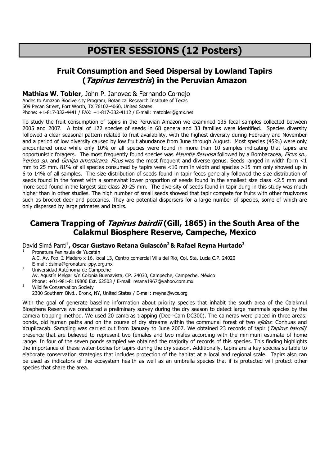# POSTER SESSIONS (12 Posters)

## Fruit Consumption and Seed Dispersal by Lowland Tapirs (*Tapirus terrestris*) in the Peruvian Amazon

#### Mathias W. Tobler, John P. Janovec & Fernando Cornejo

Andes to Amazon Biodiversity Program, Botanical Research Institute of Texas 509 Pecan Street, Fort Worth, TX 76102-4060, United States Phone: +1-817-332-4441 / FAX: +1-817-332-4112 / E-mail: matobler@gmx.net

To study the fruit consumption of tapirs in the Peruvian Amazon we examined 135 fecal samples collected between 2005 and 2007. A total of 122 species of seeds in 68 genera and 33 families were identified. Species diversity followed a clear seasonal pattern related to fruit availability, with the highest diversity during February and November and a period of low diversity caused by low fruit abundance from June through August. Most species (45%) were only encountered once while only 10% or all species were found in more than 10 samples indicating that tapirs are opportunistic foragers. The most frequently found species was Mauritia flexuosa followed by a Bombacacea, Ficus sp., Perbea sp. and Genipa ameraicana. Ficus was the most frequent and diverse genus. Seeds ranged in width form  $\leq 1$ mm to 25 mm. 81% of all species consumed by tapirs were <10 mm in width and species >15 mm only showed up in 6 to 14% of all samples. The size distribution of seeds found in tapir feces generally followed the size distribution of seeds found in the forest with a somewhat lower proportion of seeds found in the smallest size class <2.5 mm and more seed found in the largest size class 20-25 mm. The diversity of seeds found in tapir dung in this study was much higher than in other studies. The high number of small seeds showed that tapir compete for fruits with other frugivores such as brocket deer and peccaries. They are potential dispersers for a large number of species, some of which are only dispersed by large primates and tapirs.

## Camera Trapping of *Tapirus bairdii* (Gill, 1865) in the South Area of the Calakmul Biosphere Reserve, Campeche, Mexico

David Simá Pantí<sup>1</sup>, Oscar Gustavo Retana Guiascón<sup>2</sup> & Rafael Reyna Hurtado<sup>3</sup>

1 Pronatura Península de Yucatán A.C. Av. Fco. I. Madero x 16, local 13, Centro comercial Villa del Rio, Col. Sta. Lucía C.P. 24020 E-mail: dsima@pronatura-ppy.org.mx 2 Universidad Autónoma de Campeche Av. Agustín Melgar s/n Colonia Buenavista, CP. 24030, Campeche, Campeche, México

Phone: +01-981-8119800 Ext. 62503 / E-mail: retana1967@yahoo.com.mx

Wildlife Conservation Society 2300 Southern Blvd., Bronx, NY, United States / E-mail: rreyna@wcs.org

With the goal of generate baseline information about priority species that inhabit the south area of the Calakmul Biosphere Reserve we conducted a preliminary survey during the dry season to detect large mammals species by the camera trapping method. We used 20 cameras trapping (Deer-Cam DC300). The cameras were placed in three areas: ponds, old human paths and on the course of dry streams within the communal forest of two ejidos. Conhuas and Xcupilcacab. Sampling was carried out from January to June 2007. We obtained 23 records of tapir (Tapirus bairdii)' presence that are believed to represent two females and two males according with the minimum estimate of home range. In four of the seven ponds sampled we obtained the majority of records of this species. This finding highlights the importance of these water-bodies for tapirs during the dry season. Additionally, tapirs are a key species suitable to elaborate conservation strategies that includes protection of the habitat at a local and regional scale. Tapirs also can be used as indicators of the ecosystem health as well as an umbrella species that if is protected will protect other species that share the area.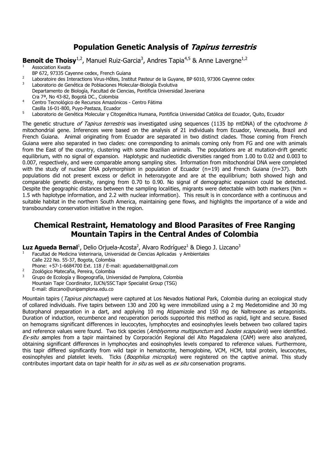## Population Genetic Analysis of Tapirus terrestris

**Benoit de Thoisy**<sup>1,2</sup>, Manuel Ruiz-Garcia<sup>3</sup>, Andres Tapia<sup>4,5</sup> & Anne Lavergne<sup>1,2</sup>

- Association Kwata
- BP 672, 97335 Cayenne cedex, French Guiana
- <sup>2</sup> Laboratoire des Interactions Virus-Hôtes, Institut Pasteur de la Guyane, BP 6010, 97306 Cayenne cedex
- Laboratorio de Genética de Poblaciones Molecular-Biología Evolutiva Departamento de Biología, Facultad de Ciencias, Pontificia Universidad Javeriana Cra 7ª, No 43-82, Bogotá DC., Colombia
- <sup>4</sup>Centro Tecnológico de Recursos Amazónicos Centro Fátima Casilla 16-01-800, Puyo-Pastaza, Ecuador
- Laboratorio de Genética Molecular y Citogenética Humana, Pontificia Universidad Católica del Ecuador, Quito, Ecuador

The genetic structure of Tapirus terrestris was investigated using sequences (1135 bp mtDNA) of the cytochrome b mitochondrial gene. Inferences were based on the analysis of 21 individuals from Ecuador, Venezuela, Brazil and French Guiana. Animal originating from Ecuador are separated in two distinct clades. Those coming from French Guiana were also separated in two clades: one corresponding to animals coming only from FG and one with animals from the East of the country, clustering with some Brazilian animals. The populations are at mutation-drift genetic equilibrium, with no signal of expansion. Haplotypic and nucleotidic diversities ranged from 1.00 to 0.02 and 0.003 to 0.007, respectively, and were comparable among sampling sites. Information from mitochondrial DNA were completed with the study of nuclear DNA polymorphism in population of Ecuador (n=19) and French Guiana (n=37). Both populations did not present excess or deficit in heterozygote and are at the equilibrium; both showed high and comparable genetic diversity, ranging from 0.70 to 0.90. No signal of demographic expansion could be detected. Despite the geographic distances between the sampling localities, migrants were detectable with both markers (Nm = 1.5 wth haplotype information, and 2.2 with nuclear information). This result is in concordance with a continuous and suitable habitat in the northern South America, maintaining gene flows, and highlights the importance of a wide and transboundary conservation initiative in the region.

## Chemical Restraint, Hematology and Blood Parasites of Free Ranging Mountain Tapirs in the Central Andes of Colombia

Luz Agueda Bernal<sup>1</sup>, Delio Orjuela-Acosta<sup>2</sup>, Alvaro Rodríguez<sup>1</sup> & Diego J. Lizcano<sup>3</sup>

- 1 Facultad de Medicina Veterinaria, Universidad de Ciencias Aplicadas y Ambientales Calle 222 No. 55-37, Bogota, Colombia
- Phone: +57-1-6684700 Ext. 118 / E-mail: aguedabernal@gmail.com
- 2 Zoológico Matecaña, Pereira, Colombia
- 3 Grupo de Ecología y Biogeografía, Universidad de Pamplona, Colombia Mountain Tapir Coordinator, IUCN/SSC Tapir Specialist Group (TSG) E-mail: dlizcano@unipamplona.edu.co

Mountain tapirs (Tapirus pinchaque) were captured at Los Nevados National Park, Colombia during an ecological study of collared individuals. Five tapirs between 130 and 200 kg were immobilized using a 2 mg Medetomidine and 30 mg Butorphanol preparation in a dart, and applying 10 mg Atipamizole and 150 mg de Naltrexone as antagonists. Duration of induction, recumbence and recuperation periods supported this method as rapid, light and secure. Based on hemograms significant differences in leucocytes, lymphocytes and eosinophyles levels between two collared tapirs and reference values were found. Two tick species (Amblyomma multipunctum and Ixodes scapularis) were identified. Ex-situ samples from a tapir maintained by Corporación Regional del Alto Magadalena (CAM) were also analyzed, obtaining significant differences in lymphocytes and eosinophyles levels compared to reference values. Furthermore, this tapir differed significantly from wild tapir in hematocrite, hemoglobine, VCM, HCM, total protein, leucocytes, eosinophyles and platelet levels. Ticks (Boophilus microplus) were registered on the captive animal. This study contributes important data on tapir health for in situ as well as ex situ conservation programs.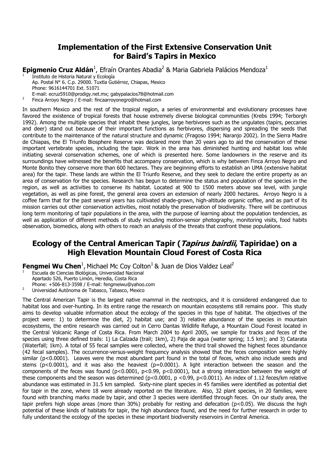#### Implementation of the First Extensive Conservation Unit for Baird's Tapirs in Mexico

Epigmenio Cruz Aldán<sup>1</sup>, Efraín Orantes Abadia<sup>2</sup> & Maria Gabriela Palácios Mendoza<sup>1</sup>

- <sup>1</sup>Instituto de Historia Natural y Ecología Ap. Postal N° 6. C.p. 29000. Tuxtla Gutiérrez, Chiapas, Mexico Phone: 9616144701 Ext. 51071
- E-mail: ecruz5910@prodigy.net.mx; gabypalacios78@hotmail.com
- <sup>2</sup>Finca Arroyo Negro / E-mail: fincaarroyonegro@hotmail.com

In southern Mexico and the rest of the tropical region, a series of environmental and evolutionary processes have favored the existence of tropical forests that house extremely diverse biological communities (Krebs 1994; Terborgh 1992). Among the multiple species that inhabit these jungles, large herbivores such as the ungulates (tapirs, peccaries and deer) stand out because of their important functions as herbivores, dispersing and spreading the seeds that contribute to the maintenance of the natural structure and dynamic (Fragoso 1994; Naranjo 2002). In the Sierra Madre de Chiapas, the El Triunfo Biosphere Reserve was declared more than 20 years ago to aid the conservation of these important vertebrate species, including the tapir. Work in the area has diminished hunting and habitat loss while initiating several conservation schemes, one of which is presented here. Some landowners in the reserve and its surroundings have witnessed the benefits that accompany conservation, which is why between Finca Arroyo Negro and Monte Bonito they conserve more than 600 hectares. They are beginning efforts to establish an UMA (extensive habitat area) for the tapir. These lands are within the El Triunfo Reserve, and they seek to declare the entire property as an area of conservation for the species. Research has begun to determine the status and population of the species in the region, as well as activities to conserve its habitat. Located at 900 to 1500 meters above sea level, with jungle vegetation, as well as pine forest, the general area covers an extension of nearly 2000 hectares. Arroyo Negro is a coffee farm that for the past several years has cultivated shade-grown, high-altitude organic coffee, and as part of its mission carries out other conservation activities, most notably the preservation of biodiversity. There will be continuous long term monitoring of tapir populations in the area, with the purpose of learning about the population tendencies, as well as application of different methods of study including motion-sensor photography, monitoring visits, food habits observation, biomedics, along with others to reach an analysis of the threats that confront these populations.

#### Ecology of the Central American Tapir (*Tapirus bairdii*, Tapiridae) on a High Elevation Mountain Cloud Forest of Costa Rica

**Fengmei Wu Chen**<sup>1</sup>, Michael Mc Coy Colton<sup>1</sup> & Juan de Dios Valdez Leal<sup>2</sup>

- Escuela de Ciencias Biológicas, Universidad Nacional Apartado 526, Puerto Limón, Heredia, Costa Rica
- Phone: +506-813-3598 / E-mail: fengmeiwu@yahoo.com

<sup>2</sup>Universidad Autónoma de Tabasco, Tabasco, Mexico

The Central American Tapir is the largest native mammal in the neotropics, and it is considered endangered due to habitat loss and over-hunting. In its entire range the research on mountain ecosystems still remains poor. This study aims to develop valuable information about the ecology of the species in this type of habitat. The objectives of the project were: 1) to determine the diet, 2) habitat use; and 3) relative abundance of the species in mountain ecosystems, the entire research was carried out in Cerro Dantas Wildlife Refuge, a Mountain Cloud Forest located in the Central Volcanic Range of Costa Rica. From March 2004 to April 2005, we sample for tracks and feces of the species using three defined trails: 1) La Calzada (trail; 1km), 2) Paja de agua (water spring; 1.5 km); and 3) Catarata (Waterfall; 1km). A total of 55 fecal samples were collected, where the third trail showed the highest feces abundance (42 fecal samples). The occurrence-versus-weight frequency analysis showed that the feces composition were highly similar (p<0.0001). Leaves were the most abundant part found in the total of feces, which also include seeds and stems ( $p<0.0001$ ), and it was also the heaviest ( $p=0.0001$ ). A light interaction between the season and the components of the feces was found (p<0.0001, p<0.99, p<0.0001), but a strong interaction between the weight of these components and the season was determined (p<0.0001, p <0.99, p<0.0011). An index of 1.12 feces/km relative abundance was estimated in 31.5 km sampled. Sixty-nine plant species in 45 families were identified as potential diet for tapir in the zone, where 18 were already reported on the literature. Also, 32 plant species, in 20 families, were found with branching marks made by tapir, and other 3 species were identified through feces. On our study area, the tapir prefers high slope areas (more than 30%) probably for resting and defecation (p<0.05). We discuss the high potential of these kinds of habitats for tapir, the high abundance found, and the need for further research in order to fully understand the ecology of the species in these important biodiversity reservoirs in Central America.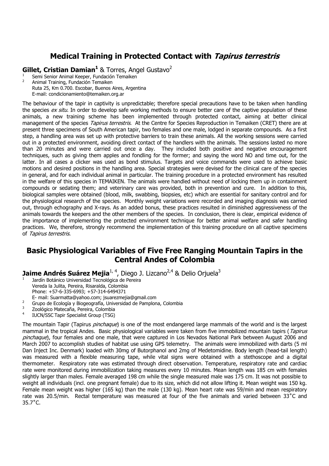## Medical Training in Protected Contact with Tapirus terrestris

Gillet, Cristian Damian<sup>1</sup> & Torres, Angel Gustavo<sup>2</sup>

Semi Senior Animal Keeper, Fundación Temaiken 2 Animal Training, Fundación Temaiken Ruta 25, Km 0.700. Escobar, Buenos Aires, Argentina E-mail: condicionamiento@temaiken.org.ar

The behaviour of the tapir in captivity is unpredictable; therefore special precautions have to be taken when handling the species *ex situ*. In order to develop safe working methods to ensure better care of the captive population of these animals, a new training scheme has been implemented through protected contact, aiming at better clinical management of the species *Tapirus terrestris*. At the Centre for Species Reproduction in Temaiken (CRET) there are at present three specimens of South American tapir, two females and one male, lodged in separate compounds. As a first step, a handling area was set up with protective barriers to train these animals. All the working sessions were carried out in a protected environment, avoiding direct contact of the handlers with the animals. The sessions lasted no more than 20 minutes and were carried out once a day. They included both positive and negative encouragement techniques, such as giving them apples and fondling for the former; and saying the word NO and time out, for the latter. In all cases a clicker was used as bond stimulus. Targets and voice commands were used to achieve basic motions and desired positions in the handling area. Special strategies were devised for the clinical care of the species in general, and for each individual animal in particular. The training procedure in a protected environment has resulted in the welfare of this species in TEMAIKEN. The animals were handled without need of locking them up in containment compounds or sedating them; and veterinary care was provided, both in prevention and cure. In addition to this, biological samples were obtained (blood, milk, swabbing, biopsies, etc) which are essential for sanitary control and for the physiological research of the species. Monthly weight variations were recorded and imaging diagnosis was carried out, through echography and X-rays. As an added bonus, these practices resulted in diminished aggressiveness of the animals towards the keepers and the other members of the species. In conclusion, there is clear, empirical evidence of the importance of implementing the protected environment technique for better animal welfare and safer handling practices. We, therefore, strongly recommend the implementation of this training procedure on all captive specimens of Tapirus terrestris.

#### Basic Physiological Variables of Five Free Ranging Mountain Tapirs in the Central Andes of Colombia

Jaime Andrés Suárez Mejia<sup>1, 4</sup>, Diego J. Lizcano<sup>2,4</sup> & Delio Orjuela<sup>3</sup>

<sup>1</sup>Jardín Botánico Universidad Tecnológica de Pereira Vereda la Julita, Pereira, Risaralda, Colombia Phone: +57-6-335-6993; +57-314-6494371

- E- mail: Suarmatta@yahoo.com; jsuarezmejia@gmail.com
- <sup>2</sup>Grupo de Ecología y Biogeografía, Universidad de Pamplona, Colombia 3
- $\frac{3}{4}$  Zoológico Matecaña, Pereira, Colombia
- <sup>4</sup>IUCN/SSC Tapir Specialist Group (TSG)

The mountain Tapir (Tapirus *pinchaque*) is one of the most endangered large mammals of the world and is the largest mammal in the tropical Andes. Basic physiological variables were taken from five immobilized mountain tapirs (Tapirus pinchaque), four females and one male, that were captured in Los Nevados National Park between August 2006 and March 2007 to accomplish studies of habitat use using GPS telemetry. The animals were immobilized with darts (5 ml Dan Inject Inc. Denmark) loaded with 30mg of Butorphanol and 2mg of Medetomidine. Body length (head-tail length) was measured with a flexible measuring tape, while vital signs were obtained with a stethoscope and a digital thermometer. Respiratory rate was estimated through direct observation. Temperature, respiratory rate and cardiac rate were monitored during immobilization taking measures every 10 minutes. Mean length was 185 cm with females slightly larger than males. Female averaged 198 cm while the single measured male was 175 cm. It was not possible to weight all individuals (incl. one pregnant female) due to its size, which did not allow lifting it. Mean weight was 150 kg. Female mean weight was higher (165 kg) than the male (130 kg). Mean heart rate was 59/min and mean respiratory rate was 20.5/min. Rectal temperature was measured at four of the five animals and varied between 33˚C and 35.7˚C.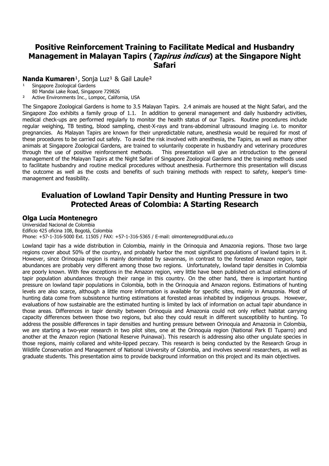## Positive Reinforcement Training to Facilitate Medical and Husbandry Management in Malayan Tapirs (*Tapirus indicus*) at the Singapore Night Safari

#### Nanda Kumaren<sup>1</sup>, Sonja Luz<sup>1</sup> & Gail Laule<sup>2</sup>

- Singapore Zoological Gardens
- 80 Mandai Lake Road, Singapore 729826<br>Active Environments Inc. Lompoc Califor
- Active Environments Inc., Lompoc, California, USA

The Singapore Zoological Gardens is home to 3.5 Malayan Tapirs. 2.4 animals are housed at the Night Safari, and the Singapore Zoo exhibits a family group of 1.1. In addition to general management and daily husbandry activities, medical check-ups are performed regularly to monitor the health status of our Tapirs. Routine procedures include regular weighing, TB testing, blood sampling, chest-X-rays and trans-abdominal ultrasound imaging i.e. to monitor pregnancies. As Malayan Tapirs are known for their unpredictable nature, anesthesia would be required for most of these procedures to be carried out safely. To avoid the risk involved with anesthesia, the Tapirs, as well as many other animals at Singapore Zoological Gardens, are trained to voluntarily cooperate in husbandry and veterinary procedures through the use of positive reinforcement methods. This presentation will give an introduction to the general management of the Malayan Tapirs at the Night Safari of Singapore Zoological Gardens and the training methods used to facilitate husbandry and routine medical procedures without anesthesia. Furthermore this presentation will discuss the outcome as well as the costs and benefits of such training methods with respect to safety, keeper's timemanagement and feasibility.

#### Evaluation of Lowland Tapir Density and Hunting Pressure in two Protected Areas of Colombia: A Starting Research

#### Olga Lucía Montenegro

Universidad Nacional de Colombia Edificio 425 oficina 108, Bogotá, Colombia Phone: +57-1-316-5000 Ext. 11505 / FAX: +57-1-316-5365 / E-mail: olmontenegrod@unal.edu.co

Lowland tapir has a wide distribution in Colombia, mainly in the Orinoquia and Amazonia regions. Those two large regions cover about 50% of the country, and probably harbor the most significant populations of lowland tapirs in it. However, since Orinoquia region is mainly dominated by savannas, in contrast to the forested Amazon region, tapir abundances are probably very different among those two regions. Unfortunately, lowland tapir densities in Colombia are poorly known. With few exceptions in the Amazon region, very little have been published on actual estimations of tapir population abundances through their range in this country. On the other hand, there is important hunting pressure on lowland tapir populations in Colombia, both in the Orinoquia and Amazon regions. Estimations of hunting levels are also scarce, although a little more information is available for specific sites, mainly in Amazonia. Most of hunting data come from subsistence hunting estimations at forested areas inhabited by indigenous groups. However, evaluations of how sustainable are the estimated hunting is limited by lack of information on actual tapir abundance in those areas. Differences in tapir density between Orinoquia and Amazonia could not only reflect habitat carrying capacity differences between those two regions, but also they could result in different susceptibility to hunting. To address the possible differences in tapir densities and hunting pressure between Orinoquia and Amazonia in Colombia, we are starting a two-year research in two pilot sites, one at the Orinoquia region (National Park El Tuparro) and another at the Amazon region (National Reserve Puinawai). This research is addressing also other ungulate species in those regions, mainly collared and white-lipped peccary. This research is being conducted by the Research Group in Wildlife Conservation and Management of National University of Colombia, and involves several researchers, as well as graduate students. This presentation aims to provide background information on this project and its main objectives.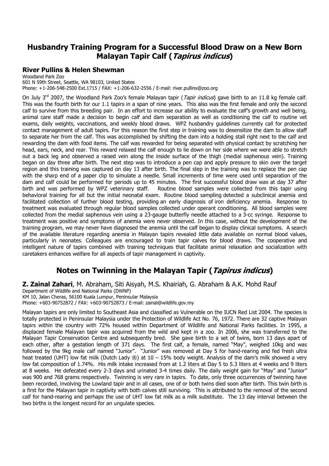## Husbandry Training Program for a Successful Blood Draw on a New Born Malayan Tapir Calf (Tapirus indicus)

#### River Pullins & Helen Shewman

Woodland Park Zoo 601 N 59th Street, Seattle, WA 98103, United States Phone: +1-206-548-2500 Ext.1715 / FAX: +1-206-632-2556 / E-mail: river.pullins@zoo.org

On July 3<sup>rd</sup> 2007, the Woodland Park Zoo's female Malayan tapir (*Tapir indicus*) gave birth to an 11.8 kg female calf. This was the fourth birth for our 1.1 tapirs in a span of nine years. This also was the first female and only the second calf to survive from this breeding pair. In an effort to increase our ability to evaluate the calf's growth and well being, animal care staff made a decision to begin calf and dam separation as well as conditioning the calf to routine vet exams, daily weights, vaccinations, and weekly blood draws. WPZ husbandry guidelines currently call for protected contact management of adult tapirs. For this reason the first step in training was to desensitize the dam to allow staff to separate her from the calf. This was accomplished by shifting the dam into a holding stall right next to the calf and rewarding the dam with food items. The calf was rewarded for being separated with physical contact by scratching her head, ears, neck, and rear. This reward relaxed the calf enough to lie down on her side where we were able to stretch out a back leg and observed a raised vein along the inside surface of the thigh (medial saphenous vein). Training began on day three after birth. The next step was to introduce a pen cap and apply pressure to skin over the target region and this training was captured on day 13 after birth. The final step in the training was to replace the pen cap with the sharp end of a paper clip to simulate a needle. Small increments of time were used until separation of the dam and calf could be performed for periods up to 45 minutes. The first successful blood draw was at day 37 after birth and was performed by WPZ veterinary staff. Routine blood samples were collected from this tapir using behavioral training for all but the initial neonatal exam. Routine blood sampling detected a subclinical anemia and facilitated collection of further blood testing, providing an early diagnosis of iron deficiency anemia. Response to treatment was evaluated through regular blood samples collected under operant conditioning. All blood samples were collected from the medial saphenous vein using a 23-gauge butterfly needle attached to a 3-cc syringe. Response to treatment was positive and symptoms of anemia were never observed. In this case, without the development of the training program, we may never have diagnosed the anemia until the calf began to display clinical symptoms. A search of the available literature regarding anemia in Malayan tapirs revealed little data available on normal blood values, particularly in neonates. Colleagues are encouraged to train tapir calves for blood draws. The cooperative and intelligent nature of tapirs combined with training techniques that facilitate animal relaxation and socialization with caretakers enhances welfare for all aspects of tapir management in captivity.

## Notes on Twinning in the Malayan Tapir (*Tapirus indicus*)

Z. Zainal Zahari, M. Abraham, Siti Aisyah, M.S. Khairiah, G. Abraham & A.K. Mohd Rauf Department of Wildlife and National Parks (DWNP) KM 10, Jalan Cheras, 56100 Kuala Lumpur, Peninsular Malaysia Phone: +603-90752872 / FAX: +603-90752873 / E-mail: zainal@wildlife.gov.my

Malayan tapirs are only limited to Southeast Asia and classified as Vulnerable on the IUCN Red List 2004. The species is totally protected in Peninsular Malaysia under the Protection of Wildlife Act No. 76, 1972. There are 32 captive Malayan tapirs within the country with 72% housed within Department of Wildlife and National Parks facilities. In 1995, a displaced female Malayan tapir was acquired from the wild and kept in a zoo. In 2006, she was transferred to the Malayan Tapir Conservation Centre and subsequently bred. She gave birth to a set of twins, born 13 days apart of each other, after a gestation length of 371 days. The first calf, a female, named "May", weighed 10kg and was followed by the 9kg male calf named "Junior". "Junior" was removed at Day 5 for hand-rearing and fed fresh ultra heat treated (UHT) low fat milk (Dutch Lady  $\circledR$ ) at 10 – 15% body weight. Analysis of the dam's milk showed a very low fat composition of 1.74%. His milk intake increased from at 1.2 liters at Day 5 to 5.3 liters at 4 weeks and 9 liters at 8 weeks. He defecated every 2-3 days and urinated 3-4 times daily. The daily weight gain for "May" and "Junior" was 900 and 768 grams respectively. Twinning is very rare in tapirs. To date, only three occurrences of twinning have been recorded, involving the Lowland tapir and in all cases, one of or both twins died soon after birth. This twin birth is a first for the Malayan tapir in captivity with both calves still surviving. This is attributed to the removal of the second calf for hand-rearing and perhaps the use of UHT low fat milk as a milk substitute. The 13 day interval between the two births is the longest record for an ungulate species.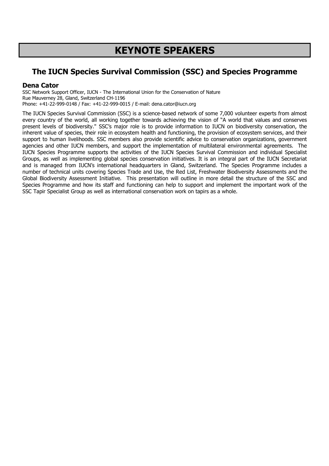# KEYNOTE SPEAKERS

## The IUCN Species Survival Commission (SSC) and Species Programme

#### Dena Cator

SSC Network Support Officer, IUCN - The International Union for the Conservation of Nature Rue Mauverney 28, Gland, Switzerland CH-1196 Phone: +41-22-999-0148 / Fax: +41-22-999-0015 / E-mail: dena.cator@iucn.org

The IUCN Species Survival Commission (SSC) is a science-based network of some 7,000 volunteer experts from almost every country of the world, all working together towards achieving the vision of "A world that values and conserves present levels of biodiversity." SSC's major role is to provide information to IUCN on biodiversity conservation, the inherent value of species, their role in ecosystem health and functioning, the provision of ecosystem services, and their support to human livelihoods. SSC members also provide scientific advice to conservation organizations, government agencies and other IUCN members, and support the implementation of multilateral environmental agreements. The IUCN Species Programme supports the activities of the IUCN Species Survival Commission and individual Specialist Groups, as well as implementing global species conservation initiatives. It is an integral part of the IUCN Secretariat and is managed from IUCN's international headquarters in Gland, Switzerland. The Species Programme includes a number of technical units covering Species Trade and Use, the Red List, Freshwater Biodiversity Assessments and the Global Biodiversity Assessment Initiative. This presentation will outline in more detail the structure of the SSC and Species Programme and how its staff and functioning can help to support and implement the important work of the SSC Tapir Specialist Group as well as international conservation work on tapirs as a whole.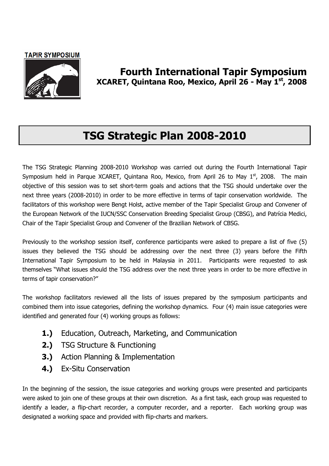#### **TAPIR SYMPOSIUM**



Fourth International Tapir Symposium XCARET, Quintana Roo, Mexico, April 26 - May 1st, 2008

# TSG Strategic Plan 2008-2010

The TSG Strategic Planning 2008-2010 Workshop was carried out during the Fourth International Tapir Symposium held in Parque XCARET, Quintana Roo, Mexico, from April 26 to May  $1<sup>st</sup>$ , 2008. The main objective of this session was to set short-term goals and actions that the TSG should undertake over the next three years (2008-2010) in order to be more effective in terms of tapir conservation worldwide. The facilitators of this workshop were Bengt Holst, active member of the Tapir Specialist Group and Convener of the European Network of the IUCN/SSC Conservation Breeding Specialist Group (CBSG), and Patrícia Medici, Chair of the Tapir Specialist Group and Convener of the Brazilian Network of CBSG.

Previously to the workshop session itself, conference participants were asked to prepare a list of five (5) issues they believed the TSG should be addressing over the next three (3) years before the Fifth International Tapir Symposium to be held in Malaysia in 2011. Participants were requested to ask themselves "What issues should the TSG address over the next three years in order to be more effective in terms of tapir conservation?"

The workshop facilitators reviewed all the lists of issues prepared by the symposium participants and combined them into issue categories, defining the workshop dynamics. Four (4) main issue categories were identified and generated four (4) working groups as follows:

- 1.) Education, Outreach, Marketing, and Communication
- 2.) TSG Structure & Functioning
- 3.) Action Planning & Implementation
- 4.) Ex-Situ Conservation

In the beginning of the session, the issue categories and working groups were presented and participants were asked to join one of these groups at their own discretion. As a first task, each group was requested to identify a leader, a flip-chart recorder, a computer recorder, and a reporter. Each working group was designated a working space and provided with flip-charts and markers.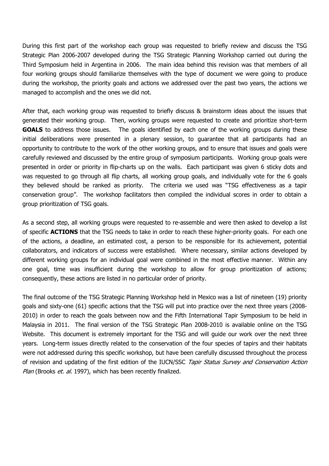During this first part of the workshop each group was requested to briefly review and discuss the TSG Strategic Plan 2006-2007 developed during the TSG Strategic Planning Workshop carried out during the Third Symposium held in Argentina in 2006. The main idea behind this revision was that members of all four working groups should familiarize themselves with the type of document we were going to produce during the workshop, the priority goals and actions we addressed over the past two years, the actions we managed to accomplish and the ones we did not.

After that, each working group was requested to briefly discuss & brainstorm ideas about the issues that generated their working group. Then, working groups were requested to create and prioritize short-term GOALS to address those issues. The goals identified by each one of the working groups during these initial deliberations were presented in a plenary session, to guarantee that all participants had an opportunity to contribute to the work of the other working groups, and to ensure that issues and goals were carefully reviewed and discussed by the entire group of symposium participants. Working group goals were presented in order or priority in flip-charts up on the walls. Each participant was given 6 sticky dots and was requested to go through all flip charts, all working group goals, and individually vote for the 6 goals they believed should be ranked as priority. The criteria we used was "TSG effectiveness as a tapir conservation group". The workshop facilitators then compiled the individual scores in order to obtain a group prioritization of TSG goals.

As a second step, all working groups were requested to re-assemble and were then asked to develop a list of specific **ACTIONS** that the TSG needs to take in order to reach these higher-priority goals. For each one of the actions, a deadline, an estimated cost, a person to be responsible for its achievement, potential collaborators, and indicators of success were established. Where necessary, similar actions developed by different working groups for an individual goal were combined in the most effective manner. Within any one goal, time was insufficient during the workshop to allow for group prioritization of actions; consequently, these actions are listed in no particular order of priority.

The final outcome of the TSG Strategic Planning Workshop held in Mexico was a list of nineteen (19) priority goals and sixty-one (61) specific actions that the TSG will put into practice over the next three years (2008- 2010) in order to reach the goals between now and the Fifth International Tapir Symposium to be held in Malaysia in 2011. The final version of the TSG Strategic Plan 2008-2010 is available online on the TSG Website. This document is extremely important for the TSG and will guide our work over the next three years. Long-term issues directly related to the conservation of the four species of tapirs and their habitats were not addressed during this specific workshop, but have been carefully discussed throughout the process of revision and updating of the first edition of the IUCN/SSC Tapir Status Survey and Conservation Action Plan (Brooks et. al. 1997), which has been recently finalized.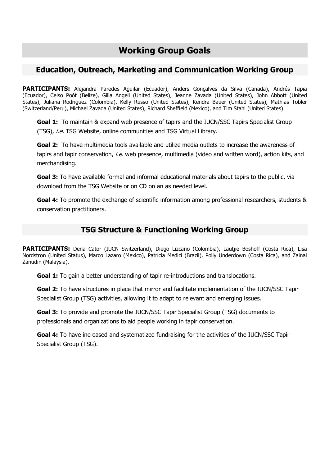# Working Group Goals

### Education, Outreach, Marketing and Communication Working Group

PARTICIPANTS: Alejandra Paredes Aguilar (Ecuador), Anders Gonçalves da Silva (Canada), Andrés Tapia (Ecuador), Celso Poót (Belize), Gilia Angell (United States), Jeanne Zavada (United States), John Abbott (United States), Juliana Rodriguez (Colombia), Kelly Russo (United States), Kendra Bauer (United States), Mathias Tobler (Switzerland/Peru), Michael Zavada (United States), Richard Sheffield (Mexico), and Tim Stahl (United States).

**Goal 1:** To maintain & expand web presence of tapirs and the IUCN/SSC Tapirs Specialist Group (TSG), *i.e.* TSG Website, online communities and TSG Virtual Library.

Goal 2: To have multimedia tools available and utilize media outlets to increase the awareness of tapirs and tapir conservation, i.e. web presence, multimedia (video and written word), action kits, and merchandising.

Goal 3: To have available formal and informal educational materials about tapirs to the public, via download from the TSG Website or on CD on an as needed level.

Goal 4: To promote the exchange of scientific information among professional researchers, students & conservation practitioners.

## TSG Structure & Functioning Working Group

PARTICIPANTS: Dena Cator (IUCN Switzerland), Diego Lizcano (Colombia), Lautiie Boshoff (Costa Rica), Lisa Nordstron (United Status), Marco Lazaro (Mexico), Patrícia Medici (Brazil), Polly Underdown (Costa Rica), and Zainal Zanudin (Malaysia).

Goal 1: To gain a better understanding of tapir re-introductions and translocations.

Goal 2: To have structures in place that mirror and facilitate implementation of the IUCN/SSC Tapir Specialist Group (TSG) activities, allowing it to adapt to relevant and emerging issues.

Goal 3: To provide and promote the IUCN/SSC Tapir Specialist Group (TSG) documents to professionals and organizations to aid people working in tapir conservation.

Goal 4: To have increased and systematized fundraising for the activities of the IUCN/SSC Tapir Specialist Group (TSG).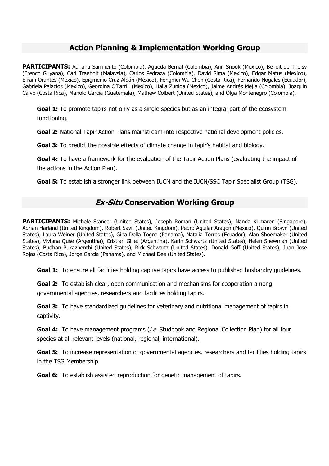## Action Planning & Implementation Working Group

PARTICIPANTS: Adriana Sarmiento (Colombia), Agueda Bernal (Colombia), Ann Snook (Mexico), Benoit de Thoisy (French Guyana), Carl Traeholt (Malaysia), Carlos Pedraza (Colombia), David Sima (Mexico), Edgar Matus (Mexico), Efrain Orantes (Mexico), Epigmenio Cruz-Aldán (Mexico), Fengmei Wu Chen (Costa Rica), Fernando Nogales (Ecuador), Gabriela Palacios (Mexico), Georgina O'Farrill (Mexico), Halia Zuniga (Mexico), Jaime Andrés Mejia (Colombia), Joaquin Calvo (Costa Rica), Manolo Garcia (Guatemala), Mathew Colbert (United States), and Olga Montenegro (Colombia).

Goal 1: To promote tapirs not only as a single species but as an integral part of the ecosystem functioning.

Goal 2: National Tapir Action Plans mainstream into respective national development policies.

Goal 3: To predict the possible effects of climate change in tapir's habitat and biology.

Goal 4: To have a framework for the evaluation of the Tapir Action Plans (evaluating the impact of the actions in the Action Plan).

Goal 5: To establish a stronger link between IUCN and the IUCN/SSC Tapir Specialist Group (TSG).

## **Ex-Situ Conservation Working Group**

PARTICIPANTS: Michele Stancer (United States), Joseph Roman (United States), Nanda Kumaren (Singapore), Adrian Harland (United Kingdom), Robert Savil (United Kingdom), Pedro Aguilar Aragon (Mexico), Quinn Brown (United States), Laura Weiner (United States), Gina Della Togna (Panama), Natalia Torres (Ecuador), Alan Shoemaker (United States), Viviana Quse (Argentina), Cristian Gillet (Argentina), Karin Schwartz (United States), Helen Shewman (United States), Budhan Pukazhenthi (United States), Rick Schwartz (United States), Donald Goff (United States), Juan Jose Rojas (Costa Rica), Jorge Garcia (Panama), and Michael Dee (United States).

**Goal 1:** To ensure all facilities holding captive tapirs have access to published husbandry quidelines.

**Goal 2:** To establish clear, open communication and mechanisms for cooperation among governmental agencies, researchers and facilities holding tapirs.

Goal 3: To have standardized quidelines for veterinary and nutritional management of tapirs in captivity.

Goal 4: To have management programs (i.e. Studbook and Regional Collection Plan) for all four species at all relevant levels (national, regional, international).

Goal 5: To increase representation of governmental agencies, researchers and facilities holding tapirs in the TSG Membership.

**Goal 6:** To establish assisted reproduction for genetic management of tapirs.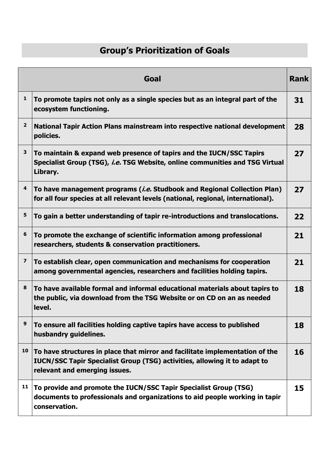# Group's Prioritization of Goals

|                         | Goal                                                                                                                                                                                              | <b>Rank</b> |
|-------------------------|---------------------------------------------------------------------------------------------------------------------------------------------------------------------------------------------------|-------------|
| $\mathbf{1}$            | To promote tapirs not only as a single species but as an integral part of the<br>ecosystem functioning.                                                                                           | 31          |
| $\overline{2}$          | National Tapir Action Plans mainstream into respective national development<br>policies.                                                                                                          | 28          |
| 3                       | To maintain & expand web presence of tapirs and the IUCN/SSC Tapirs<br>Specialist Group (TSG), i.e. TSG Website, online communities and TSG Virtual<br>Library.                                   | 27          |
| 4                       | To have management programs ( <i>i.e.</i> Studbook and Regional Collection Plan)<br>for all four species at all relevant levels (national, regional, international).                              | 27          |
| 5                       | To gain a better understanding of tapir re-introductions and translocations.                                                                                                                      | 22          |
| 6                       | To promote the exchange of scientific information among professional<br>researchers, students & conservation practitioners.                                                                       | 21          |
| $\overline{\mathbf{z}}$ | To establish clear, open communication and mechanisms for cooperation<br>among governmental agencies, researchers and facilities holding tapirs.                                                  | 21          |
| 8                       | To have available formal and informal educational materials about tapirs to<br>the public, via download from the TSG Website or on CD on an as needed<br>level.                                   | 18          |
| 9                       | To ensure all facilities holding captive tapirs have access to published<br>husbandry guidelines.                                                                                                 | 18          |
| 10                      | To have structures in place that mirror and facilitate implementation of the<br><b>IUCN/SSC Tapir Specialist Group (TSG) activities, allowing it to adapt to</b><br>relevant and emerging issues. | 16          |
| 11                      | To provide and promote the IUCN/SSC Tapir Specialist Group (TSG)<br>documents to professionals and organizations to aid people working in tapir<br>conservation.                                  | 15          |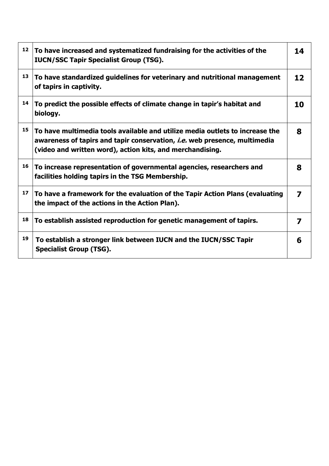| 12 | To have increased and systematized fundraising for the activities of the<br><b>IUCN/SSC Tapir Specialist Group (TSG).</b>                                                                                                     | 14 |
|----|-------------------------------------------------------------------------------------------------------------------------------------------------------------------------------------------------------------------------------|----|
| 13 | To have standardized guidelines for veterinary and nutritional management<br>of tapirs in captivity.                                                                                                                          | 12 |
| 14 | To predict the possible effects of climate change in tapir's habitat and<br>biology.                                                                                                                                          | 10 |
| 15 | To have multimedia tools available and utilize media outlets to increase the<br>awareness of tapirs and tapir conservation, <i>i.e.</i> web presence, multimedia<br>(video and written word), action kits, and merchandising. | 8  |
| 16 | To increase representation of governmental agencies, researchers and<br>facilities holding tapirs in the TSG Membership.                                                                                                      | 8  |
| 17 | To have a framework for the evaluation of the Tapir Action Plans (evaluating<br>the impact of the actions in the Action Plan).                                                                                                | 7  |
| 18 | To establish assisted reproduction for genetic management of tapirs.                                                                                                                                                          | 7  |
| 19 | To establish a stronger link between IUCN and the IUCN/SSC Tapir<br><b>Specialist Group (TSG).</b>                                                                                                                            | 6  |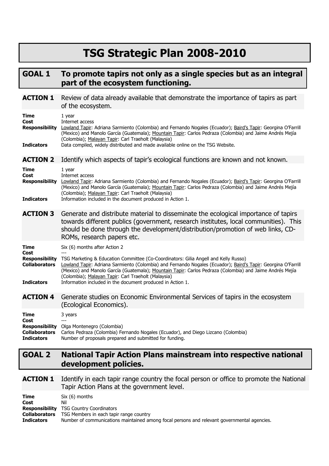# TSG Strategic Plan 2008-2010

## GOAL 1 To promote tapirs not only as a single species but as an integral part of the ecosystem functioning.

| <b>ACTION 1</b>                                                                           | Review of data already available that demonstrate the importance of tapirs as part<br>of the ecosystem.                                                                                                                                                                                                                                                                                                                                                                |
|-------------------------------------------------------------------------------------------|------------------------------------------------------------------------------------------------------------------------------------------------------------------------------------------------------------------------------------------------------------------------------------------------------------------------------------------------------------------------------------------------------------------------------------------------------------------------|
| <b>Time</b><br>Cost<br><b>Responsibility</b><br><b>Indicators</b>                         | $1$ year<br>Internet access<br>Lowland Tapir: Adriana Sarmiento (Colombia) and Fernando Nogales (Ecuador); Baird's Tapir: Georgina O'Farrill<br>(Mexico) and Manolo García (Guatemala); Mountain Tapir: Carlos Pedraza (Colombia) and Jaime Andrés Mejía<br>(Colombia); Malayan Tapir: Carl Traeholt (Malaysia)<br>Data compiled, widely distributed and made available online on the TSG Website.                                                                     |
| <b>ACTION 2</b>                                                                           | Identify which aspects of tapir's ecological functions are known and not known.                                                                                                                                                                                                                                                                                                                                                                                        |
| Time<br><b>Cost</b><br><b>Responsibility</b><br><b>Indicators</b>                         | $1$ year<br>Internet access<br>Lowland Tapir: Adriana Sarmiento (Colombia) and Fernando Nogales (Ecuador); Baird's Tapir: Georgina O'Farrill<br>(Mexico) and Manolo García (Guatemala); Mountain Tapir: Carlos Pedraza (Colombia) and Jaime Andrés Mejía<br>(Colombia); Malayan Tapir: Carl Traeholt (Malaysia)<br>Information included in the document produced in Action 1.                                                                                          |
| <b>ACTION 3</b>                                                                           | Generate and distribute material to disseminate the ecological importance of tapirs<br>towards different publics (government, research institutes, local communities). This<br>should be done through the development/distribution/promotion of web links, CD-<br>ROMs, research papers etc.                                                                                                                                                                           |
| Time<br>Cost<br><b>Responsibility</b><br><b>Collaborators</b><br><b>Indicators</b>        | Six (6) months after Action 2<br>TSG Marketing & Education Committee (Co-Coordinators: Gilia Angell and Kelly Russo)<br>Lowland Tapir: Adriana Sarmiento (Colombia) and Fernando Nogales (Ecuador); Baird's Tapir: Georgina O'Farrill<br>(Mexico) and Manolo García (Guatemala); Mountain Tapir: Carlos Pedraza (Colombia) and Jaime Andrés Mejía<br>(Colombia); Malayan Tapir: Carl Traeholt (Malaysia)<br>Information included in the document produced in Action 1. |
| <b>ACTION 4</b>                                                                           | Generate studies on Economic Environmental Services of tapirs in the ecosystem<br>(Ecological Economics).                                                                                                                                                                                                                                                                                                                                                              |
| <b>Time</b><br>Cost<br><b>Responsibility</b><br><b>Collaborators</b><br><b>Indicators</b> | 3 years<br>$---$<br>Olga Montenegro (Colombia)<br>Carlos Pedraza (Colombia) Fernando Nogales (Ecuador), and Diego Lizcano (Colombia)<br>Number of proposals prepared and submitted for funding.                                                                                                                                                                                                                                                                        |

## GOAL 2 National Tapir Action Plans mainstream into respective national development policies.

#### **ACTION 1** Identify in each tapir range country the focal person or office to promote the National Tapir Action Plans at the government level.

| Time<br>Cost         | Six (6) months<br>Nil                                                                       |
|----------------------|---------------------------------------------------------------------------------------------|
|                      | <b>Responsibility</b> TSG Country Coordinators                                              |
| <b>Collaborators</b> | TSG Members in each tapir range country                                                     |
| <b>Indicators</b>    | Number of communications maintained among focal persons and relevant governmental agencies. |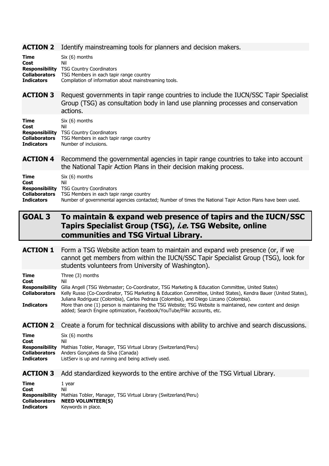#### **ACTION 2** Identify mainstreaming tools for planners and decision makers.

| Time                 | $Six (6)$ months                                      |
|----------------------|-------------------------------------------------------|
| Cost                 | Nil                                                   |
|                      | <b>Responsibility</b> TSG Country Coordinators        |
| <b>Collaborators</b> | TSG Members in each tapir range country               |
| <b>Indicators</b>    | Compilation of information about mainstreaming tools. |

**ACTION 3** Request governments in tapir range countries to include the IUCN/SSC Tapir Specialist Group (TSG) as consultation body in land use planning processes and conservation actions.

| Time              | $Six (6)$ months                                             |
|-------------------|--------------------------------------------------------------|
| Cost              | Nil                                                          |
|                   | <b>Responsibility</b> TSG Country Coordinators               |
|                   | <b>Collaborators</b> TSG Members in each tapir range country |
| <b>Indicators</b> | Number of inclusions.                                        |

**ACTION 4** Recommend the governmental agencies in tapir range countries to take into account the National Tapir Action Plans in their decision making process.

| <b>Time</b>          | Six (6) months                                                                                             |
|----------------------|------------------------------------------------------------------------------------------------------------|
| Cost                 | Nil                                                                                                        |
|                      | <b>Responsibility</b> TSG Country Coordinators                                                             |
| <b>Collaborators</b> | TSG Members in each tapir range country                                                                    |
| <b>Indicators</b>    | Number of governmental agencies contacted; Number of times the National Tapir Action Plans have been used. |

## GOAL 3 To maintain & expand web presence of tapirs and the IUCN/SSC Tapirs Specialist Group (TSG), i.e. TSG Website, online communities and TSG Virtual Library.

**ACTION 1** Form a TSG Website action team to maintain and expand web presence (or, if we cannot get members from within the IUCN/SSC Tapir Specialist Group (TSG), look for students volunteers from University of Washington).

| Time                  | Three (3) months                                                                                                                                                                                          |
|-----------------------|-----------------------------------------------------------------------------------------------------------------------------------------------------------------------------------------------------------|
| Cost                  | Nil                                                                                                                                                                                                       |
| <b>Responsibility</b> | Gilia Angell (TSG Webmaster; Co-Coordinator, TSG Marketing & Education Committee, United States)                                                                                                          |
| <b>Collaborators</b>  | Kelly Russo (Co-Coordinator, TSG Marketing & Education Committee, United States), Kendra Bauer (United States),<br>Juliana Rodriguez (Colombia), Carlos Pedraza (Colombia), and Diego Lizcano (Colombia). |
| <b>Indicators</b>     | More than one (1) person is maintaining the TSG Website; TSG Website is maintained, new content and design<br>added; Search Engine optimization, Facebook/YouTube/Flikr accounts, etc.                    |

#### **ACTION 2** Create a forum for technical discussions with ability to archive and search discussions.

| <b>Time</b>          | $Six (6)$ months                                                |
|----------------------|-----------------------------------------------------------------|
| Cost                 | Nil                                                             |
| Responsibility       | Mathias Tobler, Manager, TSG Virtual Library (Switzerland/Peru) |
| <b>Collaborators</b> | Anders Gonçalves da Silva (Canada)                              |
| <b>Indicators</b>    | ListServ is up and running and being actively used.             |
|                      |                                                                 |

#### ACTION 3 Add standardized keywords to the entire archive of the TSG Virtual Library.

Time 1 year Cost Nil Responsibility Mathias Tobler, Manager, TSG Virtual Library (Switzerland/Peru)<br>Collaborators NEED VOLUNTEER(S) **NEED VOLUNTEER(S)** Indicators Keywords in place.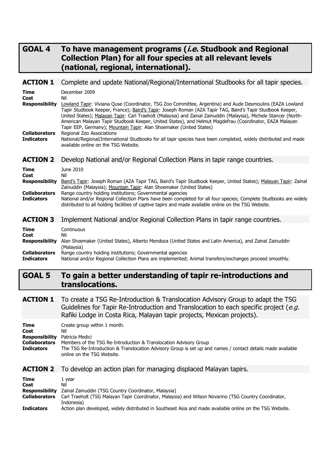## GOAL 4 To have management programs (*i.e.* Studbook and Regional Collection Plan) for all four species at all relevant levels (national, regional, international).

#### ACTION 1 Complete and update National/Regional/International Studbooks for all tapir species.

| <b>Time</b><br>Cost<br><b>Responsibility</b><br><b>Collaborators</b><br><b>Indicators</b> | December 2009<br>Nil<br>Lowland Tapir: Viviana Quse (Coordinator, TSG Zoo Committee, Argentina) and Aude Desmoulins (EAZA Lowland<br>Tapir Studbook Keeper, France); <u>Baird's Tapir</u> : Joseph Roman (AZA Tapir TAG, Baird's Tapir Studbook Keeper,<br>United States); Malayan Tapir: Carl Traeholt (Malaysia) and Zainal Zainuddin (Malaysia), Michele Stancer (North-<br>American Malayan Tapir Studbook Keeper, United States), and Helmut Magdefrau (Coordinator, EAZA Malayan<br>Tapir EEP, Germany); Mountain Tapir: Alan Shoemaker (United States)<br>Regional Zoo Associations<br>National/Regional/International Studbooks for all tapir species have been completed, widely distributed and made<br>available online on the TSG Website. |
|-------------------------------------------------------------------------------------------|--------------------------------------------------------------------------------------------------------------------------------------------------------------------------------------------------------------------------------------------------------------------------------------------------------------------------------------------------------------------------------------------------------------------------------------------------------------------------------------------------------------------------------------------------------------------------------------------------------------------------------------------------------------------------------------------------------------------------------------------------------|
| <b>ACTION 2</b>                                                                           | Develop National and/or Regional Collection Plans in tapir range countries.                                                                                                                                                                                                                                                                                                                                                                                                                                                                                                                                                                                                                                                                            |
| Time<br>Cost<br><b>Responsibility</b><br><b>Collaborators</b><br><b>Indicators</b>        | June 2010<br>Nil<br>Baird's Tapir: Joseph Roman (AZA Tapir TAG, Baird's Tapir Studbook Keeper, United States); Malayan Tapir: Zainal<br>Zainuddin (Malaysia); Mountain Tapir: Alan Shoemaker (United States)<br>Range country holding institutions; Governmental agencies<br>National and/or Regional Collection Plans have been completed for all four species; Complete Studbooks are widely<br>distributed to all holding facilities of captive tapirs and made available online on the TSG Website.                                                                                                                                                                                                                                                |
| <b>ACTION 3</b>                                                                           | Implement National and/or Regional Collection Plans in tapir range countries.                                                                                                                                                                                                                                                                                                                                                                                                                                                                                                                                                                                                                                                                          |
| Time<br>Cost<br><b>Responsibility</b>                                                     | Continuous<br>Nil<br>Alan Shoemaker (United States), Alberto Mendoza (United States and Latin America), and Zainal Zainuddin<br>(Malaysia)                                                                                                                                                                                                                                                                                                                                                                                                                                                                                                                                                                                                             |

**Collaborators** Range country holding institutions; Governmental agencies<br> **Indicators** Mational and/or Regional Collection Plans are implemented:

National and/or Regional Collection Plans are implemented; Animal transfers/exchanges proceed smoothly.

## GOAL 5 To gain a better understanding of tapir re-introductions and translocations.

**ACTION 1** To create a TSG Re-Introduction & Translocation Advisory Group to adapt the TSG Guidelines for Tapir Re-Introduction and Translocation to each specific project ( $e.g.$ Rafiki Lodge in Costa Rica, Malayan tapir projects, Mexican projects).

| <b>Time</b>                           | Create group within 1 month.                                                                                                              |
|---------------------------------------|-------------------------------------------------------------------------------------------------------------------------------------------|
| Cost                                  | Nil                                                                                                                                       |
| <b>Responsibility</b> Patricia Medici |                                                                                                                                           |
| <b>Collaborators</b>                  | Members of the TSG Re-Introduction & Translocation Advisory Group                                                                         |
| <b>Indicators</b>                     | The TSG Re-Introduction & Translocation Advisory Group is set up and names / contact details made available<br>online on the TSG Website. |

#### **ACTION 2** To develop an action plan for managing displaced Malayan tapirs.

| <b>Time</b>          | 1 vear                                                                                                    |
|----------------------|-----------------------------------------------------------------------------------------------------------|
| Cost                 | Nil                                                                                                       |
| Responsibility       | Zainal Zainuddin (TSG Country Coordinator, Malaysia)                                                      |
| <b>Collaborators</b> | Carl Traeholt (TSG Malayan Tapir Coordinator, Malaysia) and Wilson Novarino (TSG Country Coordinator,     |
|                      | Indonesia)                                                                                                |
| <b>Indicators</b>    | Action plan developed, widely distributed in Southeast Asia and made available online on the TSG Website. |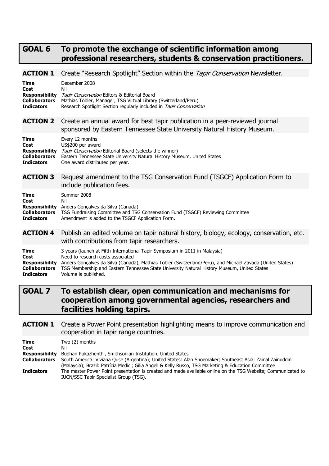## GOAL 6 To promote the exchange of scientific information among professional researchers, students & conservation practitioners.

**ACTION 1** Create "Research Spotlight" Section within the Tapir Conservation Newsletter.

| <b>Time</b>           | December 2008                                                                                                                                           |
|-----------------------|---------------------------------------------------------------------------------------------------------------------------------------------------------|
| Cost                  | Nil                                                                                                                                                     |
| <b>Responsibility</b> | Tapir Conservation Editors & Editorial Board                                                                                                            |
| <b>Collaborators</b>  | Mathias Tobler, Manager, TSG Virtual Library (Switzerland/Peru)                                                                                         |
| <b>Indicators</b>     | Research Spotlight Section regularly included in Tapir Conservation                                                                                     |
| <b>ACTION 2</b>       | Create an annual award for best tapir publication in a peer-reviewed journal<br>sponsored by Eastern Tennessee State University Natural History Museum. |
| Time                  | Every 12 months                                                                                                                                         |
| Cost                  | US\$200 per award                                                                                                                                       |
| <b>Responsibility</b> | Tapir Conservation Editorial Board (selects the winner)                                                                                                 |
| <b>Collaborators</b>  | Eastern Tennessee State University Natural History Museum, United States                                                                                |
| <b>Indicators</b>     | One award distributed per year.                                                                                                                         |
| <b>ACTION 3</b>       | Request amendment to the TSG Conservation Fund (TSGCF) Application Form to<br>include publication fees.                                                 |
| <b>Time</b>           | Summer 2008                                                                                                                                             |
| Cost                  | Nil                                                                                                                                                     |
| <b>Responsibility</b> | Anders Goncalves da Silva (Canada)                                                                                                                      |
| <b>Collaborators</b>  | TSG Fundraising Committee and TSG Conservation Fund (TSGCF) Reviewing Committee                                                                         |
| <b>Indicators</b>     | Amendment is added to the TSGCF Application Form.                                                                                                       |
| <b>ACTION 4</b>       | Publish an edited volume on tapir natural history, biology, ecology, conservation, etc.<br>with contributions from tapir researchers.                   |
| <b>Time</b>           | 3 years (launch at Fifth International Tapir Symposium in 2011 in Malaysia)                                                                             |
| Cost                  | Need to research costs associated                                                                                                                       |
| <b>Responsibility</b> | Anders Gonçalves da Silva (Canada), Mathias Tobler (Switzerland/Peru), and Michael Zavada (United States)                                               |
| <b>Collaborators</b>  | TSG Membership and Eastern Tennessee State University Natural History Museum, United States                                                             |
| <b>Indicators</b>     | Volume is published.                                                                                                                                    |

## GOAL 7 To establish clear, open communication and mechanisms for cooperation among governmental agencies, researchers and facilities holding tapirs.

#### **ACTION 1** Create a Power Point presentation highlighting means to improve communication and cooperation in tapir range countries.

| Time                 | Two (2) months                                                                                               |
|----------------------|--------------------------------------------------------------------------------------------------------------|
| Cost                 | Nil                                                                                                          |
| Responsibility       | Budhan Pukazhenthi, Smithsonian Institution, United States                                                   |
| <b>Collaborators</b> | South America: Viviana Quse (Argentina); United States: Alan Shoemaker; Southeast Asia: Zainal Zainuddin     |
|                      | (Malaysia); Brazil: Patrícia Medici; Gilia Angell & Kelly Russo, TSG Marketing & Education Committee         |
| <b>Indicators</b>    | The master Power Point presentation is created and made available online on the TSG Website; Communicated to |
|                      | IUCN/SSC Tapir Specialist Group (TSG).                                                                       |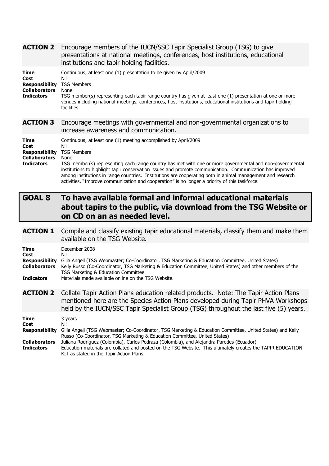| <b>ACTION 2</b>                                                                    | Encourage members of the IUCN/SSC Tapir Specialist Group (TSG) to give<br>presentations at national meetings, conferences, host institutions, educational<br>institutions and tapir holding facilities.                                                                                                                                                                                                                                                                                                                                       |
|------------------------------------------------------------------------------------|-----------------------------------------------------------------------------------------------------------------------------------------------------------------------------------------------------------------------------------------------------------------------------------------------------------------------------------------------------------------------------------------------------------------------------------------------------------------------------------------------------------------------------------------------|
| Time<br>Cost<br><b>Responsibility</b><br><b>Collaborators</b><br><b>Indicators</b> | Continuous; at least one (1) presentation to be given by April/2009<br>Nil<br><b>TSG Members</b><br>None<br>TSG member(s) representing each tapir range country has given at least one (1) presentation at one or more<br>venues including national meetings, conferences, host institutions, educational institutions and tapir holding<br>facilities.                                                                                                                                                                                       |
| <b>ACTION 3</b>                                                                    | Encourage meetings with governmental and non-governmental organizations to<br>increase awareness and communication.                                                                                                                                                                                                                                                                                                                                                                                                                           |
| Time<br>Cost<br><b>Responsibility</b><br><b>Collaborators</b><br><b>Indicators</b> | Continuous; at least one (1) meeting accomplished by April/2009<br>Nil<br><b>TSG Members</b><br>None<br>TSG member(s) representing each range country has met with one or more governmental and non-governmental<br>institutions to highlight tapir conservation issues and promote communication. Communication has improved<br>among institutions in range countries. Institutions are cooperating both in animal management and research<br>activities. "Improve communication and cooperation" is no longer a priority of this taskforce. |
|                                                                                    |                                                                                                                                                                                                                                                                                                                                                                                                                                                                                                                                               |
| <b>GOAL 8</b>                                                                      | To have available formal and informal educational materials<br>about tapirs to the public, via download from the TSG Website or<br>on CD on an as needed level.                                                                                                                                                                                                                                                                                                                                                                               |
| <b>ACTION 1</b>                                                                    | Compile and classify existing tapir educational materials, classify them and make them<br>available on the TSG Website.                                                                                                                                                                                                                                                                                                                                                                                                                       |
| Time<br>Cost<br><b>Responsibility</b><br><b>Collaborators</b><br><b>Indicators</b> | December 2008<br>Nil<br>Gilia Angell (TSG Webmaster; Co-Coordinator, TSG Marketing & Education Committee, United States)<br>Kelly Russo (Co-Coordinator, TSG Marketing & Education Committee, United States) and other members of the<br>TSG Marketing & Education Committee.<br>Materials made available online on the TSG Website.                                                                                                                                                                                                          |
| <b>ACTION 2</b>                                                                    | Collate Tapir Action Plans education related products. Note: The Tapir Action Plans<br>mentioned here are the Species Action Plans developed during Tapir PHVA Workshops<br>held by the IUCN/SSC Tapir Specialist Group (TSG) throughout the last five (5) years.                                                                                                                                                                                                                                                                             |

Russo (Co-Coordinator, TSG Marketing & Education Committee, United States) **Collaborators** Juliana Rodriguez (Colombia), Carlos Pedraza (Colombia), and Alejandra Paredes (Ecuador) **Indicators** Education materials are collated and posted on the TSG Website. This ultimately creates the TAPIR EDUCATION KIT as stated in the Tapir Action Plans.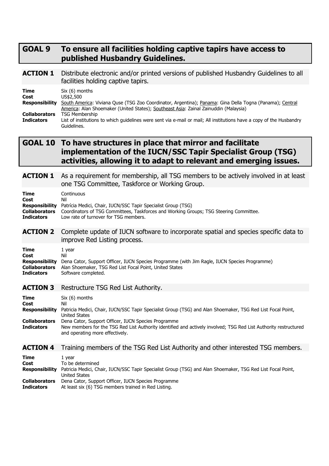### GOAL 9 To ensure all facilities holding captive tapirs have access to published Husbandry Guidelines.

#### **ACTION 1** Distribute electronic and/or printed versions of published Husbandry Guidelines to all facilities holding captive tapirs.

| Time                 | $Six (6)$ months                                                                                                     |
|----------------------|----------------------------------------------------------------------------------------------------------------------|
| Cost                 | US\$2.500                                                                                                            |
| Responsibility       | South America: Viviana Quse (TSG Zoo Coordinator, Argentina); Panama: Gina Della Togna (Panama); Central             |
|                      | America: Alan Shoemaker (United States); Southeast Asia: Zainal Zainuddin (Malaysia)                                 |
| <b>Collaborators</b> | <b>TSG Membership</b>                                                                                                |
| <b>Indicators</b>    | List of institutions to which quidelines were sent via e-mail or mail; All institutions have a copy of the Husbandry |
|                      | Guidelines.                                                                                                          |

## GOAL 10 To have structures in place that mirror and facilitate implementation of the IUCN/SSC Tapir Specialist Group (TSG) activities, allowing it to adapt to relevant and emerging issues.

#### **ACTION 1** As a requirement for membership, all TSG members to be actively involved in at least one TSG Committee, Taskforce or Working Group.

| <b>Time</b>       | Continuous                                                                                                                                                                                                                                  |
|-------------------|---------------------------------------------------------------------------------------------------------------------------------------------------------------------------------------------------------------------------------------------|
| Cost              | Nil                                                                                                                                                                                                                                         |
| <b>Indicators</b> | <b>Responsibility</b> Patrícia Medici, Chair, IUCN/SSC Tapir Specialist Group (TSG)<br><b>Collaborators</b> Coordinators of TSG Committees, Taskforces and Working Groups; TSG Steering Committee.<br>Low rate of turnover for TSG members. |

#### **ACTION 2** Complete update of IUCN software to incorporate spatial and species specific data to improve Red Listing process.

| Time                 | 1 vear                                                                                                             |
|----------------------|--------------------------------------------------------------------------------------------------------------------|
| Cost                 | Nil                                                                                                                |
|                      | <b>Responsibility</b> Dena Cator, Support Officer, IUCN Species Programme (with Jim Ragle, IUCN Species Programme) |
| <b>Collaborators</b> | Alan Shoemaker, TSG Red List Focal Point, United States                                                            |
| <b>Indicators</b>    | Software completed.                                                                                                |

#### ACTION 3 Restructure TSG Red List Authority.

| Time                        | $Six (6)$ months                                                                                                                                                                                           |
|-----------------------------|------------------------------------------------------------------------------------------------------------------------------------------------------------------------------------------------------------|
| Cost                        | Nil                                                                                                                                                                                                        |
| <b>Responsibility</b>       | Patricia Medici, Chair, IUCN/SSC Tapir Specialist Group (TSG) and Alan Shoemaker, TSG Red List Focal Point,<br>United States                                                                               |
| Collaborators<br>Indicators | Dena Cator, Support Officer, IUCN Species Programme<br>New members for the TSG Red List Authority identified and actively involved; TSG Red List Authority restructured<br>and operating more effectively. |

#### **ACTION 4** Training members of the TSG Red List Authority and other interested TSG members.

| <b>Time</b>                               | 1 vear                                                                                                                       |
|-------------------------------------------|------------------------------------------------------------------------------------------------------------------------------|
| Cost                                      | To be determined                                                                                                             |
| <b>Responsibility</b>                     | Patricia Medici, Chair, IUCN/SSC Tapir Specialist Group (TSG) and Alan Shoemaker, TSG Red List Focal Point,<br>United States |
| <b>Collaborators</b><br><b>Indicators</b> | Dena Cator, Support Officer, IUCN Species Programme<br>At least six (6) TSG members trained in Red Listing.                  |
|                                           |                                                                                                                              |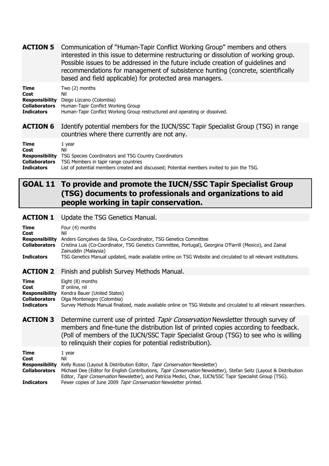| <b>ACTION 5</b> Communication of "Human-Tapir Conflict Working Group" members and others |
|------------------------------------------------------------------------------------------|
| interested in this issue to determine restructuring or dissolution of working group.     |
| Possible issues to be addressed in the future include creation of quidelines and         |
| recommendations for management of subsistence hunting (concrete, scientifically          |
| based and field applicable) for protected area managers.                                 |

| <b>Time</b>       | Two (2) months                                                              |
|-------------------|-----------------------------------------------------------------------------|
| Cost              | Nil                                                                         |
|                   | <b>Responsibility</b> Diego Lizcano (Colombia)                              |
|                   | <b>Collaborators</b> Human-Tapir Conflict Working Group                     |
| <b>Indicators</b> | Human-Tapir Conflict Working Group restructured and operating or dissolved. |

ACTION 6 Identify potential members for the IUCN/SSC Tapir Specialist Group (TSG) in range countries where there currently are not any.

| Time<br>Cost         | 1 vear<br>Nil                                                                               |
|----------------------|---------------------------------------------------------------------------------------------|
|                      | <b>Responsibility</b> TSG Species Coordinators and TSG Country Coordinators                 |
| <b>Collaborators</b> | TSG Members in tapir range countries                                                        |
| <b>Indicators</b>    | List of potential members created and discussed; Potential members invited to join the TSG. |

## GOAL 11 To provide and promote the IUCN/SSC Tapir Specialist Group (TSG) documents to professionals and organizations to aid people working in tapir conservation.

#### **ACTION 1** Update the TSG Genetics Manual.

| <b>Time</b><br>Cost<br><b>Responsibility</b><br><b>Collaborators</b><br><b>Indicators</b> | Four (4) months<br>Nil<br>Anders Gonçalves da Silva, Co-Coordinator, TSG Genetics Committee<br>Cristina Luis (Co-Coordinator, TSG Genetics Committee, Portugal), Georgina O'Farrill (Mexico), and Zainal<br>Zainuddin (Malaysia)<br>TSG Genetics Manual updated, made available online on TSG Website and circulated to all relevant institutions.                                                 |
|-------------------------------------------------------------------------------------------|----------------------------------------------------------------------------------------------------------------------------------------------------------------------------------------------------------------------------------------------------------------------------------------------------------------------------------------------------------------------------------------------------|
| <b>ACTION 2</b>                                                                           | Finish and publish Survey Methods Manual.                                                                                                                                                                                                                                                                                                                                                          |
| Time<br>Cost<br><b>Responsibility</b><br><b>Collaborators</b><br><b>Indicators</b>        | Eight (8) months<br>If online, nil<br>Kendra Bauer (United States)<br>Olga Montenegro (Colombia)<br>Survey Methods Manual finalized, made available online on TSG Website and circulated to all relevant researchers.                                                                                                                                                                              |
| <b>ACTION 3</b>                                                                           | Determine current use of printed Tapir Conservation Newsletter through survey of<br>members and fine-tune the distribution list of printed copies according to feedback.<br>(Poll of members of the IUCN/SSC Tapir Specialist Group (TSG) to see who is willing<br>to relinguish their copies for potential redistribution).                                                                       |
| Time<br>Cost<br><b>Responsibility</b><br><b>Collaborators</b><br><b>Indicators</b>        | 1 year<br>Nil<br>Kelly Russo (Layout & Distribution Editor, Tapir Conservation Newsletter)<br>Michael Dee (Editor for English Contributions, Tapir Conservation Newsletter), Stefan Seitz (Layout & Distribution<br>Editor, Tapir Conservation Newsletter), and Patrícia Medici, Chair, IUCN/SSC Tapir Specialist Group (TSG).<br>Fewer copies of June 2009 Tapir Conservation Newsletter printed. |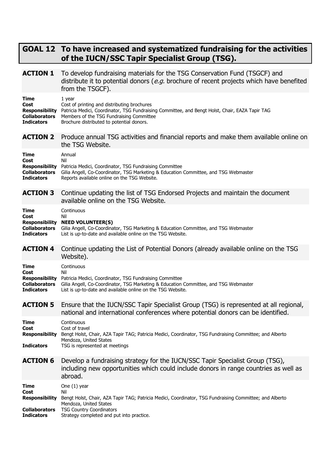## GOAL 12 To have increased and systematized fundraising for the activities of the IUCN/SSC Tapir Specialist Group (TSG).

| <b>ACTION 1</b>                                                                           | To develop fundraising materials for the TSG Conservation Fund (TSGCF) and<br>distribute it to potential donors (e.g. brochure of recent projects which have benefited<br>from the TSGCF).                                                        |
|-------------------------------------------------------------------------------------------|---------------------------------------------------------------------------------------------------------------------------------------------------------------------------------------------------------------------------------------------------|
| <b>Time</b><br>Cost<br><b>Responsibility</b><br><b>Collaborators</b><br><b>Indicators</b> | 1 year<br>Cost of printing and distributing brochures<br>Patricia Medici, Coordinator, TSG Fundraising Committee, and Bengt Holst, Chair, EAZA Tapir TAG<br>Members of the TSG Fundraising Committee<br>Brochure distributed to potential donors. |
| <b>ACTION 2</b>                                                                           | Produce annual TSG activities and financial reports and make them available online on<br>the TSG Website.                                                                                                                                         |
| Time<br>Cost<br><b>Responsibility</b><br><b>Collaborators</b><br><b>Indicators</b>        | Annual<br>Nil<br>Patricia Medici, Coordinator, TSG Fundraising Committee<br>Gilia Angell, Co-Coordinator, TSG Marketing & Education Committee, and TSG Webmaster<br>Reports available online on the TSG Website.                                  |
| <b>ACTION 3</b>                                                                           | Continue updating the list of TSG Endorsed Projects and maintain the document<br>available online on the TSG Website.                                                                                                                             |
| <b>Time</b><br>Cost<br><b>Responsibility</b><br><b>Collaborators</b><br><b>Indicators</b> | Continuous<br>Nil<br><b>NEED VOLUNTEER(S)</b><br>Gilia Angell, Co-Coordinator, TSG Marketing & Education Committee, and TSG Webmaster<br>List is up-to-date and available online on the TSG Website.                                              |
| <b>ACTION 4</b>                                                                           | Continue updating the List of Potential Donors (already available online on the TSG<br>Website).                                                                                                                                                  |
| Time<br>Cost<br><b>Responsibility</b><br><b>Collaborators</b><br><b>Indicators</b>        | Continuous<br>Nil<br>Patricia Medici, Coordinator, TSG Fundraising Committee<br>Gilia Angell, Co-Coordinator, TSG Marketing & Education Committee, and TSG Webmaster<br>List is up-to-date and available online on the TSG Website.               |
| <b>ACTION 5</b>                                                                           | Ensure that the IUCN/SSC Tapir Specialist Group (TSG) is represented at all regional,<br>national and international conferences where potential donors can be identified.                                                                         |
| Time<br>Cost<br><b>Responsibility</b><br><b>Indicators</b>                                | Continuous<br>Cost of travel<br>Bengt Holst, Chair, AZA Tapir TAG; Patricia Medici, Coordinator, TSG Fundraising Committee; and Alberto<br>Mendoza, United States<br>TSG is represented at meetings                                               |
| <b>ACTION 6</b>                                                                           | Develop a fundraising strategy for the IUCN/SSC Tapir Specialist Group (TSG),<br>including new opportunities which could include donors in range countries as well as<br>abroad.                                                                  |
| Time<br>Cost<br><b>Responsibility</b><br><b>Collaborators</b><br><b>Indicators</b>        | One $(1)$ year<br>Nil<br>Bengt Holst, Chair, AZA Tapir TAG; Patricia Medici, Coordinator, TSG Fundraising Committee; and Alberto<br>Mendoza, United States<br><b>TSG Country Coordinators</b><br>Strategy completed and put into practice.        |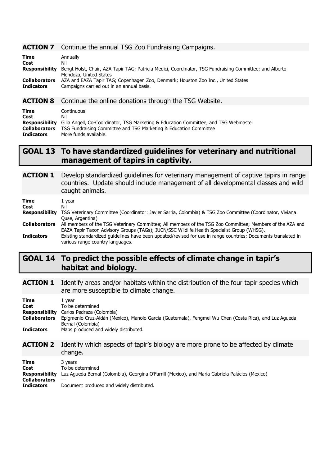#### **ACTION 7** Continue the annual TSG Zoo Fundraising Campaigns.

| <b>Time</b>           | Annually                                                                                                |
|-----------------------|---------------------------------------------------------------------------------------------------------|
| Cost                  | Nil                                                                                                     |
| <b>Responsibility</b> | Bengt Holst, Chair, AZA Tapir TAG; Patricia Medici, Coordinator, TSG Fundraising Committee; and Alberto |
|                       | Mendoza, United States                                                                                  |
| <b>Collaborators</b>  | AZA and EAZA Tapir TAG; Copenhagen Zoo, Denmark; Houston Zoo Inc., United States                        |
| <b>Indicators</b>     | Campaigns carried out in an annual basis.                                                               |

#### **ACTION 8** Continue the online donations through the TSG Website.

| <b>Time</b>          | Continuous                                                                                                 |
|----------------------|------------------------------------------------------------------------------------------------------------|
| Cost                 | Nil                                                                                                        |
|                      | <b>Responsibility</b> Gilia Angell, Co-Coordinator, TSG Marketing & Education Committee, and TSG Webmaster |
| <b>Collaborators</b> | TSG Fundraising Committee and TSG Marketing & Education Committee                                          |
| <b>Indicators</b>    | More funds available.                                                                                      |

## GOAL 13 To have standardized guidelines for veterinary and nutritional management of tapirs in captivity.

ACTION 1 Develop standardized guidelines for veterinary management of captive tapirs in range countries. Update should include management of all developmental classes and wild caught animals.

| Time<br>Cost         | 1 year<br>Nil                                                                                                                                                                                           |
|----------------------|---------------------------------------------------------------------------------------------------------------------------------------------------------------------------------------------------------|
| Responsibility       | TSG Veterinary Committee (Coordinator: Javier Sarria, Colombia) & TSG Zoo Committee (Coordinator, Viviana<br>Quse, Argentina)                                                                           |
| <b>Collaborators</b> | All members of the TSG Veterinary Committee; All members of the TSG Zoo Committee; Members of the AZA and<br>EAZA Tapir Taxon Advisory Groups (TAGs); IUCN/SSC Wildlife Health Specialist Group (WHSG). |
| <b>Indicators</b>    | Existing standardized guidelines have been updated/revised for use in range countries; Documents translated in<br>various range country languages.                                                      |

## GOAL 14 To predict the possible effects of climate change in tapir's habitat and biology.

**ACTION 1** Identify areas and/or habitats within the distribution of the four tapir species which are more susceptible to climate change.

| Time<br>Cost<br><b>Responsibility</b><br><b>Collaborators</b><br><b>Indicators</b> | 1 year<br>To be determined<br>Carlos Pedraza (Colombia)<br>Epigmenio Cruz-Aldán (Mexico), Manolo García (Guatemala), Fengmei Wu Chen (Costa Rica), and Luz Agueda<br>Bernal (Colombia)<br>Maps produced and widely distributed. |
|------------------------------------------------------------------------------------|---------------------------------------------------------------------------------------------------------------------------------------------------------------------------------------------------------------------------------|
| <b>ACTION 2</b>                                                                    | Identify which aspects of tapir's biology are more prone to be affected by climate<br>change.                                                                                                                                   |
| Time<br>Cost                                                                       | 3 years<br>To be determined<br><b>Desponsibility</b> Luz Aqueda Bernal (Colombia), Georgina O'Earrill (Mexico), and Maria Cabriela Dalácios (Mexico)                                                                            |

|                   | Responsibility Luz Agueda Bernal (Colombia), Georgina O'Farrill (Mexico), and Maria Gabriela Palácios (Mexico) |
|-------------------|----------------------------------------------------------------------------------------------------------------|
| Collaborators --- |                                                                                                                |
| <b>Indicators</b> | Document produced and widely distributed.                                                                      |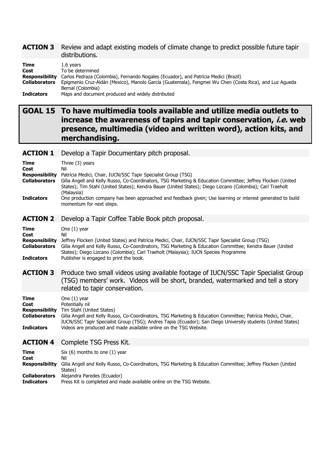#### **ACTION 3** Review and adapt existing models of climate change to predict possible future tapir distributions.

| Time                 | 1.6 vears                                                                                              |
|----------------------|--------------------------------------------------------------------------------------------------------|
| Cost                 | To be determined                                                                                       |
| Responsibility       | Carlos Pedraza (Colombia), Fernando Nogales (Ecuador), and Patrícia Medici (Brazil)                    |
| <b>Collaborators</b> | Epigmenio Cruz-Aldán (Mexico), Manolo García (Guatemala), Fengmei Wu Chen (Costa Rica), and Luz Agueda |
|                      | Bernal (Colombia)                                                                                      |
| <b>Indicators</b>    | Maps and document produced and widely distributed                                                      |

# GOAL 15 To have multimedia tools available and utilize media outlets to increase the awareness of tapirs and tapir conservation, *i.e.* web presence, multimedia (video and written word), action kits, and merchandising.

| <b>ACTION 1</b> |  |  | Develop a Tapir Documentary pitch proposal. |
|-----------------|--|--|---------------------------------------------|
|-----------------|--|--|---------------------------------------------|

| Time<br>Cost<br><b>Responsibility</b><br><b>Collaborators</b><br><b>Indicators</b> | Three $(3)$ years<br>Nil<br>Patrícia Medici, Chair, IUCN/SSC Tapir Specialist Group (TSG)<br>Gilia Angell and Kelly Russo, Co-Coordinators, TSG Marketing & Education Committee; Jeffrey Flocken (United<br>States); Tim Stahl (United States); Kendra Bauer (United States); Diego Lizcano (Colombia); Carl Traeholt<br>(Malaysia)<br>One production company has been approached and feedback given; Use learning or interest generated to build |
|------------------------------------------------------------------------------------|---------------------------------------------------------------------------------------------------------------------------------------------------------------------------------------------------------------------------------------------------------------------------------------------------------------------------------------------------------------------------------------------------------------------------------------------------|
| <b>ACTION 2</b>                                                                    | Develop a Tapir Coffee Table Book pitch proposal.                                                                                                                                                                                                                                                                                                                                                                                                 |
|                                                                                    | momentum for next steps.                                                                                                                                                                                                                                                                                                                                                                                                                          |

#### **Time** One (1) year Cost Nil Responsibility Jeffrey Flocken (United States) and Patrícia Medici, Chair, IUCN/SSC Tapir Specialist Group (TSG) Collaborators Gilia Angell and Kelly Russo, Co-Coordinators, TSG Marketing & Education Committee; Kendra Bauer (United States); Diego Lizcano (Colombia); Carl Traeholt (Malaysia); IUCN Species Programme **Indicators** Publisher is engaged to print the book.

**ACTION 3** Produce two small videos using available footage of IUCN/SSC Tapir Specialist Group (TSG) members' work. Videos will be short, branded, watermarked and tell a story related to tapir conservation.

| Time                  | One $(1)$ year                                                                                                                                                                                                              |
|-----------------------|-----------------------------------------------------------------------------------------------------------------------------------------------------------------------------------------------------------------------------|
| Cost                  | Potentially nil                                                                                                                                                                                                             |
| <b>Responsibility</b> | Tim Stahl (United States)                                                                                                                                                                                                   |
| <b>Collaborators</b>  | Gilia Angell and Kelly Russo, Co-Coordinators, TSG Marketing & Education Committee; Patrícia Medici, Chair,<br>IUCN/SSC Tapir Specialist Group (TSG); Andres Tapia (Ecuador); San Diego University students (United States) |
| <b>Indicators</b>     | Videos are produced and made available online on the TSG Website.                                                                                                                                                           |
| ACTION A              | Complete TSC Drecc Kit                                                                                                                                                                                                      |

#### ACTION 4 Complete TSG Press Kit. **Time** Six  $(6)$  months to one  $(1)$  year

Cost Nil Responsibility Gilia Angell and Kelly Russo, Co-Coordinators, TSG Marketing & Education Committee; Jeffrey Flocken (United States)

Collaborators Alejandra Paredes (Ecuador)

Indicators Press Kit is completed and made available online on the TSG Website.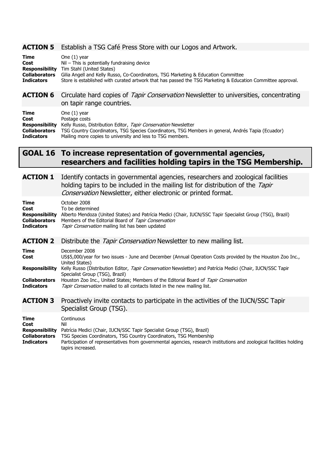#### ACTION 5 Establish a TSG Café Press Store with our Logos and Artwork.

| <b>Time</b>          | One $(1)$ year                                                                                              |
|----------------------|-------------------------------------------------------------------------------------------------------------|
| Cost                 | $Nil$ – This is potentially fundraising device                                                              |
|                      | <b>Responsibility</b> Tim Stahl (United States)                                                             |
| <b>Collaborators</b> | Gilia Angell and Kelly Russo, Co-Coordinators, TSG Marketing & Education Committee                          |
| <b>Indicators</b>    | Store is established with curated artwork that has passed the TSG Marketing & Education Committee approval. |
|                      |                                                                                                             |

#### **ACTION 6** Circulate hard copies of *Tapir Conservation* Newsletter to universities, concentrating on tapir range countries.

| Time                 | One $(1)$ year                                                                                     |
|----------------------|----------------------------------------------------------------------------------------------------|
| Cost                 | Postage costs                                                                                      |
| Responsibility       | Kelly Russo, Distribution Editor, Tapir Conservation Newsletter                                    |
| <b>Collaborators</b> | TSG Country Coordinators, TSG Species Coordinators, TSG Members in general, Andrés Tapia (Ecuador) |
| <b>Indicators</b>    | Mailing more copies to university and less to TSG members.                                         |

# GOAL 16 To increase representation of governmental agencies, researchers and facilities holding tapirs in the TSG Membership.

**ACTION 1** Identify contacts in governmental agencies, researchers and zoological facilities holding tapirs to be included in the mailing list for distribution of the Tapir Conservation Newsletter, either electronic or printed format. Time October 2008<br>
Cost To be determined To be determined Responsibility Alberto Mendoza (United States) and Patrícia Medici (Chair, IUCN/SSC Tapir Specialist Group (TSG), Brazil) Collaborators Members of the Editorial Board of Tapir Conservation **Indicators** *Tapir Conservation* mailing list has been updated **ACTION 2** Distribute the *Tapir Conservation* Newsletter to new mailing list. Time December 2008<br>Cost US\$5.000/year 1 US\$5,000/year for two issues - June and December (Annual Operation Costs provided by the Houston Zoo Inc., United States) Responsibility Kelly Russo (Distribution Editor, Tapir Conservation Newsletter) and Patrícia Medici (Chair, IUCN/SSC Tapir Specialist Group (TSG), Brazil) **Collaborators** Houston Zoo Inc., United States; Members of the Editorial Board of *Tapir Conservation*<br> **Indicators** *Tanir Conservation* mailed to all contacts listed in the new mailing list. Tapir Conservation mailed to all contacts listed in the new mailing list. **ACTION 3** Proactively invite contacts to participate in the activities of the IUCN/SSC Tapir Specialist Group (TSG). Time Continuous Cost Nil **Responsibility** Patrícia Medici (Chair, IUCN/SSC Tapir Specialist Group (TSG), Brazil)<br>**Collaborators** TSG Species Coordinators, TSG Country Coordinators, TSG Membersh

Indicators Participation of representatives from governmental agencies, research institutions and zoological facilities holding

TSG Species Coordinators, TSG Country Coordinators, TSG Membership

tapirs increased.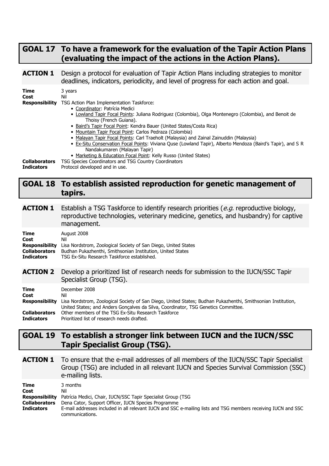# GOAL 17 To have a framework for the evaluation of the Tapir Action Plans (evaluating the impact of the actions in the Action Plans).

**ACTION 1** Design a protocol for evaluation of Tapir Action Plans including strategies to monitor deadlines, indicators, periodicity, and level of progress for each action and goal.

| Time<br>Cost         | 3 years<br>Nil                                                                                                                   |
|----------------------|----------------------------------------------------------------------------------------------------------------------------------|
| Responsibility       | TSG Action Plan Implementation Taskforce:                                                                                        |
|                      | • Coordinator: Patrícia Medici                                                                                                   |
|                      | • Lowland Tapir Focal Points: Juliana Rodriguez (Colombia), Olga Montenegro (Colombia), and Benoit de<br>Thoisy (French Guiana). |
|                      | • Baird's Tapir Focal Point: Kendra Bauer (United States/Costa Rica)                                                             |
|                      | • Mountain Tapir Focal Point: Carlos Pedraza (Colombia)                                                                          |
|                      | • Malayan Tapir Focal Points: Carl Traeholt (Malaysia) and Zainal Zainuddin (Malaysia)                                           |
|                      | • Ex-Situ Conservation Focal Points: Viviana Quse (Lowland Tapir), Alberto Mendoza (Baird's Tapir), and S R                      |
|                      | Nandakumaren (Malayan Tapir)                                                                                                     |
|                      | • Marketing & Education Focal Point: Kelly Russo (United States)                                                                 |
| <b>Collaborators</b> | TSG Species Coordinators and TSG Country Coordinators                                                                            |
| <b>Indicators</b>    | Protocol developed and in use.                                                                                                   |

# GOAL 18 To establish assisted reproduction for genetic management of tapirs.

**ACTION 1** Establish a TSG Taskforce to identify research priorities (e.g. reproductive biology, reproductive technologies, veterinary medicine, genetics, and husbandry) for captive management.

| <b>Time</b><br>Cost<br><b>Responsibility</b><br><b>Collaborators</b><br><b>Indicators</b> | August 2008<br>Nil<br>Lisa Nordstrom, Zoological Society of San Diego, United States<br>Budhan Pukazhenthi, Smithsonian Institution, United States<br>TSG Ex-Situ Research Taskforce established.                                                                                                                                |
|-------------------------------------------------------------------------------------------|----------------------------------------------------------------------------------------------------------------------------------------------------------------------------------------------------------------------------------------------------------------------------------------------------------------------------------|
| <b>ACTION 2</b>                                                                           | Develop a prioritized list of research needs for submission to the IUCN/SSC Tapir<br>Specialist Group (TSG).                                                                                                                                                                                                                     |
| <b>Time</b><br>Cost<br><b>Responsibility</b><br><b>Collaborators</b><br><b>Indicators</b> | December 2008<br>Nil<br>Lisa Nordstrom, Zoological Society of San Diego, United States; Budhan Pukazhenthi, Smithsonian Institution,<br>United States; and Anders Goncalves da Silva, Coordinator, TSG Genetics Committee.<br>Other members of the TSG Ex-Situ Research Taskforce<br>Prioritized list of research needs drafted. |

# GOAL 19 To establish a stronger link between IUCN and the IUCN/SSC Tapir Specialist Group (TSG).

**ACTION 1** To ensure that the e-mail addresses of all members of the IUCN/SSC Tapir Specialist Group (TSG) are included in all relevant IUCN and Species Survival Commission (SSC) e-mailing lists.

| Time                 | 3 months                                                                                                      |
|----------------------|---------------------------------------------------------------------------------------------------------------|
| Cost                 | Nil                                                                                                           |
|                      | <b>Responsibility</b> Patrícia Medici, Chair, IUCN/SSC Tapir Specialist Group (TSG                            |
| <b>Collaborators</b> | Dena Cator, Support Officer, IUCN Species Programme                                                           |
| <b>Indicators</b>    | E-mail addresses included in all relevant IUCN and SSC e-mailing lists and TSG members receiving IUCN and SSC |
|                      | communications.                                                                                               |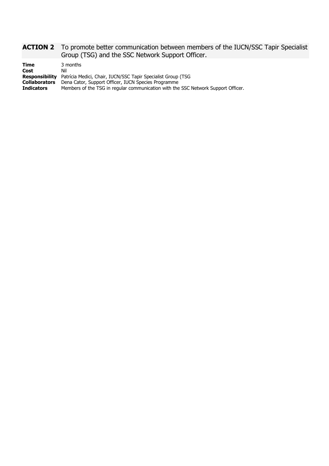#### **ACTION 2** To promote better communication between members of the IUCN/SSC Tapir Specialist Group (TSG) and the SSC Network Support Officer.

| <b>Time</b>          | 3 months                                                                           |
|----------------------|------------------------------------------------------------------------------------|
| Cost                 | Nil                                                                                |
|                      | <b>Responsibility</b> Patrícia Medici, Chair, IUCN/SSC Tapir Specialist Group (TSG |
| <b>Collaborators</b> | Dena Cator, Support Officer, IUCN Species Programme                                |
| <b>Indicators</b>    | Members of the TSG in regular communication with the SSC Network Support Officer.  |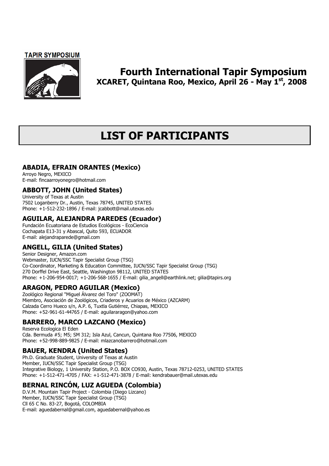#### **TAPIR SYMPOSIUM**



# Fourth International Tapir Symposium XCARET, Quintana Roo, Mexico, April 26 - May 1st, 2008

# LIST OF PARTICIPANTS

## ABADIA, EFRAIN ORANTES (Mexico)

Arroyo Negro, MEXICO E-mail: fincaarroyonegro@hotmail.com

#### ABBOTT, JOHN (United States)

University of Texas at Austin 7502 Loganberry Dr., Austin, Texas 78745, UNITED STATES Phone: +1-512-232-1896 / E-mail: jcabbott@mail.utexas.edu

#### AGUILAR, ALEJANDRA PAREDES (Ecuador)

Fundación Ecuatoriana de Estudios Ecológicos - EcoCiencia Cochapata E13-31 y Abascal, Quito 593, ECUADOR E-mail: alejandraparede@gmail.com

# ANGELL, GILIA (United States)

Senior Designer, Amazon.com Webmaster, IUCN/SSC Tapir Specialist Group (TSG) Co-Coordinator, Marketing & Education Committee, IUCN/SSC Tapir Specialist Group (TSG) 270 Dorffel Drive East, Seattle, Washington 98112, UNITED STATES Phone: +1-206-954-0017; +1-206-568-1655 / E-mail: gilia\_angell@earthlink.net; gilia@tapirs.org

### ARAGON, PEDRO AGUILAR (Mexico)

Zoológico Regional "Miguel Álvarez del Toro" (ZOOMAT) Miembro, Asociación de Zoológicos, Criaderos y Acuarios de México (AZCARM) Calzada Cerro Hueco s/n, A.P. 6, Tuxtla Gutiérrez, Chiapas, MEXICO Phone: +52-961-61-44765 / E-mail: aguilararagon@yahoo.com

### BARRERO, MARCO LAZCANO (Mexico)

Reserva Ecologica El Eden Cda. Bermuda #5; M5; SM 312; Isla Azul, Cancun, Quintana Roo 77506, MEXICO Phone: +52-998-889-9825 / E-mail: mlazcanobarrero@hotmail.com

### BAUER, KENDRA (United States)

Ph.D. Graduate Student, University of Texas at Austin Member, IUCN/SSC Tapir Specialist Group (TSG) Integrative Biology, 1 University Station, P.O. BOX CO930, Austin, Texas 78712-0253, UNITED STATES Phone: +1-512-471-4705 / FAX: +1-512-471-3878 / E-mail: kendrabauer@mail.utexas.edu

# BERNAL RINCÓN, LUZ AGUEDA (Colombia)

D.V.M. Mountain Tapir Project - Colombia (Diego Lizcano) Member, IUCN/SSC Tapir Specialist Group (TSG) Cll 65 C No. 83-27, Bogotá, COLOMBIA E-mail: aguedabernal@gmail.com, aguedabernal@yahoo.es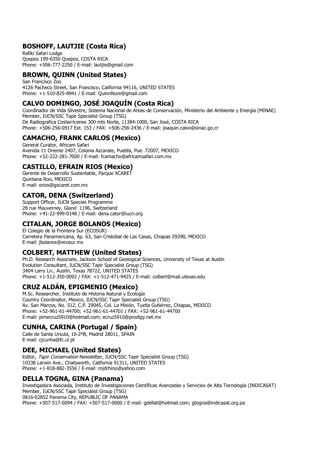## BOSHOFF, LAUTJIE (Costa Rica)

Rafiki Safari Lodge Quepos 199-6350 Quepos, COSTA RICA Phone: +506-777-2250 / E-mail: lautjie@gmail.com

#### BROWN, QUINN (United States)

San Francisco Zoo 4126 Pacheco Street, San Francisco, California 94116, UNITED STATES Phone: +1-510-825-8941 / E-mail: QuinnNure@gmail.com

# CALVO DOMINGO, JOSÉ JOAQUÍN (Costa Rica)

Coordinador de Vida Silvestre, Sistema Nacional de Áreas de Conservación, Ministerio del Ambiente y Energía (MINAE) Member, IUCN/SSC Tapir Specialist Group (TSG) De Radiografica Costarricense 300 mts Norte, 11384-1000, San José, COSTA RICA Phone: +506-256-0917 Ext. 153 / FAX: +506-256-2436 / E-mail: joaquin.calvo@sinac.go.cr

### CAMACHO, FRANK CARLOS (Mexico)

General Curator, Africam Safari Avenida 11 Oriente 2407, Colonia Azcarate, Puebla, Pue. 72007, MEXICO Phone: +52-222-281-7000 / E-mail: fcamacho@africamsafari.com.mx

#### CASTILLO, EFRAIN RIOS (Mexico)

Gerente de Desarrollo Sustentable, Parque XCARET Quintana Roo, MEXICO E-mail: erios@gxcaret.com.mx

### CATOR, DENA (Switzerland)

Support Officer, IUCN Species Programme 28 rue Mauverney, Gland 1196, Switzerland Phone: +41-22-999-0148 / E-mail: dena.cator@iucn.org

## CITALAN, JORGE BOLANOS (Mexico)

El Colegio de la Frontera Sur (ECOSUR) Carretera Panamericana, Ap. 63, San Cristobal de Las Casas, Chiapas 29290, MEXICO E-mail: jbolanos@ecosur.mx

#### COLBERT, MATTHEW (United States)

Ph.D. Research Associate, Jackson School of Geological Sciences, University of Texas at Austin Evolution Consultant, IUCN/SSC Tapir Specialist Group (TSG) 3404 Larry Ln., Austin, Texas 78722, UNITED STATES Phone: +1-512-350-0092 / FAX: +1-512-471-9425 / E-mail: colbert@mail.utexas.edu

### CRUZ ALDÁN, EPIGMENIO (Mexico)

M.Sc. Researcher, Instituto de Historia Natural y Ecología Country Coordinator, Mexico, IUCN/SSC Tapir Specialist Group (TSG) Av. San Marcos, No. 512, C.P. 29045, Col. La Misión, Tuxtla Gutiérrez, Chiapas, MEXICO Phone: +52-961-61-44700; +52-961-61-44701 / FAX: +52-961-61-44700 E-mail: pimecruz5910@hotmail.com; ecruz5910@prodigy.net.mx

#### CUNHA, CARINA (Portugal / Spain)

Calle de Santa Ursula, 10-2ºB, Madrid 28011, SPAIN E-mail: cjcunha@fc.ul.pt

### DEE, MICHAEL (United States)

Editor, Tapir Conservation Newsletter, IUCN/SSC Tapir Specialist Group (TSG) 10338 Larwin Ave., Chatsworth, California 91311, UNITED STATES Phone: +1-818-882-3556 / E-mail: mjdrhino@yahoo.com

### DELLA TOGNA, GINA (Panama)

Investigadora Asociada, Instituto de Investigaciones Científicas Avanzadas y Servicios de Alta Tecnología (INDICASAT) Member, IUCN/SSC Tapir Specialist Group (TSG) 0816-02852 Panama City, REPUBLIC OF PANAMA Phone: +507-517-0094 / FAX: +507-517-0000 / E-mail: gdellat@hotmail.com; gtogna@indicasat.org.pa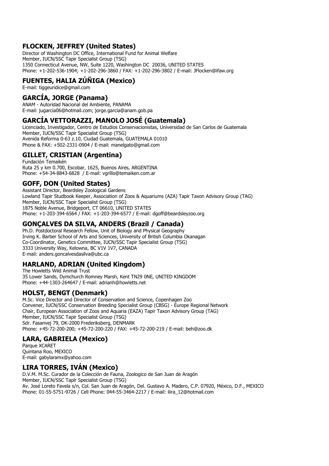### FLOCKEN, JEFFREY (United States)

Director of Washington DC Office, International Fund for Animal Welfare Member, IUCN/SSC Tapir Specialist Group (TSG) 1350 Connecticut Avenue, NW, Suite 1220, Washington DC 20036, UNITED STATES Phone: +1-202-536-1904; +1-202-296-3860 / FAX: +1-202-296-3802 / E-mail: JFlocken@ifaw.org

## FUENTES, HALIA ZÚÑIGA (Mexico)

E-mail: tiggeuridice@gmail.com

## GARCÍA, JORGE (Panama)

ANAM - Autoridad Nacional del Ambiente, PANAMA E-mail: jugarcia06@hotmail.com; jorge.garcia@anam.gob.pa

### GARCÍA VETTORAZZI, MANOLO JOSÉ (Guatemala)

Licenciado, Investigador, Centro de Estudios Conservacionistas, Universidad de San Carlos de Guatemala Member, IUCN/SSC Tapir Specialist Group (TSG) Avenida Reforma 0-63 z.10, Ciudad Guatemala, GUATEMALA 01010 Phone & FAX: +502-2331-0904 / E-mail: manelgato@gmail.com

#### GILLET, CRISTIAN (Argentina)

Fundación Temaikén Ruta 25 y km 0.700, Escobar, 1625, Buenos Aires, ARGENTINA Phone: +54-34-8843-6828 / E-mail: vgrillo@temaiken.com.ar

#### GOFF, DON (United States)

Assistant Director, Beardsley Zoological Gardens Lowland Tapir Studbook Keeper, Association of Zoos & Aquariums (AZA) Tapir Taxon Advisory Group (TAG) Member, IUCN/SSC Tapir Specialist Group (TSG) 1875 Noble Avenue, Bridgeport, CT 06610, UNITED STATES Phone: +1-203-394-6564 / FAX: +1-203-394-6577 / E-mail: dgoff@beardsleyzoo.org

# GONÇALVES DA SILVA, ANDERS (Brazil / Canada)

Ph.D. Postdoctoral Research Fellow, Unit of Biology and Physical Geography Irving K. Barber School of Arts and Sciences, University of British Columbia Okanagan Co-Coordinator, Genetics Committee, IUCN/SSC Tapir Specialist Group (TSG) 3333 University Way, Kelowna, BC V1V 1V7, CANADA E-mail: anders.goncalvesdasilva@ubc.ca

### HARLAND, ADRIAN (United Kingdom)

The Howletts Wild Animal Trust 35 Lower Sands, Dymchurch Romney Marsh, Kent TN29 0NE, UNITED KINGDOM Phone: +44-1303-264647 / E-mail: adrianh@howletts.net

### HOLST, BENGT (Denmark)

M.Sc. Vice Director and Director of Conservation and Science, Copenhagen Zoo Convener, IUCN/SSC Conservation Breeding Specialist Group (CBSG) - Europe Regional Network Chair, European Association of Zoos and Aquaria (EAZA) Tapir Taxon Advisory Group (TAG) Member, IUCN/SSC Tapir Specialist Group (TSG) Sdr. Fasanvej 79, DK-2000 Frederiksberg, DENMARK Phone: +45-72-200-200; +45-72-200-220 / FAX: +45-72-200-219 / E-mail: beh@zoo.dk

#### LARA, GABRIELA (Mexico)

Parque XCARET Quintana Roo, MEXICO E-mail: gabylaramx@yahoo.com

#### LIRA TORRES, IVÁN (Mexico)

D.V.M. M.Sc. Curador de la Colección de Fauna, Zoologico de San Juan de Aragón Member, IUCN/SSC Tapir Specialist Group (TSG) Av. José Loreto Favela s/n, Col. San Juan de Aragón, Del. Gustavo A. Madero, C.P. 07920, México, D.F., MEXICO Phone: 01-55-5751-9726 / Cell Phone: 044-55-3464-2217 / E-mail: ilira\_12@hotmail.com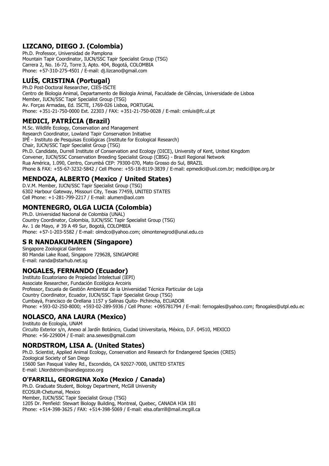## LIZCANO, DIEGO J. (Colombia)

Ph.D. Professor, Universidad de Pamplona Mountain Tapir Coordinator, IUCN/SSC Tapir Specialist Group (TSG) Carrera 2, No. 16-72, Torre 3, Apto. 404, Bogotá, COLOMBIA Phone: +57-310-275-4501 / E-mail: dj.lizcano@gmail.com

# LUÍS, CRISTINA (Portugal)

Ph.D Post-Doctoral Researcher, CIES-ISCTE Centro de Biologia Animal, Departamento de Biologia Animal, Faculdade de Ciências, Universidade de Lisboa Member, IUCN/SSC Tapir Specialist Group (TSG) Av. Forças Armadas, Ed. ISCTE, 1769-026 Lisboa, PORTUGAL Phone: +351-21-750-0000 Ext. 22303 / FAX: +351-21-750-0028 / E-mail: cmluis@fc.ul.pt

# MEDICI, PATRÍCIA (Brazil)

M.Sc. Wildlife Ecology, Conservation and Management Research Coordinator, Lowland Tapir Conservation Initiative IPÊ - Instituto de Pesquisas Ecológicas (Institute for Ecological Research) Chair, IUCN/SSC Tapir Specialist Group (TSG) Ph.D. Candidate, Durrell Institute of Conservation and Ecology (DICE), University of Kent, United Kingdom Convener, IUCN/SSC Conservation Breeding Specialist Group (CBSG) - Brazil Regional Network Rua América, 1.090, Centro, Corumbá CEP: 79300-070, Mato Grosso do Sul, BRAZIL Phone & FAX: +55-67-3232-5842 / Cell Phone: +55-18-8119-3839 / E-mail: epmedici@uol.com.br; medici@ipe.org.br

# MENDOZA, ALBERTO (Mexico / United States)

D.V.M. Member, IUCN/SSC Tapir Specialist Group (TSG) 6302 Harbour Gateway, Missouri City, Texas 77459, UNITED STATES Cell Phone: +1-281-799-2217 / E-mail: alumen@aol.com

## MONTENEGRO, OLGA LUCIA (Colombia)

Ph.D. Universidad Nacional de Colombia (UNAL) Country Coordinator, Colombia, IUCN/SSC Tapir Specialist Group (TSG) Av. 1 de Mayo, # 39 A 49 Sur, Bogotá, COLOMBIA Phone: +57-1-203-5582 / E-mail: olmdco@yahoo.com; olmontenegrod@unal.edu.co

### S R NANDAKUMAREN (Singapore)

Singapore Zoological Gardens 80 Mandai Lake Road, Singapore 729628, SINGAPORE E-mail: nanda@starhub.net.sg

### NOGALES, FERNANDO (Ecuador)

Instituto Ecuatoriano de Propiedad Intelectual (IEPI) Associate Researcher, Fundación Ecológica Arcoiris Professor, Escuela de Gestión Ambiental de la Universidad Técnica Particular de Loja Country Coordinator, Ecuador, IUCN/SSC Tapir Specialist Group (TSG) Cumbayá, Francisco de Orellana 1157 y Salinas Quito- Pichincha, ECUADOR Phone: +593-02-250-8000; +593-02-289-5936 / Cell Phone: +095781794 / E-mail: fernogales@yahoo.com; fbnogales@utpl.edu.ec

# NOLASCO, ANA LAURA (Mexico)

Instituto de Ecología, UNAM Circuito Exterior s/n, Anexo al Jardín Botánico, Ciudad Universitaria, México, D.F. 04510, MEXICO Phone: +56-229004 / E-mail: ana.sewes@gmail.com

### NORDSTROM, LISA A. (United States)

Ph.D. Scientist, Applied Animal Ecology, Conservation and Research for Endangered Species (CRES) Zoological Society of San Diego 15600 San Pasqual Valley Rd., Escondido, CA 92027-7000, UNITED STATES E-mail: LNordstrom@sandiegozoo.org

### O'FARRILL, GEORGINA XoXo (Mexico / Canada)

Ph.D. Graduate Student, Biology Department, McGill University ECOSUR-Chetumal, Mexico Member, IUCN/SSC Tapir Specialist Group (TSG) 1205 Dr. Penfield: Stewart Biology Building, Montreal, Quebec, CANADA H3A 1B1 Phone: +514-398-3625 / FAX: +514-398-5069 / E-mail: elsa.ofarrill@mail.mcgill.ca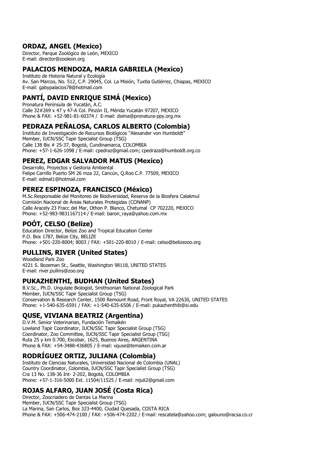#### ORDAZ, ANGEL (Mexico)

Director, Parque Zoológico de León, MEXICO E-mail: director@zooleon.org

#### PALACIOS MENDOZA, MARIA GABRIELA (Mexico)

Instituto de Historia Natural y Ecología Av. San Marcos, No. 512, C.P. 29045, Col. La Misión, Tuxtla Gutiérrez, Chiapas, MEXICO E-mail: gabypalacios78@hotmail.com

#### PANTÍ, DAVID ENRIQUE SIMÁ (Mexico)

Pronatura Península de Yucatán, A.C. Calle 32#269 x 47 y 47-A Col. Pinzón II, Mérida Yucatán 97207, MEXICO Phone & FAX: +52-981-81-60374 / E-mail: dsima@pronatura-ppy.org.mx

#### PEDRAZA PEÑALOSA, CARLOS ALBERTO (Colombia)

Instituto de Investigación de Recursos Biológicos "Alexander von Humboldt" Member, IUCN/SSC Tapir Specialist Group (TSG) Calle 138 Bis # 25-37, Bogotá, Cundinamarca, COLOMBIA Phone: +57-1-626-1098 / E-mail: cpedraz@gmail.com; cpedraza@humboldt.org.co

#### PEREZ, EDGAR SALVADOR MATUS (Mexico)

Desarrollo, Proyectos y Gestoria Ambiental Felipe Carrillo Puerto SM 26 mza 22, Cancún, Q.Roo C.P. 77509, MEXICO E-mail: edmat1@hotmail.com

#### PEREZ ESPINOZA, FRANCISCO (México)

M.Sc.Responsable del Monitoreo de Biodiversidad, Reserva de la Biosfera Calakmul Comisión Nacional de Áreas Naturales Protegidas (CONANP) Calle Aracely 23 Fracc del Mar, Othon P. Blanco, Chetumal CP 702220, MEXICO Phone: +52-983-9831167114 / E-mail: baron\_raya@yahoo.com.mx

#### POÓT, CELSO (Belize)

Education Director, Belize Zoo and Tropical Education Center P.O. Box 1787, Belize City, BELIZE Phone: +501-220-8004; 8003 / FAX: +501-220-8010 / E-mail: celso@belizezoo.org

#### PULLINS, RIVER (United States)

Woodland Park Zoo 4221 S. Bozeman St., Seattle, Washington 98118, UNITED STATES E-mail: river.pullins@zoo.org

#### PUKAZHENTHI, BUDHAN (United States)

B.V.Sc., Ph.D. Ungulate Biologist, Smithsonian National Zoological Park Member, IUCN/SSC Tapir Specialist Group (TSG) Conservation & Research Center, 1500 Remount Road, Front Royal, VA 22630, UNITED STATES Phone: +1-540-635-6591 / FAX: +1-540-635-6506 / E-mail: pukazhenthib@si.edu

#### QUSE, VIVIANA BEATRIZ (Argentina)

D.V.M. Senior Veterinarian, Fundación Temaikén Lowland Tapir Coordinator, IUCN/SSC Tapir Specialist Group (TSG) Coordinator, Zoo Committee, IUCN/SSC Tapir Specialist Group (TSG) Ruta 25 y km 0.700, Escobar, 1625, Buenos Aires, ARGENTINA Phone & FAX: +54-3488-436805 / E-mail: vquse@temaiken.com.ar

#### RODRÍGUEZ ORTIZ, JULIANA (Colombia)

Instituto de Ciencias Naturales, Universidad Nacional de Colombia (UNAL) Country Coordinator, Colombia, IUCN/SSC Tapir Specialist Group (TSG) Cra 13 No. 138-36 Int- 2-202, Bogotá, COLOMBIA Phone: +57-1-316-5000 Ext. 11504/11525 / E-mail: mjuli2@gmail.com

### ROJAS ALFARO, JUAN JOSÉ (Costa Rica)

Director, Zoocriadero de Dantas La Marina Member, IUCN/SSC Tapir Specialist Group (TSG) La Marina, San Carlos, Box 323-4400, Ciudad Quesada, COSTA RICA Phone & FAX: +506-474-2100 / FAX: +506-474-2202 / E-mail: rescatela@yahoo.com; galouno@racsa.co.cr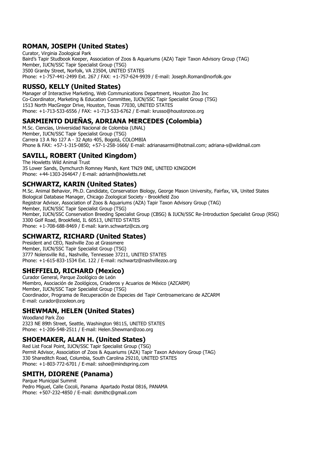## ROMAN, JOSEPH (United States)

Curator, Virginia Zoological Park Baird's Tapir Studbook Keeper, Association of Zoos & Aquariums (AZA) Tapir Taxon Advisory Group (TAG) Member, IUCN/SSC Tapir Specialist Group (TSG) 3500 Granby Street, Norfolk, VA 23504, UNITED STATES Phone: +1-757-441-2499 Ext. 267 / FAX: +1-757-624-9939 / E-mail: Joseph.Roman@norfolk.gov

### RUSSO, KELLY (United States)

Manager of Interactive Marketing, Web Communications Department, Houston Zoo Inc Co-Coordinator, Marketing & Education Committee, IUCN/SSC Tapir Specialist Group (TSG) 1513 North MacGregor Drive, Houston, Texas 77030, UNITED STATES Phone: +1-713-533-6556 / FAX: +1-713-533-6762 / E-mail: krusso@houstonzoo.org

# SARMIENTO DUENAS, ADRIANA MERCEDES (Colombia)

M.Sc. Ciencias, Universidad Nacional de Colombia (UNAL) Member, IUCN/SSC Tapir Specialist Group (TSG) Carrera 13 A No 127 A - 32 Apto 405, Bogotá, COLOMBIA Phone & FAX: +57-1-315-0850; +57-1-258-1666/ E-mail: adrianasarmi@hotmail.com; adriana-s@wildmail.com

## SAVILL, ROBERT (United Kingdom)

The Howletts Wild Animal Trust 35 Lower Sands, Dymchurch Romney Marsh, Kent TN29 0NE, UNITED KINGDOM Phone: +44-1303-264647 / E-mail: adrianh@howletts.net

### SCHWARTZ, KARIN (United States)

M.Sc. Animal Behavior, Ph.D. Candidate, Conservation Biology, George Mason University, Fairfax, VA, United States Biological Database Manager, Chicago Zoological Society - Brookfield Zoo Registrar Advisor, Association of Zoos & Aquariums (AZA) Tapir Taxon Advisory Group (TAG) Member, IUCN/SSC Tapir Specialist Group (TSG) Member, IUCN/SSC Conservation Breeding Specialist Group (CBSG) & IUCN/SSC Re-Introduction Specialist Group (RSG) 3300 Golf Road, Brookfield, IL 60513, UNITED STATES Phone: +1-708-688-8469 / E-mail: karin.schwartz@czs.org

## SCHWARTZ, RICHARD (United States)

President and CEO, Nashville Zoo at Grassmere Member, IUCN/SSC Tapir Specialist Group (TSG) 3777 Nolensville Rd., Nashville, Tennessee 37211, UNITED STATES Phone: +1-615-833-1534 Ext. 122 / E-mail: rschwartz@nashvillezoo.org

#### SHEFFIELD, RICHARD (Mexico)

Curador General, Parque Zoológico de León Miembro, Asociación de Zoológicos, Criaderos y Acuarios de México (AZCARM) Member, IUCN/SSC Tapir Specialist Group (TSG) Coordinador, Programa de Recuperación de Especies del Tapir Centroamericano de AZCARM E-mail: curador@zooleon.org

# SHEWMAN, HELEN (United States)

Woodland Park Zoo 2323 NE 89th Street, Seattle, Washington 98115, UNITED STATES Phone: +1-206-548-2511 / E-mail: Helen.Shewman@zoo.org

### SHOEMAKER, ALAN H. (United States)

Red List Focal Point, IUCN/SSC Tapir Specialist Group (TSG) Permit Advisor, Association of Zoos & Aquariums (AZA) Tapir Taxon Advisory Group (TAG) 330 Shareditch Road, Columbia, South Carolina 29210, UNITED STATES Phone: +1-803-772-6701 / E-mail: sshoe@mindspring.com

### SMITH, DIORENE (Panama)

Parque Municipal Summit Pedro Miguel, Calle Cocoli, Panama Apartado Postal 0816, PANAMA Phone: +507-232-4850 / E-mail: dsmithc@gmail.com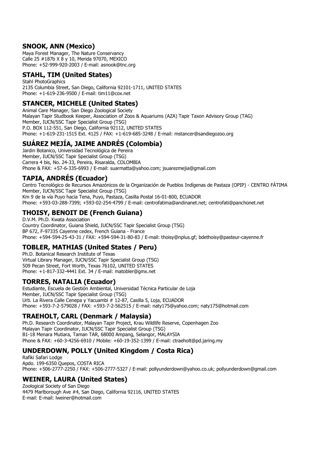#### SNOOK, ANN (Mexico)

Maya Forest Manager, The Nature Conservancy Calle 25 #187b X 8 y 10, Merida 97070, MEXICO Phone: +52-999-920-2003 / E-mail: asnook@tnc.org

#### STAHL, TIM (United States)

Stahl PhotoGraphics 2135 Columbia Street, San Diego, California 92101-1711, UNITED STATES Phone: +1-619-236-9500 / E-mail: tim11@cox.net

#### STANCER, MICHELE (United States)

Animal Care Manager, San Diego Zoological Society Malayan Tapir Studbook Keeper, Association of Zoos & Aquariums (AZA) Tapir Taxon Advisory Group (TAG) Member, IUCN/SSC Tapir Specialist Group (TSG) P.O. BOX 112-551, San Diego, California 92112, UNITED STATES Phone: +1-619-231-1515 Ext. 4125 / FAX: +1-619-685-3248 / E-mail: mstancer@sandiegozoo.org

### SUÁREZ MEJÍA, JAIME ANDRÉS (Colombia)

Jardin Botanico, Universidad Tecnológica de Pereira Member, IUCN/SSC Tapir Specialist Group (TSG) Carrera 4 bis, No. 24-33, Pereira, Risaralda, COLOMBIA Phone & FAX: +57-6-335-6993 / E-mail: suarmatta@yahoo.com; jsuarezmejia@gmail.com

### TAPIA, ANDRÉS (Ecuador)

Centro Tecnológico de Recursos Amazónicos de la Organización de Pueblos Indígenas de Pastaza (OPIP) - CENTRO FÁTIMA Member, IUCN/SSC Tapir Specialist Group (TSG) Km 9 de la vía Puyo hacia Tena, Puyo, Pastaza, Casilla Postal 16-01-800, ECUADOR Phone: +593-03-288-7399; +593-02-254-4799 / E-mail: centrofatima@andinanet.net; centrofati@panchonet.net

### THOISY, BENOIT DE (French Guiana)

D.V.M. Ph.D. Kwata Association Country Coordinator, Guiana Shield, IUCN/SSC Tapir Specialist Group (TSG) BP 672, F-97335 Cayenne cedex, French Guiana - France Phone: +594-594-25-43-31 / FAX: +594-594-31-80-83 / E-mail: thoisy@nplus.gf; bdethoisy@pasteur-cayenne.fr

### TOBLER, MATHIAS (United States / Peru)

Ph.D. Botanical Research Institute of Texas Virtual Library Manager, IUCN/SSC Tapir Specialist Group (TSG) 509 Pecan Street, Fort Worth, Texas 76102, UNITED STATES Phone: +1-817-332-4441 Ext. 34 / E-mail: matobler@gmx.net

### TORRES, NATALIA (Ecuador)

Estudiante, Escuela de Gestión Ambiental, Universidad Técnica Particular de Loja Member, IUCN/SSC Tapir Specialist Group (TSG) Urb. La Rivera Calle Cenepa y Yacuambi # 12-87, Casilla 5, Loja, ECUADOR Phone: +593-7-2-579028 / FAX: +593-7-2-562515 / E-mail: naty175@yahoo.com; naty175@hotmail.com

### TRAEHOLT, CARL (Denmark / Malaysia)

Ph.D. Research Coordinator, Malayan Tapir Project, Krau Wildlife Reserve, Copenhagen Zoo Malayan Tapir Coordinator, IUCN/SSC Tapir Specialist Group (TSG) B1-18 Menara Mutiara, Taman TAR, 68000 Ampang, Selangor, MALAYSIA Phone & FAX: +60-3-4256-6910 / Mobile: +60-19-352-1399 / E-mail: ctraeholt@pd.jaring.my

### UNDERDOWN, POLLY (United Kingdom / Costa Rica)

Rafiki Safari Lodge Apdo. 199-6350 Quepos, COSTA RICA Phone: +506-2777-2250 / FAX: +506-2777-5327 / E-mail: pollyunderdown@yahoo.co.uk; pollyunderdown@gmail.com

### WEINER, LAURA (United States)

Zoological Society of San Diego 4479 Marlborough Ave #4, San Diego, California 92116, UNITED STATES E-mail: E-mail: lweiner@hotmail.com